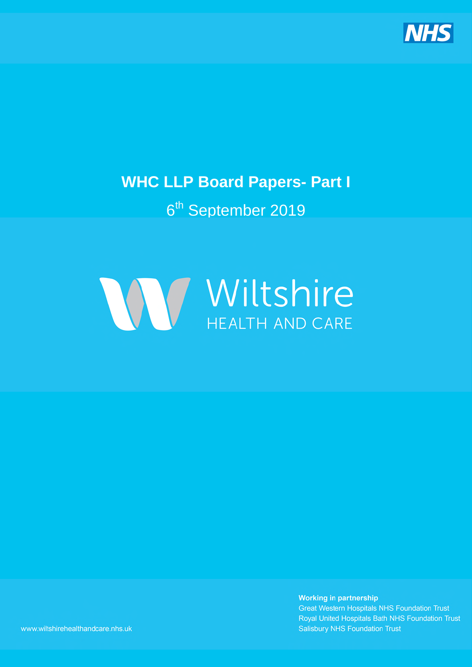

# **WHC LLP Board Papers- Part I**

# 6<sup>th</sup> September 2019



**Working in partnership Great Western Hospitals NHS Foundation Trust** Royal United Hospitals Bath NHS Foundation Trust **Salisbury NHS Foundation Trust** 

www.wiltshirehealthandcare.nhs.uk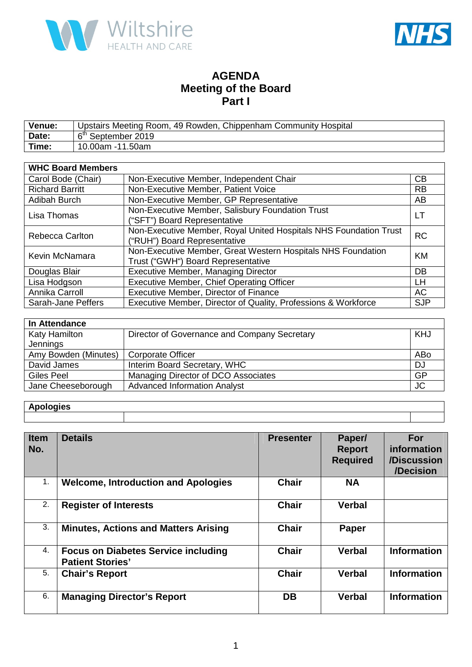



### **AGENDA Meeting of the Board Part I**

| <b>Venue:</b> | Upstairs Meeting Room, 49 Rowden, Chippenham Community Hospital |
|---------------|-----------------------------------------------------------------|
| Date:         | 6 <sup>th</sup> September 2019                                  |
| Time:         | 10.00am -11.50am                                                |

| <b>WHC Board Members</b> |                                                                                                    |            |
|--------------------------|----------------------------------------------------------------------------------------------------|------------|
| Carol Bode (Chair)       | Non-Executive Member, Independent Chair                                                            | <b>CB</b>  |
| <b>Richard Barritt</b>   | Non-Executive Member, Patient Voice                                                                | <b>RB</b>  |
| Adibah Burch             | Non-Executive Member, GP Representative                                                            | AB         |
| Lisa Thomas              | Non-Executive Member, Salisbury Foundation Trust                                                   | LT         |
|                          | ("SFT") Board Representative                                                                       |            |
| <b>Rebecca Carlton</b>   | Non-Executive Member, Royal United Hospitals NHS Foundation Trust<br>("RUH") Board Representative  | <b>RC</b>  |
| Kevin McNamara           | Non-Executive Member, Great Western Hospitals NHS Foundation<br>Trust ("GWH") Board Representative | <b>KM</b>  |
| Douglas Blair            | <b>Executive Member, Managing Director</b>                                                         | DB         |
| Lisa Hodgson             | Executive Member, Chief Operating Officer                                                          | LН         |
| Annika Carroll           | Executive Member, Director of Finance                                                              | <b>AC</b>  |
| Sarah-Jane Peffers       | Executive Member, Director of Quality, Professions & Workforce                                     | <b>SJP</b> |

| In Attendance        |                                              |           |  |  |
|----------------------|----------------------------------------------|-----------|--|--|
| <b>Katy Hamilton</b> | Director of Governance and Company Secretary | KHJ       |  |  |
| Jennings             |                                              |           |  |  |
| Amy Bowden (Minutes) | <b>Corporate Officer</b>                     | ABo       |  |  |
| David James          | Interim Board Secretary, WHC                 | <b>DJ</b> |  |  |
| Giles Peel           | Managing Director of DCO Associates          | GP        |  |  |
| Jane Cheeseborough   | <b>Advanced Information Analyst</b>          | <b>JC</b> |  |  |

### **Apologies**

| <b>Item</b><br>No. | <b>Details</b>                                                        | <b>Presenter</b> | Paper/<br><b>Report</b><br><b>Required</b> | <b>For</b><br>information<br>/Discussion<br>/Decision |
|--------------------|-----------------------------------------------------------------------|------------------|--------------------------------------------|-------------------------------------------------------|
| 1.                 | <b>Welcome, Introduction and Apologies</b>                            | <b>Chair</b>     | <b>NA</b>                                  |                                                       |
| 2.                 | <b>Register of Interests</b>                                          | <b>Chair</b>     | <b>Verbal</b>                              |                                                       |
| 3.                 | <b>Minutes, Actions and Matters Arising</b>                           | <b>Chair</b>     | Paper                                      |                                                       |
| 4.                 | <b>Focus on Diabetes Service including</b><br><b>Patient Stories'</b> | <b>Chair</b>     | <b>Verbal</b>                              | <b>Information</b>                                    |
| 5.                 | <b>Chair's Report</b>                                                 | <b>Chair</b>     | <b>Verbal</b>                              | <b>Information</b>                                    |
| 6.                 | <b>Managing Director's Report</b>                                     | <b>DB</b>        | <b>Verbal</b>                              | <b>Information</b>                                    |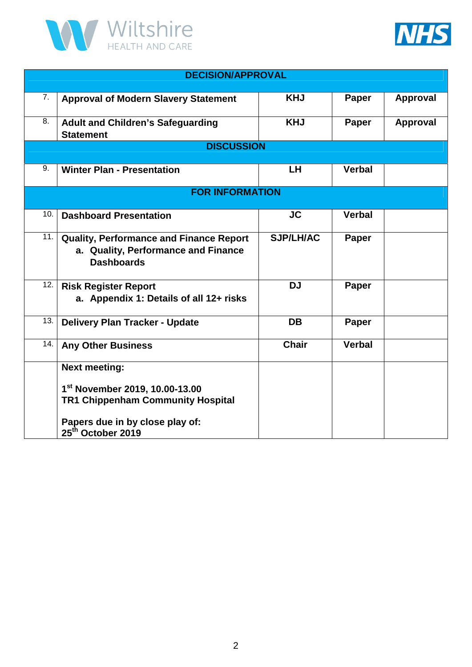



|                  | <b>DECISION/APPROVAL</b>                                                                            |                  |               |                 |  |
|------------------|-----------------------------------------------------------------------------------------------------|------------------|---------------|-----------------|--|
| $\overline{7}$ . | <b>Approval of Modern Slavery Statement</b>                                                         | <b>KHJ</b>       | Paper         | <b>Approval</b> |  |
| 8.               | <b>Adult and Children's Safeguarding</b><br><b>Statement</b>                                        | <b>KHJ</b>       | Paper         | <b>Approval</b> |  |
|                  | <b>DISCUSSION</b>                                                                                   |                  |               |                 |  |
| 9.               | <b>Winter Plan - Presentation</b>                                                                   | <b>LH</b>        | <b>Verbal</b> |                 |  |
|                  | <b>FOR INFORMATION</b>                                                                              |                  |               |                 |  |
| 10.              | <b>Dashboard Presentation</b>                                                                       | <b>JC</b>        | <b>Verbal</b> |                 |  |
| 11.              | Quality, Performance and Finance Report<br>a. Quality, Performance and Finance<br><b>Dashboards</b> | <b>SJP/LH/AC</b> | Paper         |                 |  |
| 12.              | <b>Risk Register Report</b><br>a. Appendix 1: Details of all 12+ risks                              | <b>DJ</b>        | Paper         |                 |  |
| 13.              | <b>Delivery Plan Tracker - Update</b>                                                               | <b>DB</b>        | Paper         |                 |  |
| 14.              | <b>Any Other Business</b>                                                                           | <b>Chair</b>     | <b>Verbal</b> |                 |  |
|                  | <b>Next meeting:</b>                                                                                |                  |               |                 |  |
|                  | 1st November 2019, 10.00-13.00<br><b>TR1 Chippenham Community Hospital</b>                          |                  |               |                 |  |
|                  | Papers due in by close play of:<br>25 <sup>th</sup> October 2019                                    |                  |               |                 |  |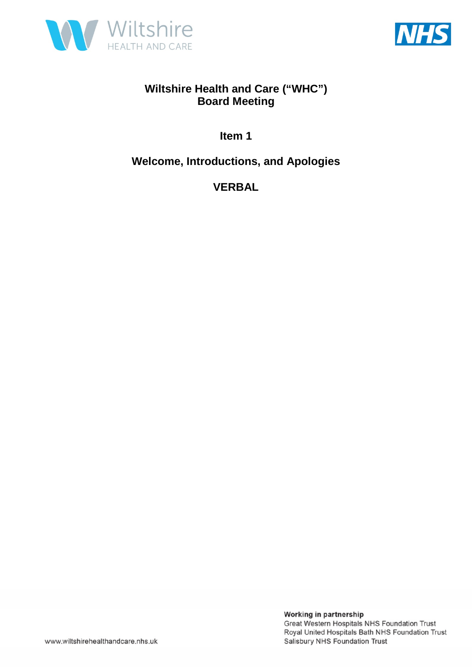



**Item 1** 

**Welcome, Introductions, and Apologies** 

**VERBAL**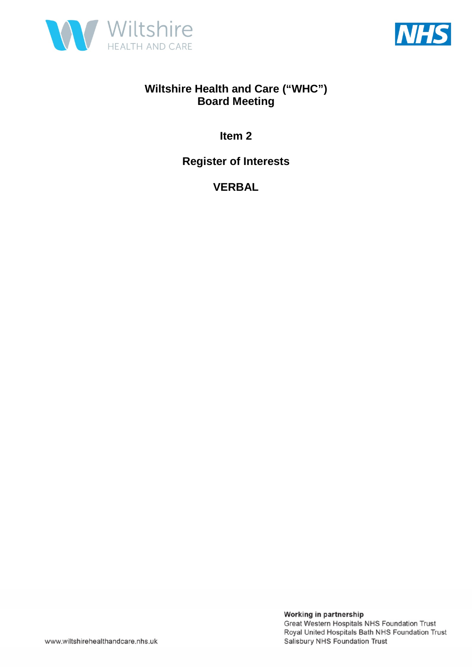



**Item 2** 

**Register of Interests** 

**VERBAL**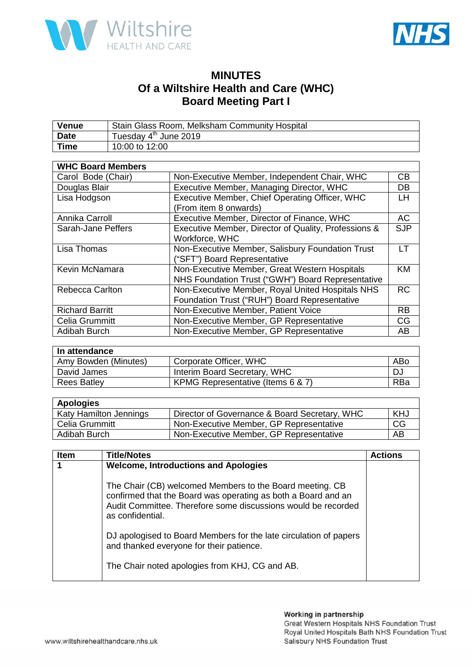



### **MINUTES Of a Wiltshire Health and Care (WHC) Board Meeting Part I**

| <b>Venue</b> | Stain Glass Room, Melksham Community Hospital |
|--------------|-----------------------------------------------|
| Date         | Tuesday 4 <sup>th</sup> June 2019             |
| <b>Time</b>  | 10:00 to 12:00                                |

| <b>WHC Board Members</b> |                                                      |            |
|--------------------------|------------------------------------------------------|------------|
| Carol Bode (Chair)       | Non-Executive Member, Independent Chair, WHC         | CB         |
| Douglas Blair            | Executive Member, Managing Director, WHC             | <b>DB</b>  |
| Lisa Hodgson             | Executive Member, Chief Operating Officer, WHC       | <b>LH</b>  |
|                          | (From item 8 onwards)                                |            |
| Annika Carroll           | Executive Member, Director of Finance, WHC           | <b>AC</b>  |
| Sarah-Jane Peffers       | Executive Member, Director of Quality, Professions & | <b>SJP</b> |
|                          | Workforce, WHC                                       |            |
| Lisa Thomas              | Non-Executive Member, Salisbury Foundation Trust     | I T        |
|                          | ("SFT") Board Representative                         |            |
| Kevin McNamara           | Non-Executive Member, Great Western Hospitals        | <b>KM</b>  |
|                          | NHS Foundation Trust ("GWH") Board Representative    |            |
| <b>Rebecca Carlton</b>   | Non-Executive Member, Royal United Hospitals NHS     | <b>RC</b>  |
|                          | Foundation Trust ("RUH") Board Representative        |            |
| <b>Richard Barritt</b>   | Non-Executive Member, Patient Voice                  | <b>RB</b>  |
| Celia Grummitt           | Non-Executive Member, GP Representative              | <b>CG</b>  |
| Adibah Burch             | Non-Executive Member, GP Representative              | AB         |

| In attendance        |                                   |     |  |  |
|----------------------|-----------------------------------|-----|--|--|
| Amy Bowden (Minutes) | Corporate Officer, WHC            | ABo |  |  |
| David James          | Interim Board Secretary, WHC      | D.  |  |  |
| <b>Rees Batley</b>   | KPMG Representative (Items 6 & 7) | RBa |  |  |

| <b>Apologies</b>       |                                               |            |  |  |
|------------------------|-----------------------------------------------|------------|--|--|
| Katy Hamilton Jennings | Director of Governance & Board Secretary, WHC | <b>KHJ</b> |  |  |
| Celia Grummitt         | Non-Executive Member, GP Representative       | CG         |  |  |
| Adibah Burch           | Non-Executive Member, GP Representative       | AB         |  |  |

| <b>Item</b> | <b>Title/Notes</b>                                                                                                                                                                                             | <b>Actions</b> |
|-------------|----------------------------------------------------------------------------------------------------------------------------------------------------------------------------------------------------------------|----------------|
|             | <b>Welcome, Introductions and Apologies</b>                                                                                                                                                                    |                |
|             | The Chair (CB) welcomed Members to the Board meeting. CB<br>confirmed that the Board was operating as both a Board and an<br>Audit Committee. Therefore some discussions would be recorded<br>as confidential. |                |
|             | DJ apologised to Board Members for the late circulation of papers<br>and thanked everyone for their patience.                                                                                                  |                |
|             | The Chair noted apologies from KHJ, CG and AB.                                                                                                                                                                 |                |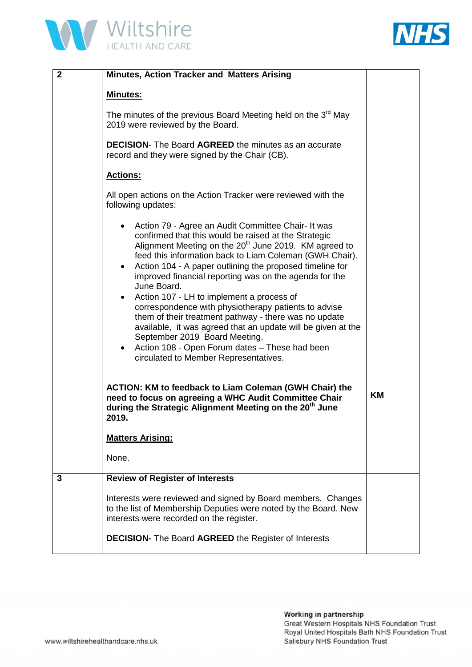



| $\mathbf{2}$ | <b>Minutes, Action Tracker and Matters Arising</b>                                                                                                                                                                                                                                                                                                                                                                                                                                                                                                                                                                                                                                                                                                                               |    |
|--------------|----------------------------------------------------------------------------------------------------------------------------------------------------------------------------------------------------------------------------------------------------------------------------------------------------------------------------------------------------------------------------------------------------------------------------------------------------------------------------------------------------------------------------------------------------------------------------------------------------------------------------------------------------------------------------------------------------------------------------------------------------------------------------------|----|
|              | <b>Minutes:</b>                                                                                                                                                                                                                                                                                                                                                                                                                                                                                                                                                                                                                                                                                                                                                                  |    |
|              | The minutes of the previous Board Meeting held on the $3^{rd}$ May<br>2019 were reviewed by the Board.                                                                                                                                                                                                                                                                                                                                                                                                                                                                                                                                                                                                                                                                           |    |
|              | <b>DECISION-</b> The Board AGREED the minutes as an accurate<br>record and they were signed by the Chair (CB).                                                                                                                                                                                                                                                                                                                                                                                                                                                                                                                                                                                                                                                                   |    |
|              | <b>Actions:</b>                                                                                                                                                                                                                                                                                                                                                                                                                                                                                                                                                                                                                                                                                                                                                                  |    |
|              | All open actions on the Action Tracker were reviewed with the<br>following updates:                                                                                                                                                                                                                                                                                                                                                                                                                                                                                                                                                                                                                                                                                              |    |
|              | Action 79 - Agree an Audit Committee Chair- It was<br>$\bullet$<br>confirmed that this would be raised at the Strategic<br>Alignment Meeting on the 20 <sup>th</sup> June 2019. KM agreed to<br>feed this information back to Liam Coleman (GWH Chair).<br>Action 104 - A paper outlining the proposed timeline for<br>$\bullet$<br>improved financial reporting was on the agenda for the<br>June Board.<br>Action 107 - LH to implement a process of<br>correspondence with physiotherapy patients to advise<br>them of their treatment pathway - there was no update<br>available, it was agreed that an update will be given at the<br>September 2019 Board Meeting.<br>Action 108 - Open Forum dates - These had been<br>$\bullet$<br>circulated to Member Representatives. |    |
|              | <b>ACTION: KM to feedback to Liam Coleman (GWH Chair) the</b><br>need to focus on agreeing a WHC Audit Committee Chair<br>during the Strategic Alignment Meeting on the 20 <sup>th</sup> June<br>2019.                                                                                                                                                                                                                                                                                                                                                                                                                                                                                                                                                                           | KM |
|              | <b>Matters Arising:</b>                                                                                                                                                                                                                                                                                                                                                                                                                                                                                                                                                                                                                                                                                                                                                          |    |
|              | None.                                                                                                                                                                                                                                                                                                                                                                                                                                                                                                                                                                                                                                                                                                                                                                            |    |
| 3            | <b>Review of Register of Interests</b>                                                                                                                                                                                                                                                                                                                                                                                                                                                                                                                                                                                                                                                                                                                                           |    |
|              | Interests were reviewed and signed by Board members. Changes<br>to the list of Membership Deputies were noted by the Board. New<br>interests were recorded on the register.                                                                                                                                                                                                                                                                                                                                                                                                                                                                                                                                                                                                      |    |
|              | <b>DECISION-</b> The Board AGREED the Register of Interests                                                                                                                                                                                                                                                                                                                                                                                                                                                                                                                                                                                                                                                                                                                      |    |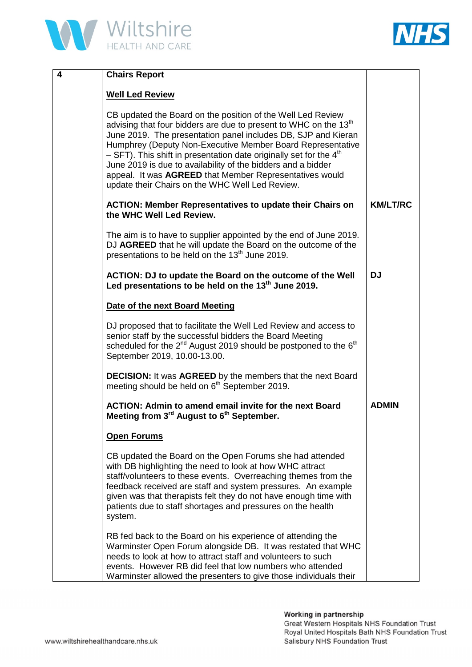



| 4 | <b>Chairs Report</b>                                                                                                                                                                                                                                                                                                                                                                                                                                                                                                                         |                 |
|---|----------------------------------------------------------------------------------------------------------------------------------------------------------------------------------------------------------------------------------------------------------------------------------------------------------------------------------------------------------------------------------------------------------------------------------------------------------------------------------------------------------------------------------------------|-----------------|
|   | <b>Well Led Review</b>                                                                                                                                                                                                                                                                                                                                                                                                                                                                                                                       |                 |
|   | CB updated the Board on the position of the Well Led Review<br>advising that four bidders are due to present to WHC on the 13 <sup>th</sup><br>June 2019. The presentation panel includes DB, SJP and Kieran<br>Humphrey (Deputy Non-Executive Member Board Representative<br>$-$ SFT). This shift in presentation date originally set for the 4 <sup>th</sup><br>June 2019 is due to availability of the bidders and a bidder<br>appeal. It was AGREED that Member Representatives would<br>update their Chairs on the WHC Well Led Review. |                 |
|   | <b>ACTION: Member Representatives to update their Chairs on</b><br>the WHC Well Led Review.                                                                                                                                                                                                                                                                                                                                                                                                                                                  | <b>KM/LT/RC</b> |
|   | The aim is to have to supplier appointed by the end of June 2019.<br>DJ AGREED that he will update the Board on the outcome of the<br>presentations to be held on the 13 <sup>th</sup> June 2019.                                                                                                                                                                                                                                                                                                                                            |                 |
|   | ACTION: DJ to update the Board on the outcome of the Well<br>Led presentations to be held on the 13 <sup>th</sup> June 2019.                                                                                                                                                                                                                                                                                                                                                                                                                 | <b>DJ</b>       |
|   | Date of the next Board Meeting                                                                                                                                                                                                                                                                                                                                                                                                                                                                                                               |                 |
|   | DJ proposed that to facilitate the Well Led Review and access to<br>senior staff by the successful bidders the Board Meeting<br>scheduled for the 2 <sup>nd</sup> August 2019 should be postponed to the 6 <sup>th</sup><br>September 2019, 10.00-13.00.                                                                                                                                                                                                                                                                                     |                 |
|   | <b>DECISION:</b> It was <b>AGREED</b> by the members that the next Board<br>meeting should be held on 6 <sup>th</sup> September 2019.                                                                                                                                                                                                                                                                                                                                                                                                        |                 |
|   | <b>ACTION: Admin to amend email invite for the next Board</b><br>Meeting from 3 <sup>rd</sup> August to 6 <sup>th</sup> September.                                                                                                                                                                                                                                                                                                                                                                                                           | <b>ADMIN</b>    |
|   | <b>Open Forums</b>                                                                                                                                                                                                                                                                                                                                                                                                                                                                                                                           |                 |
|   | CB updated the Board on the Open Forums she had attended<br>with DB highlighting the need to look at how WHC attract<br>staff/volunteers to these events. Overreaching themes from the<br>feedback received are staff and system pressures. An example<br>given was that therapists felt they do not have enough time with<br>patients due to staff shortages and pressures on the health<br>system.                                                                                                                                         |                 |
|   | RB fed back to the Board on his experience of attending the<br>Warminster Open Forum alongside DB. It was restated that WHC<br>needs to look at how to attract staff and volunteers to such<br>events. However RB did feel that low numbers who attended<br>Warminster allowed the presenters to give those individuals their                                                                                                                                                                                                                |                 |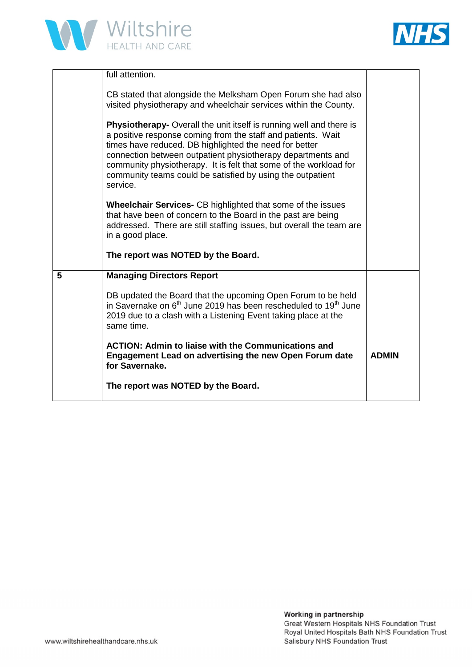



|   | full attention.                                                                                                                                                                                                                                                                                                                                                                                                    |              |
|---|--------------------------------------------------------------------------------------------------------------------------------------------------------------------------------------------------------------------------------------------------------------------------------------------------------------------------------------------------------------------------------------------------------------------|--------------|
|   | CB stated that alongside the Melksham Open Forum she had also<br>visited physiotherapy and wheelchair services within the County.                                                                                                                                                                                                                                                                                  |              |
|   | <b>Physiotherapy-</b> Overall the unit itself is running well and there is<br>a positive response coming from the staff and patients. Wait<br>times have reduced. DB highlighted the need for better<br>connection between outpatient physiotherapy departments and<br>community physiotherapy. It is felt that some of the workload for<br>community teams could be satisfied by using the outpatient<br>service. |              |
|   | <b>Wheelchair Services-</b> CB highlighted that some of the issues<br>that have been of concern to the Board in the past are being<br>addressed. There are still staffing issues, but overall the team are<br>in a good place.                                                                                                                                                                                     |              |
|   | The report was NOTED by the Board.                                                                                                                                                                                                                                                                                                                                                                                 |              |
| 5 | <b>Managing Directors Report</b>                                                                                                                                                                                                                                                                                                                                                                                   |              |
|   | DB updated the Board that the upcoming Open Forum to be held<br>in Savernake on 6 <sup>th</sup> June 2019 has been rescheduled to 19 <sup>th</sup> June<br>2019 due to a clash with a Listening Event taking place at the<br>same time.                                                                                                                                                                            |              |
|   | <b>ACTION: Admin to liaise with the Communications and</b><br><b>Engagement Lead on advertising the new Open Forum date</b><br>for Savernake.                                                                                                                                                                                                                                                                      | <b>ADMIN</b> |
|   | The report was NOTED by the Board.                                                                                                                                                                                                                                                                                                                                                                                 |              |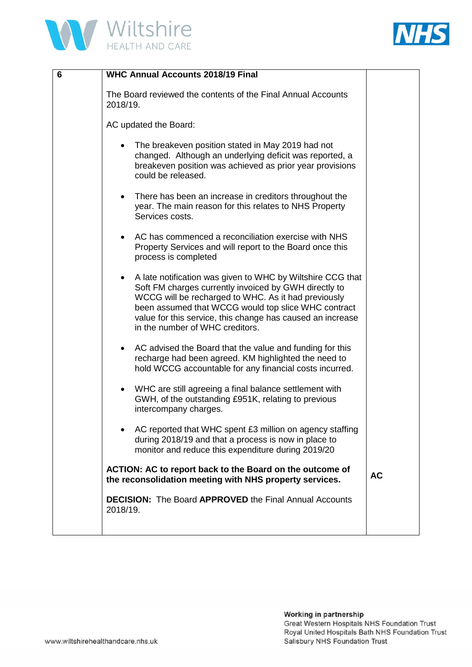



| 6 | <b>WHC Annual Accounts 2018/19 Final</b>                                                                                                                                                                                                                                                                                           |           |
|---|------------------------------------------------------------------------------------------------------------------------------------------------------------------------------------------------------------------------------------------------------------------------------------------------------------------------------------|-----------|
|   | The Board reviewed the contents of the Final Annual Accounts<br>2018/19.                                                                                                                                                                                                                                                           |           |
|   | AC updated the Board:                                                                                                                                                                                                                                                                                                              |           |
|   | The breakeven position stated in May 2019 had not<br>changed. Although an underlying deficit was reported, a<br>breakeven position was achieved as prior year provisions<br>could be released.                                                                                                                                     |           |
|   | There has been an increase in creditors throughout the<br>٠<br>year. The main reason for this relates to NHS Property<br>Services costs.                                                                                                                                                                                           |           |
|   | AC has commenced a reconciliation exercise with NHS<br>Property Services and will report to the Board once this<br>process is completed                                                                                                                                                                                            |           |
|   | A late notification was given to WHC by Wiltshire CCG that<br>Soft FM charges currently invoiced by GWH directly to<br>WCCG will be recharged to WHC. As it had previously<br>been assumed that WCCG would top slice WHC contract<br>value for this service, this change has caused an increase<br>in the number of WHC creditors. |           |
|   | AC advised the Board that the value and funding for this<br>recharge had been agreed. KM highlighted the need to<br>hold WCCG accountable for any financial costs incurred.                                                                                                                                                        |           |
|   | WHC are still agreeing a final balance settlement with<br>GWH, of the outstanding £951K, relating to previous<br>intercompany charges.                                                                                                                                                                                             |           |
|   | AC reported that WHC spent £3 million on agency staffing<br>during 2018/19 and that a process is now in place to<br>monitor and reduce this expenditure during 2019/20                                                                                                                                                             |           |
|   | ACTION: AC to report back to the Board on the outcome of<br>the reconsolidation meeting with NHS property services.                                                                                                                                                                                                                | <b>AC</b> |
|   | <b>DECISION:</b> The Board APPROVED the Final Annual Accounts<br>2018/19.                                                                                                                                                                                                                                                          |           |
|   |                                                                                                                                                                                                                                                                                                                                    |           |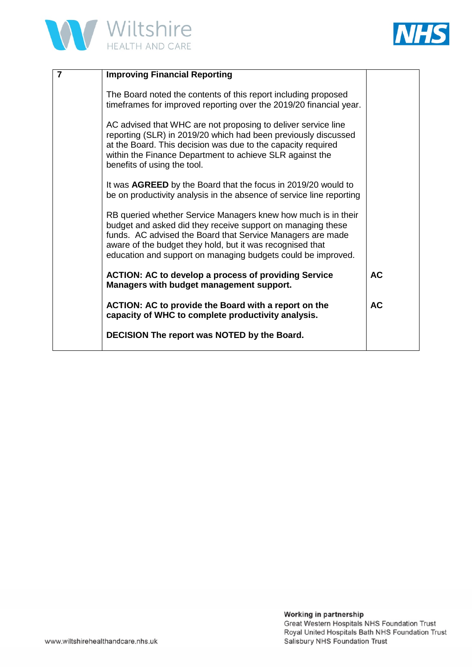



| 7 | <b>Improving Financial Reporting</b>                                                                                                                                                                                                                                                                                    |           |
|---|-------------------------------------------------------------------------------------------------------------------------------------------------------------------------------------------------------------------------------------------------------------------------------------------------------------------------|-----------|
|   | The Board noted the contents of this report including proposed<br>timeframes for improved reporting over the 2019/20 financial year.                                                                                                                                                                                    |           |
|   | AC advised that WHC are not proposing to deliver service line<br>reporting (SLR) in 2019/20 which had been previously discussed<br>at the Board. This decision was due to the capacity required<br>within the Finance Department to achieve SLR against the<br>benefits of using the tool.                              |           |
|   | It was AGREED by the Board that the focus in 2019/20 would to<br>be on productivity analysis in the absence of service line reporting                                                                                                                                                                                   |           |
|   | RB queried whether Service Managers knew how much is in their<br>budget and asked did they receive support on managing these<br>funds. AC advised the Board that Service Managers are made<br>aware of the budget they hold, but it was recognised that<br>education and support on managing budgets could be improved. |           |
|   | <b>ACTION: AC to develop a process of providing Service</b><br>Managers with budget management support.                                                                                                                                                                                                                 | <b>AC</b> |
|   | ACTION: AC to provide the Board with a report on the<br>capacity of WHC to complete productivity analysis.                                                                                                                                                                                                              | <b>AC</b> |
|   | DECISION The report was NOTED by the Board.                                                                                                                                                                                                                                                                             |           |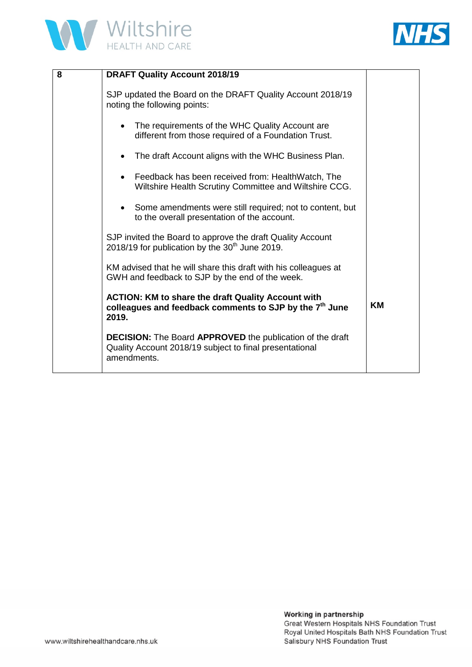



| 8 | <b>DRAFT Quality Account 2018/19</b>                                                                                                       |           |
|---|--------------------------------------------------------------------------------------------------------------------------------------------|-----------|
|   | SJP updated the Board on the DRAFT Quality Account 2018/19<br>noting the following points:                                                 |           |
|   | The requirements of the WHC Quality Account are.<br>different from those required of a Foundation Trust.                                   |           |
|   | The draft Account aligns with the WHC Business Plan.                                                                                       |           |
|   | Feedback has been received from: HealthWatch, The<br>Wiltshire Health Scrutiny Committee and Wiltshire CCG.                                |           |
|   | Some amendments were still required; not to content, but<br>to the overall presentation of the account.                                    |           |
|   | SJP invited the Board to approve the draft Quality Account<br>2018/19 for publication by the 30 <sup>th</sup> June 2019.                   |           |
|   | KM advised that he will share this draft with his colleagues at<br>GWH and feedback to SJP by the end of the week.                         |           |
|   | <b>ACTION: KM to share the draft Quality Account with</b><br>colleagues and feedback comments to SJP by the 7 <sup>th</sup> June<br>2019.  | <b>KM</b> |
|   | <b>DECISION:</b> The Board APPROVED the publication of the draft<br>Quality Account 2018/19 subject to final presentational<br>amendments. |           |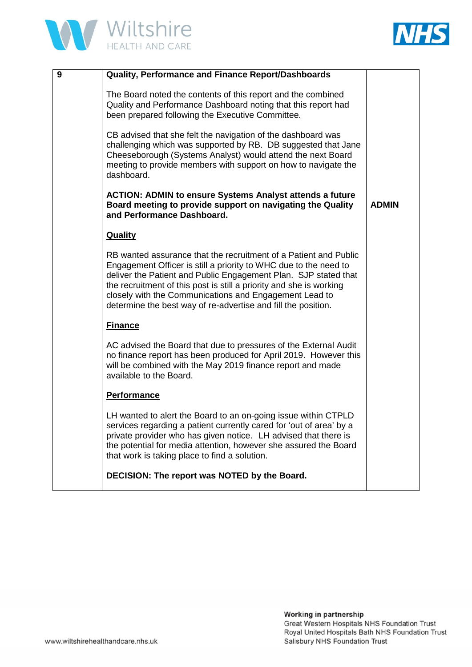



| 9 | <b>Quality, Performance and Finance Report/Dashboards</b>                                                                                                                                                                                                                                                                                                                                                 |              |
|---|-----------------------------------------------------------------------------------------------------------------------------------------------------------------------------------------------------------------------------------------------------------------------------------------------------------------------------------------------------------------------------------------------------------|--------------|
|   |                                                                                                                                                                                                                                                                                                                                                                                                           |              |
|   | The Board noted the contents of this report and the combined<br>Quality and Performance Dashboard noting that this report had<br>been prepared following the Executive Committee.                                                                                                                                                                                                                         |              |
|   | CB advised that she felt the navigation of the dashboard was<br>challenging which was supported by RB. DB suggested that Jane<br>Cheeseborough (Systems Analyst) would attend the next Board<br>meeting to provide members with support on how to navigate the<br>dashboard.                                                                                                                              |              |
|   | <b>ACTION: ADMIN to ensure Systems Analyst attends a future</b><br>Board meeting to provide support on navigating the Quality<br>and Performance Dashboard.                                                                                                                                                                                                                                               | <b>ADMIN</b> |
|   | <b>Quality</b>                                                                                                                                                                                                                                                                                                                                                                                            |              |
|   | RB wanted assurance that the recruitment of a Patient and Public<br>Engagement Officer is still a priority to WHC due to the need to<br>deliver the Patient and Public Engagement Plan. SJP stated that<br>the recruitment of this post is still a priority and she is working<br>closely with the Communications and Engagement Lead to<br>determine the best way of re-advertise and fill the position. |              |
|   | <b>Finance</b>                                                                                                                                                                                                                                                                                                                                                                                            |              |
|   | AC advised the Board that due to pressures of the External Audit<br>no finance report has been produced for April 2019. However this<br>will be combined with the May 2019 finance report and made<br>available to the Board.                                                                                                                                                                             |              |
|   | <b>Performance</b>                                                                                                                                                                                                                                                                                                                                                                                        |              |
|   | LH wanted to alert the Board to an on-going issue within CTPLD<br>services regarding a patient currently cared for 'out of area' by a<br>private provider who has given notice. LH advised that there is<br>the potential for media attention, however she assured the Board<br>that work is taking place to find a solution.                                                                             |              |
|   | DECISION: The report was NOTED by the Board.                                                                                                                                                                                                                                                                                                                                                              |              |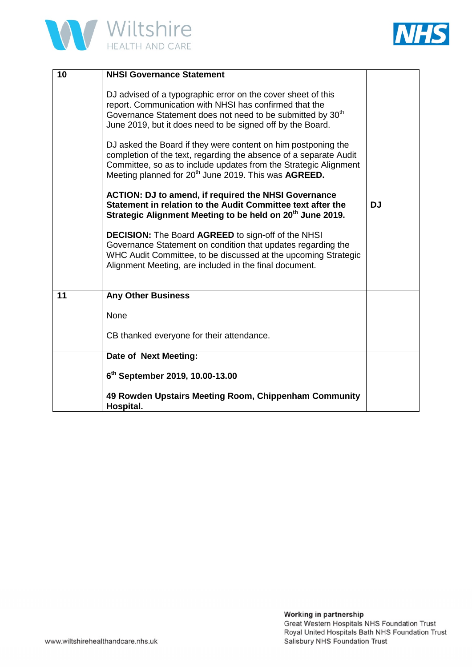



| 10 | <b>NHSI Governance Statement</b>                                                                                                                                                                                                                                                  |           |
|----|-----------------------------------------------------------------------------------------------------------------------------------------------------------------------------------------------------------------------------------------------------------------------------------|-----------|
|    | DJ advised of a typographic error on the cover sheet of this<br>report. Communication with NHSI has confirmed that the<br>Governance Statement does not need to be submitted by 30 <sup>th</sup><br>June 2019, but it does need to be signed off by the Board.                    |           |
|    | DJ asked the Board if they were content on him postponing the<br>completion of the text, regarding the absence of a separate Audit<br>Committee, so as to include updates from the Strategic Alignment<br>Meeting planned for 20 <sup>th</sup> June 2019. This was <b>AGREED.</b> |           |
|    | <b>ACTION: DJ to amend, if required the NHSI Governance</b><br>Statement in relation to the Audit Committee text after the<br>Strategic Alignment Meeting to be held on 20 <sup>th</sup> June 2019.                                                                               | <b>DJ</b> |
|    | <b>DECISION:</b> The Board AGREED to sign-off of the NHSI<br>Governance Statement on condition that updates regarding the<br>WHC Audit Committee, to be discussed at the upcoming Strategic<br>Alignment Meeting, are included in the final document.                             |           |
| 11 | <b>Any Other Business</b>                                                                                                                                                                                                                                                         |           |
|    | None                                                                                                                                                                                                                                                                              |           |
|    | CB thanked everyone for their attendance.                                                                                                                                                                                                                                         |           |
|    | Date of Next Meeting:                                                                                                                                                                                                                                                             |           |
|    | 6 <sup>th</sup> September 2019, 10.00-13.00                                                                                                                                                                                                                                       |           |
|    | 49 Rowden Upstairs Meeting Room, Chippenham Community<br>Hospital.                                                                                                                                                                                                                |           |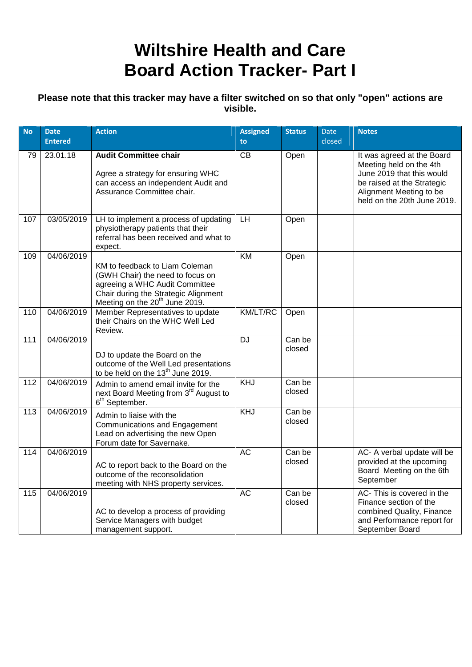# **Wiltshire Health and Care Board Action Tracker- Part I**

### **Please note that this tracker may have a filter switched on so that only "open" actions are visible.**

| <b>No</b> | <b>Date</b><br><b>Entered</b> | <b>Action</b>                                                                                                                                                                              | <b>Assigned</b><br>to | <b>Status</b>    | Date<br>closed | <b>Notes</b>                                                                                                                                                               |
|-----------|-------------------------------|--------------------------------------------------------------------------------------------------------------------------------------------------------------------------------------------|-----------------------|------------------|----------------|----------------------------------------------------------------------------------------------------------------------------------------------------------------------------|
| 79        | 23.01.18                      | <b>Audit Committee chair</b><br>Agree a strategy for ensuring WHC<br>can access an independent Audit and<br>Assurance Committee chair.                                                     | CВ                    | Open             |                | It was agreed at the Board<br>Meeting held on the 4th<br>June 2019 that this would<br>be raised at the Strategic<br>Alignment Meeting to be<br>held on the 20th June 2019. |
| 107       | 03/05/2019                    | LH to implement a process of updating<br>physiotherapy patients that their<br>referral has been received and what to<br>expect.                                                            | LH                    | Open             |                |                                                                                                                                                                            |
| 109       | 04/06/2019                    | KM to feedback to Liam Coleman<br>(GWH Chair) the need to focus on<br>agreeing a WHC Audit Committee<br>Chair during the Strategic Alignment<br>Meeting on the 20 <sup>th</sup> June 2019. | KM                    | Open             |                |                                                                                                                                                                            |
| 110       | 04/06/2019                    | Member Representatives to update<br>their Chairs on the WHC Well Led<br>Review.                                                                                                            | KM/LT/RC              | Open             |                |                                                                                                                                                                            |
| 111       | 04/06/2019                    | DJ to update the Board on the<br>outcome of the Well Led presentations<br>to be held on the 13 <sup>th</sup> June 2019.                                                                    | <b>DJ</b>             | Can be<br>closed |                |                                                                                                                                                                            |
| 112       | 04/06/2019                    | Admin to amend email invite for the<br>next Board Meeting from 3 <sup>rd</sup> August to<br>6 <sup>th</sup> September.                                                                     | KHJ                   | Can be<br>closed |                |                                                                                                                                                                            |
| 113       | 04/06/2019                    | Admin to liaise with the<br><b>Communications and Engagement</b><br>Lead on advertising the new Open<br>Forum date for Savernake.                                                          | KHJ                   | Can be<br>closed |                |                                                                                                                                                                            |
| 114       | 04/06/2019                    | AC to report back to the Board on the<br>outcome of the reconsolidation<br>meeting with NHS property services.                                                                             | <b>AC</b>             | Can be<br>closed |                | AC- A verbal update will be<br>provided at the upcoming<br>Board Meeting on the 6th<br>September                                                                           |
| 115       | 04/06/2019                    | AC to develop a process of providing<br>Service Managers with budget<br>management support.                                                                                                | <b>AC</b>             | Can be<br>closed |                | AC- This is covered in the<br>Finance section of the<br>combined Quality, Finance<br>and Performance report for<br>September Board                                         |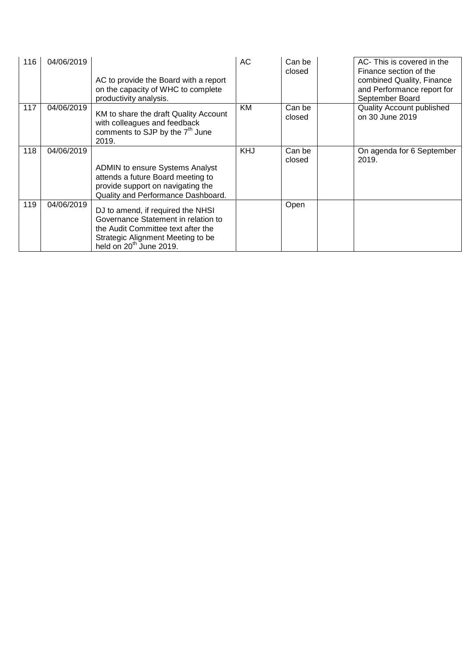| 116 | 04/06/2019 | AC to provide the Board with a report<br>on the capacity of WHC to complete<br>productivity analysis.                                                                                      | AC         | Can be<br>closed | AC- This is covered in the<br>Finance section of the<br>combined Quality, Finance<br>and Performance report for<br>September Board |
|-----|------------|--------------------------------------------------------------------------------------------------------------------------------------------------------------------------------------------|------------|------------------|------------------------------------------------------------------------------------------------------------------------------------|
| 117 | 04/06/2019 | KM to share the draft Quality Account<br>with colleagues and feedback<br>comments to SJP by the 7 <sup>th</sup> June<br>2019.                                                              | KM         | Can be<br>closed | <b>Quality Account published</b><br>on 30 June 2019                                                                                |
| 118 | 04/06/2019 | <b>ADMIN to ensure Systems Analyst</b><br>attends a future Board meeting to<br>provide support on navigating the<br>Quality and Performance Dashboard.                                     | <b>KHJ</b> | Can be<br>closed | On agenda for 6 September<br>2019.                                                                                                 |
| 119 | 04/06/2019 | DJ to amend, if required the NHSI<br>Governance Statement in relation to<br>the Audit Committee text after the<br>Strategic Alignment Meeting to be<br>held on 20 <sup>th</sup> June 2019. |            | Open             |                                                                                                                                    |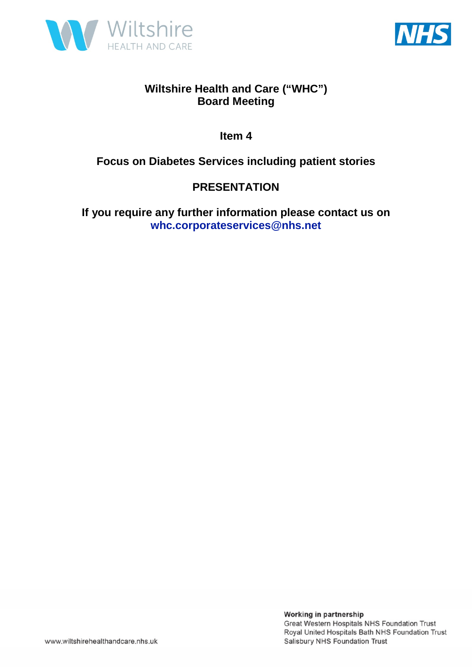



**Item 4** 

**Focus on Diabetes Services including patient stories** 

### **PRESENTATION**

**If you require any further information please contact us on whc.corporateservices@nhs.net**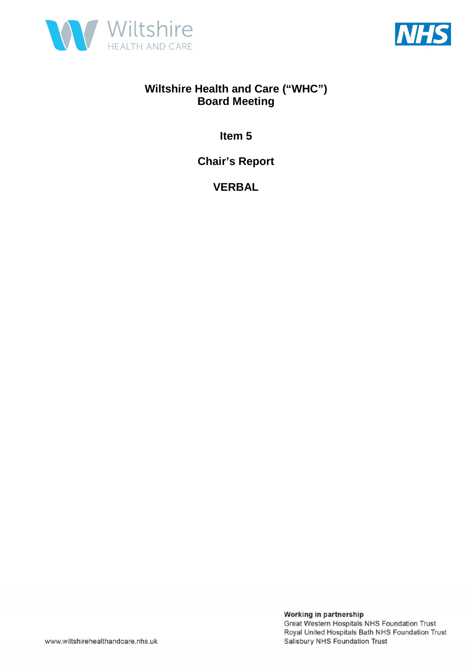



**Item 5** 

**Chair's Report** 

**VERBAL**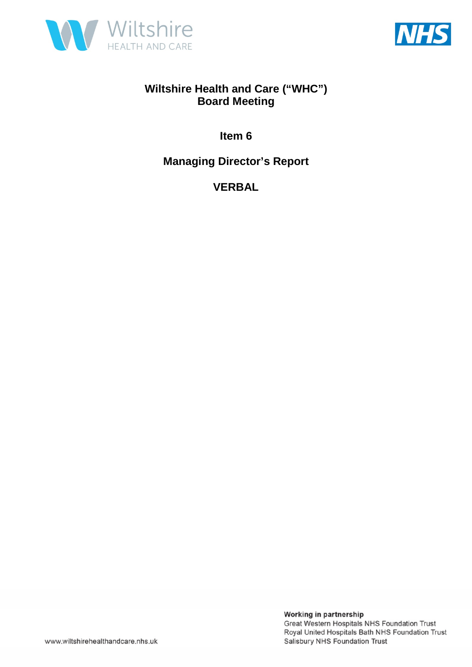



**Item 6** 

**Managing Director's Report** 

**VERBAL**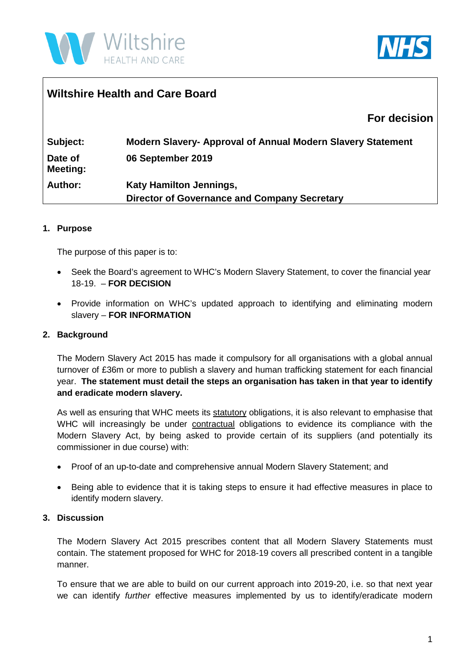



### **Wiltshire Health and Care Board**

### **For decision**

| Subject:                   | <b>Modern Slavery- Approval of Annual Modern Slavery Statement</b> |
|----------------------------|--------------------------------------------------------------------|
| Date of<br><b>Meeting:</b> | 06 September 2019                                                  |
| <b>Author:</b>             | <b>Katy Hamilton Jennings,</b>                                     |
|                            | <b>Director of Governance and Company Secretary</b>                |

#### **1. Purpose**

The purpose of this paper is to:

- Seek the Board's agreement to WHC's Modern Slavery Statement, to cover the financial year 18-19. – **FOR DECISION**
- Provide information on WHC's updated approach to identifying and eliminating modern slavery – **FOR INFORMATION**

#### **2. Background**

The Modern Slavery Act 2015 has made it compulsory for all organisations with a global annual turnover of £36m or more to publish a slavery and human trafficking statement for each financial year. **The statement must detail the steps an organisation has taken in that year to identify and eradicate modern slavery.** 

As well as ensuring that WHC meets its statutory obligations, it is also relevant to emphasise that WHC will increasingly be under contractual obligations to evidence its compliance with the Modern Slavery Act, by being asked to provide certain of its suppliers (and potentially its commissioner in due course) with:

- Proof of an up-to-date and comprehensive annual Modern Slavery Statement; and
- Being able to evidence that it is taking steps to ensure it had effective measures in place to identify modern slavery.

#### **3. Discussion**

The Modern Slavery Act 2015 prescribes content that all Modern Slavery Statements must contain. The statement proposed for WHC for 2018-19 covers all prescribed content in a tangible manner.

To ensure that we are able to build on our current approach into 2019-20, i.e. so that next year we can identify *further* effective measures implemented by us to identify/eradicate modern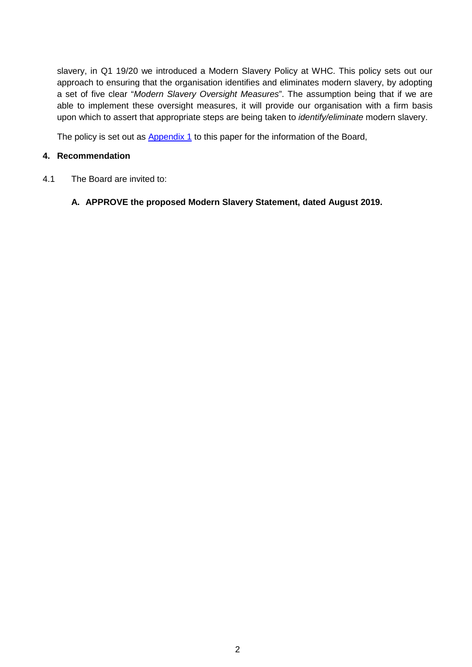slavery, in Q1 19/20 we introduced a Modern Slavery Policy at WHC. This policy sets out our approach to ensuring that the organisation identifies and eliminates modern slavery, by adopting a set of five clear "*Modern Slavery Oversight Measures*". The assumption being that if we are able to implement these oversight measures, it will provide our organisation with a firm basis upon which to assert that appropriate steps are being taken to *identify/eliminate* modern slavery.

The policy is set out as Appendix 1 to this paper for the information of the Board,

#### **4. Recommendation**

4.1 The Board are invited to:

#### **A. APPROVE the proposed Modern Slavery Statement, dated August 2019.**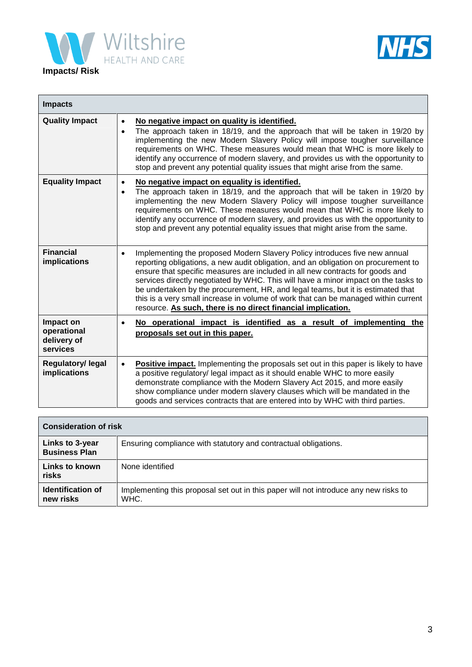



| <b>Impacts</b>                                      |                                                                                                                                                                                                                                                                                                                                                                                                                                                                                                                                                                                               |
|-----------------------------------------------------|-----------------------------------------------------------------------------------------------------------------------------------------------------------------------------------------------------------------------------------------------------------------------------------------------------------------------------------------------------------------------------------------------------------------------------------------------------------------------------------------------------------------------------------------------------------------------------------------------|
| <b>Quality Impact</b>                               | No negative impact on quality is identified.<br>$\bullet$<br>The approach taken in 18/19, and the approach that will be taken in 19/20 by<br>$\bullet$<br>implementing the new Modern Slavery Policy will impose tougher surveillance<br>requirements on WHC. These measures would mean that WHC is more likely to<br>identify any occurrence of modern slavery, and provides us with the opportunity to<br>stop and prevent any potential quality issues that might arise from the same.                                                                                                     |
| <b>Equality Impact</b>                              | No negative impact on equality is identified.<br>$\bullet$<br>The approach taken in 18/19, and the approach that will be taken in 19/20 by<br>$\bullet$<br>implementing the new Modern Slavery Policy will impose tougher surveillance<br>requirements on WHC. These measures would mean that WHC is more likely to<br>identify any occurrence of modern slavery, and provides us with the opportunity to<br>stop and prevent any potential equality issues that might arise from the same.                                                                                                   |
| <b>Financial</b><br>implications                    | Implementing the proposed Modern Slavery Policy introduces five new annual<br>$\bullet$<br>reporting obligations, a new audit obligation, and an obligation on procurement to<br>ensure that specific measures are included in all new contracts for goods and<br>services directly negotiated by WHC. This will have a minor impact on the tasks to<br>be undertaken by the procurement, HR, and legal teams, but it is estimated that<br>this is a very small increase in volume of work that can be managed within current<br>resource. As such, there is no direct financial implication. |
| Impact on<br>operational<br>delivery of<br>services | No operational impact is identified as a result of implementing the<br>$\bullet$<br>proposals set out in this paper.                                                                                                                                                                                                                                                                                                                                                                                                                                                                          |
| Regulatory/ legal<br>implications                   | <b>Positive impact.</b> Implementing the proposals set out in this paper is likely to have<br>$\bullet$<br>a positive regulatory/ legal impact as it should enable WHC to more easily<br>demonstrate compliance with the Modern Slavery Act 2015, and more easily<br>show compliance under modern slavery clauses which will be mandated in the<br>goods and services contracts that are entered into by WHC with third parties.                                                                                                                                                              |

| <b>Consideration of risk</b>            |                                                                                              |  |  |
|-----------------------------------------|----------------------------------------------------------------------------------------------|--|--|
| Links to 3-year<br><b>Business Plan</b> | Ensuring compliance with statutory and contractual obligations.                              |  |  |
| Links to known<br>risks                 | None identified                                                                              |  |  |
| <b>Identification of</b><br>new risks   | Implementing this proposal set out in this paper will not introduce any new risks to<br>WHC. |  |  |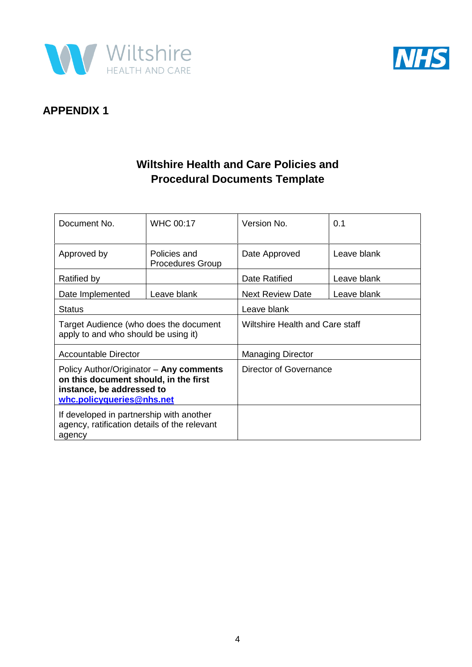



### **APPENDIX 1**

### **Wiltshire Health and Care Policies and Procedural Documents Template**

| Document No.                                                                                                                               | <b>WHC 00:17</b>                        | Version No.                     | 0.1         |  |
|--------------------------------------------------------------------------------------------------------------------------------------------|-----------------------------------------|---------------------------------|-------------|--|
|                                                                                                                                            |                                         |                                 |             |  |
| Approved by                                                                                                                                | Policies and<br><b>Procedures Group</b> | Leave blank<br>Date Approved    |             |  |
| Ratified by                                                                                                                                |                                         | Date Ratified                   | Leave blank |  |
| Date Implemented                                                                                                                           | Leave blank                             | <b>Next Review Date</b>         | Leave blank |  |
| Status                                                                                                                                     |                                         | Leave blank                     |             |  |
| Target Audience (who does the document<br>apply to and who should be using it)                                                             |                                         | Wiltshire Health and Care staff |             |  |
| Accountable Director                                                                                                                       |                                         | <b>Managing Director</b>        |             |  |
| Policy Author/Originator - Any comments<br>on this document should, in the first<br>instance, be addressed to<br>whc.policyqueries@nhs.net |                                         | Director of Governance          |             |  |
| If developed in partnership with another<br>agency, ratification details of the relevant<br>agency                                         |                                         |                                 |             |  |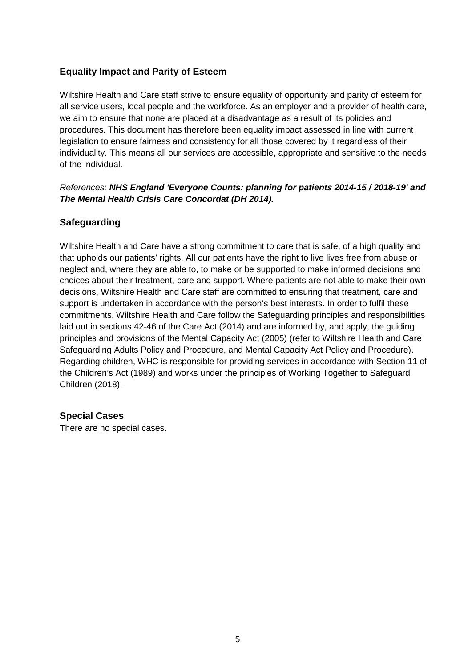#### **Equality Impact and Parity of Esteem**

Wiltshire Health and Care staff strive to ensure equality of opportunity and parity of esteem for all service users, local people and the workforce. As an employer and a provider of health care, we aim to ensure that none are placed at a disadvantage as a result of its policies and procedures. This document has therefore been equality impact assessed in line with current legislation to ensure fairness and consistency for all those covered by it regardless of their individuality. This means all our services are accessible, appropriate and sensitive to the needs of the individual.

#### *References: NHS England 'Everyone Counts: planning for patients 2014-15 / 2018-19' and The Mental Health Crisis Care Concordat (DH 2014).*

#### **Safeguarding**

Wiltshire Health and Care have a strong commitment to care that is safe, of a high quality and that upholds our patients' rights. All our patients have the right to live lives free from abuse or neglect and, where they are able to, to make or be supported to make informed decisions and choices about their treatment, care and support. Where patients are not able to make their own decisions, Wiltshire Health and Care staff are committed to ensuring that treatment, care and support is undertaken in accordance with the person's best interests. In order to fulfil these commitments, Wiltshire Health and Care follow the Safeguarding principles and responsibilities laid out in sections 42-46 of the Care Act (2014) and are informed by, and apply, the guiding principles and provisions of the Mental Capacity Act (2005) (refer to Wiltshire Health and Care Safeguarding Adults Policy and Procedure, and Mental Capacity Act Policy and Procedure). Regarding children, WHC is responsible for providing services in accordance with Section 11 of the Children's Act (1989) and works under the principles of Working Together to Safeguard Children (2018).

#### **Special Cases**

There are no special cases.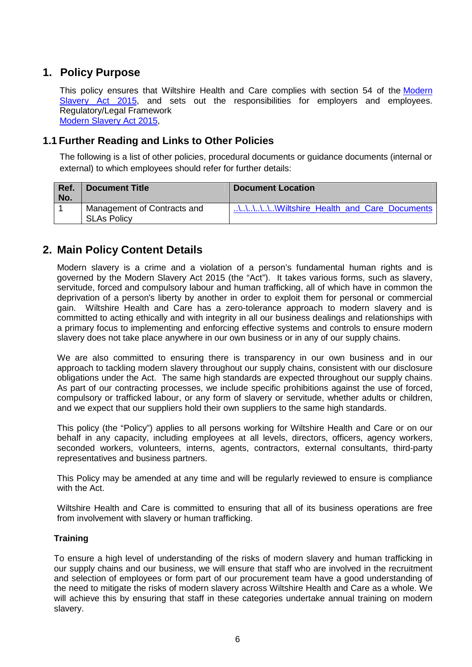### **1. Policy Purpose**

This policy ensures that Wiltshire Health and Care complies with section 54 of the Modern Slavery Act 2015, and sets out the responsibilities for employers and employees. Regulatory/Legal Framework Modern Slavery Act 2015,

#### **1.1 Further Reading and Links to Other Policies**

The following is a list of other policies, procedural documents or guidance documents (internal or external) to which employees should refer for further details:

| Ref.<br>No. | <b>Document Title</b>                             | Document Location                         |
|-------------|---------------------------------------------------|-------------------------------------------|
|             | Management of Contracts and<br><b>SLAs Policy</b> | \\\\\\Wiltshire Health and Care Documents |

### **2. Main Policy Content Details**

Modern slavery is a crime and a violation of a person's fundamental human rights and is governed by the Modern Slavery Act 2015 (the "Act"). It takes various forms, such as slavery, servitude, forced and compulsory labour and human trafficking, all of which have in common the deprivation of a person's liberty by another in order to exploit them for personal or commercial gain. Wiltshire Health and Care has a zero-tolerance approach to modern slavery and is committed to acting ethically and with integrity in all our business dealings and relationships with a primary focus to implementing and enforcing effective systems and controls to ensure modern slavery does not take place anywhere in our own business or in any of our supply chains.

We are also committed to ensuring there is transparency in our own business and in our approach to tackling modern slavery throughout our supply chains, consistent with our disclosure obligations under the Act. The same high standards are expected throughout our supply chains. As part of our contracting processes, we include specific prohibitions against the use of forced, compulsory or trafficked labour, or any form of slavery or servitude, whether adults or children, and we expect that our suppliers hold their own suppliers to the same high standards.

This policy (the "Policy") applies to all persons working for Wiltshire Health and Care or on our behalf in any capacity, including employees at all levels, directors, officers, agency workers, seconded workers, volunteers, interns, agents, contractors, external consultants, third-party representatives and business partners.

This Policy may be amended at any time and will be regularly reviewed to ensure is compliance with the Act.

Wiltshire Health and Care is committed to ensuring that all of its business operations are free from involvement with slavery or human trafficking.

#### **Training**

To ensure a high level of understanding of the risks of modern slavery and human trafficking in our supply chains and our business, we will ensure that staff who are involved in the recruitment and selection of employees or form part of our procurement team have a good understanding of the need to mitigate the risks of modern slavery across Wiltshire Health and Care as a whole. We will achieve this by ensuring that staff in these categories undertake annual training on modern slavery.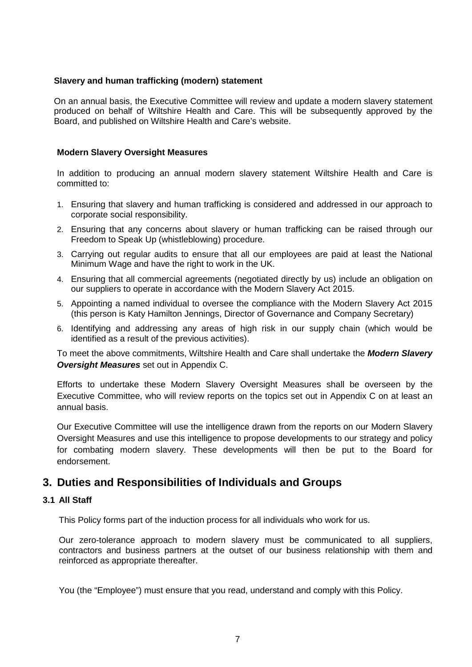#### **Slavery and human trafficking (modern) statement**

On an annual basis, the Executive Committee will review and update a modern slavery statement produced on behalf of Wiltshire Health and Care. This will be subsequently approved by the Board, and published on Wiltshire Health and Care's website.

#### **Modern Slavery Oversight Measures**

In addition to producing an annual modern slavery statement Wiltshire Health and Care is committed to:

- 1. Ensuring that slavery and human trafficking is considered and addressed in our approach to corporate social responsibility.
- 2. Ensuring that any concerns about slavery or human trafficking can be raised through our Freedom to Speak Up (whistleblowing) procedure.
- 3. Carrying out regular audits to ensure that all our employees are paid at least the National Minimum Wage and have the right to work in the UK.
- 4. Ensuring that all commercial agreements (negotiated directly by us) include an obligation on our suppliers to operate in accordance with the Modern Slavery Act 2015.
- 5. Appointing a named individual to oversee the compliance with the Modern Slavery Act 2015 (this person is Katy Hamilton Jennings, Director of Governance and Company Secretary)
- 6. Identifying and addressing any areas of high risk in our supply chain (which would be identified as a result of the previous activities).

To meet the above commitments, Wiltshire Health and Care shall undertake the *Modern Slavery Oversight Measures* set out in Appendix C.

Efforts to undertake these Modern Slavery Oversight Measures shall be overseen by the Executive Committee, who will review reports on the topics set out in Appendix C on at least an annual basis.

Our Executive Committee will use the intelligence drawn from the reports on our Modern Slavery Oversight Measures and use this intelligence to propose developments to our strategy and policy for combating modern slavery. These developments will then be put to the Board for endorsement.

### **3. Duties and Responsibilities of Individuals and Groups**

#### **3.1 All Staff**

This Policy forms part of the induction process for all individuals who work for us.

Our zero-tolerance approach to modern slavery must be communicated to all suppliers, contractors and business partners at the outset of our business relationship with them and reinforced as appropriate thereafter.

You (the "Employee") must ensure that you read, understand and comply with this Policy.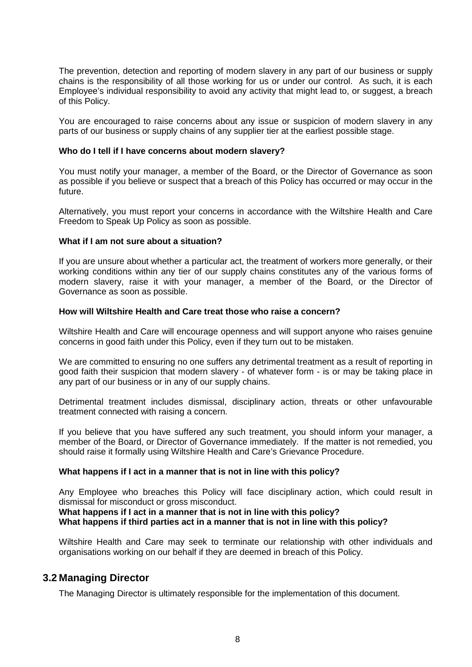The prevention, detection and reporting of modern slavery in any part of our business or supply chains is the responsibility of all those working for us or under our control. As such, it is each Employee's individual responsibility to avoid any activity that might lead to, or suggest, a breach of this Policy.

You are encouraged to raise concerns about any issue or suspicion of modern slavery in any parts of our business or supply chains of any supplier tier at the earliest possible stage.

#### **Who do I tell if I have concerns about modern slavery?**

You must notify your manager, a member of the Board, or the Director of Governance as soon as possible if you believe or suspect that a breach of this Policy has occurred or may occur in the future.

Alternatively, you must report your concerns in accordance with the Wiltshire Health and Care Freedom to Speak Up Policy as soon as possible.

#### **What if I am not sure about a situation?**

If you are unsure about whether a particular act, the treatment of workers more generally, or their working conditions within any tier of our supply chains constitutes any of the various forms of modern slavery, raise it with your manager, a member of the Board, or the Director of Governance as soon as possible.

#### **How will Wiltshire Health and Care treat those who raise a concern?**

Wiltshire Health and Care will encourage openness and will support anyone who raises genuine concerns in good faith under this Policy, even if they turn out to be mistaken.

We are committed to ensuring no one suffers any detrimental treatment as a result of reporting in good faith their suspicion that modern slavery - of whatever form - is or may be taking place in any part of our business or in any of our supply chains.

Detrimental treatment includes dismissal, disciplinary action, threats or other unfavourable treatment connected with raising a concern.

If you believe that you have suffered any such treatment, you should inform your manager, a member of the Board, or Director of Governance immediately. If the matter is not remedied, you should raise it formally using Wiltshire Health and Care's Grievance Procedure.

#### **What happens if I act in a manner that is not in line with this policy?**

Any Employee who breaches this Policy will face disciplinary action, which could result in dismissal for misconduct or gross misconduct.

**What happens if I act in a manner that is not in line with this policy?** 

#### **What happens if third parties act in a manner that is not in line with this policy?**

Wiltshire Health and Care may seek to terminate our relationship with other individuals and organisations working on our behalf if they are deemed in breach of this Policy.

#### **3.2 Managing Director**

The Managing Director is ultimately responsible for the implementation of this document.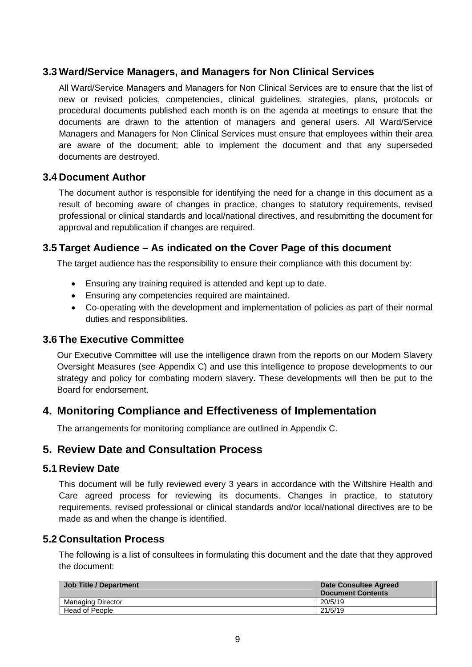### **3.3 Ward/Service Managers, and Managers for Non Clinical Services**

All Ward/Service Managers and Managers for Non Clinical Services are to ensure that the list of new or revised policies, competencies, clinical guidelines, strategies, plans, protocols or procedural documents published each month is on the agenda at meetings to ensure that the documents are drawn to the attention of managers and general users. All Ward/Service Managers and Managers for Non Clinical Services must ensure that employees within their area are aware of the document; able to implement the document and that any superseded documents are destroyed.

#### **3.4 Document Author**

The document author is responsible for identifying the need for a change in this document as a result of becoming aware of changes in practice, changes to statutory requirements, revised professional or clinical standards and local/national directives, and resubmitting the document for approval and republication if changes are required.

#### **3.5 Target Audience – As indicated on the Cover Page of this document**

The target audience has the responsibility to ensure their compliance with this document by:

- Ensuring any training required is attended and kept up to date.
- Ensuring any competencies required are maintained.
- Co-operating with the development and implementation of policies as part of their normal duties and responsibilities.

#### **3.6 The Executive Committee**

Our Executive Committee will use the intelligence drawn from the reports on our Modern Slavery Oversight Measures (see Appendix C) and use this intelligence to propose developments to our strategy and policy for combating modern slavery. These developments will then be put to the Board for endorsement.

### **4. Monitoring Compliance and Effectiveness of Implementation**

The arrangements for monitoring compliance are outlined in Appendix C.

#### **5. Review Date and Consultation Process**

#### **5.1 Review Date**

This document will be fully reviewed every 3 years in accordance with the Wiltshire Health and Care agreed process for reviewing its documents. Changes in practice, to statutory requirements, revised professional or clinical standards and/or local/national directives are to be made as and when the change is identified.

#### **5.2 Consultation Process**

The following is a list of consultees in formulating this document and the date that they approved the document:

| <b>Job Title / Department</b> | <b>Date Consultee Agreed</b><br>Document Contents |
|-------------------------------|---------------------------------------------------|
| Managing Director             | 20/5/19                                           |
| <b>Head of People</b>         | 21/5/19                                           |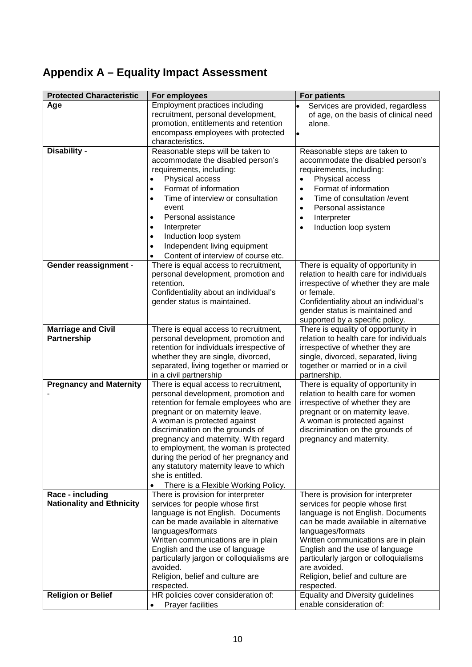## **Appendix A – Equality Impact Assessment**

| <b>Protected Characteristic</b>                      | For employees                                                                                                                                                                                                                                                                                                                                                                                                                                                 | <b>For patients</b>                                                                                                                                                                                                                                                                                                                                           |
|------------------------------------------------------|---------------------------------------------------------------------------------------------------------------------------------------------------------------------------------------------------------------------------------------------------------------------------------------------------------------------------------------------------------------------------------------------------------------------------------------------------------------|---------------------------------------------------------------------------------------------------------------------------------------------------------------------------------------------------------------------------------------------------------------------------------------------------------------------------------------------------------------|
| Age                                                  | Employment practices including<br>recruitment, personal development,<br>promotion, entitlements and retention<br>encompass employees with protected<br>characteristics.                                                                                                                                                                                                                                                                                       | Services are provided, regardless<br>of age, on the basis of clinical need<br>alone.<br>$\bullet$                                                                                                                                                                                                                                                             |
| Disability -                                         | Reasonable steps will be taken to<br>accommodate the disabled person's<br>requirements, including:<br>Physical access<br>Format of information<br>$\bullet$<br>Time of interview or consultation<br>event<br>Personal assistance<br>$\bullet$<br>Interpreter<br>Induction loop system<br>$\bullet$<br>Independent living equipment<br>$\bullet$<br>Content of interview of course etc.                                                                        | Reasonable steps are taken to<br>accommodate the disabled person's<br>requirements, including:<br>Physical access<br>$\bullet$<br>Format of information<br>$\bullet$<br>Time of consultation / event<br>$\bullet$<br>Personal assistance<br>$\bullet$<br>Interpreter<br>$\bullet$<br>Induction loop system<br>$\bullet$                                       |
| <b>Gender reassignment -</b>                         | There is equal access to recruitment,<br>personal development, promotion and<br>retention.<br>Confidentiality about an individual's<br>gender status is maintained.                                                                                                                                                                                                                                                                                           | There is equality of opportunity in<br>relation to health care for individuals<br>irrespective of whether they are male<br>or female.<br>Confidentiality about an individual's<br>gender status is maintained and<br>supported by a specific policy.                                                                                                          |
| <b>Marriage and Civil</b><br><b>Partnership</b>      | There is equal access to recruitment,<br>personal development, promotion and<br>retention for individuals irrespective of<br>whether they are single, divorced,<br>separated, living together or married or<br>in a civil partnership                                                                                                                                                                                                                         | There is equality of opportunity in<br>relation to health care for individuals<br>irrespective of whether they are<br>single, divorced, separated, living<br>together or married or in a civil<br>partnership.                                                                                                                                                |
| <b>Pregnancy and Maternity</b>                       | There is equal access to recruitment,<br>personal development, promotion and<br>retention for female employees who are<br>pregnant or on maternity leave.<br>A woman is protected against<br>discrimination on the grounds of<br>pregnancy and maternity. With regard<br>to employment, the woman is protected<br>during the period of her pregnancy and<br>any statutory maternity leave to which<br>she is entitled.<br>There is a Flexible Working Policy. | There is equality of opportunity in<br>relation to health care for women<br>irrespective of whether they are<br>pregnant or on maternity leave.<br>A woman is protected against<br>discrimination on the grounds of<br>pregnancy and maternity.                                                                                                               |
| Race - including<br><b>Nationality and Ethnicity</b> | There is provision for interpreter<br>services for people whose first<br>language is not English. Documents<br>can be made available in alternative<br>languages/formats<br>Written communications are in plain<br>English and the use of language<br>particularly jargon or colloquialisms are<br>avoided.<br>Religion, belief and culture are<br>respected.                                                                                                 | There is provision for interpreter<br>services for people whose first<br>language is not English. Documents<br>can be made available in alternative<br>languages/formats<br>Written communications are in plain<br>English and the use of language<br>particularly jargon or colloquialisms<br>are avoided.<br>Religion, belief and culture are<br>respected. |
| <b>Religion or Belief</b>                            | HR policies cover consideration of:<br><b>Prayer facilities</b><br>$\bullet$                                                                                                                                                                                                                                                                                                                                                                                  | Equality and Diversity guidelines<br>enable consideration of:                                                                                                                                                                                                                                                                                                 |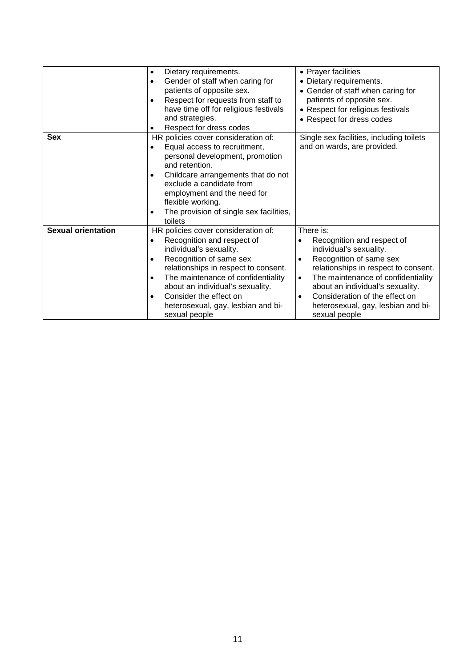|                           | Dietary requirements.<br>$\bullet$<br>Gender of staff when caring for<br>$\bullet$                                                                                                                                                                                                                                                                                             | • Prayer facilities<br>• Dietary requirements.                                                                                                                                                                                                                                                                                                       |
|---------------------------|--------------------------------------------------------------------------------------------------------------------------------------------------------------------------------------------------------------------------------------------------------------------------------------------------------------------------------------------------------------------------------|------------------------------------------------------------------------------------------------------------------------------------------------------------------------------------------------------------------------------------------------------------------------------------------------------------------------------------------------------|
|                           | patients of opposite sex.<br>Respect for requests from staff to<br>$\bullet$<br>have time off for religious festivals<br>and strategies.                                                                                                                                                                                                                                       | • Gender of staff when caring for<br>patients of opposite sex.<br>• Respect for religious festivals<br>• Respect for dress codes                                                                                                                                                                                                                     |
|                           | Respect for dress codes<br>$\bullet$                                                                                                                                                                                                                                                                                                                                           |                                                                                                                                                                                                                                                                                                                                                      |
| <b>Sex</b>                | HR policies cover consideration of:<br>Equal access to recruitment,<br>$\bullet$<br>personal development, promotion<br>and retention.<br>Childcare arrangements that do not<br>$\bullet$<br>exclude a candidate from<br>employment and the need for<br>flexible working.<br>The provision of single sex facilities,<br>٠<br>toilets                                            | Single sex facilities, including toilets<br>and on wards, are provided.                                                                                                                                                                                                                                                                              |
| <b>Sexual orientation</b> | HR policies cover consideration of:<br>Recognition and respect of<br>$\bullet$<br>individual's sexuality.<br>Recognition of same sex<br>$\bullet$<br>relationships in respect to consent.<br>The maintenance of confidentiality<br>$\bullet$<br>about an individual's sexuality.<br>Consider the effect on<br>$\bullet$<br>heterosexual, gay, lesbian and bi-<br>sexual people | There is:<br>Recognition and respect of<br>$\bullet$<br>individual's sexuality.<br>Recognition of same sex<br>٠<br>relationships in respect to consent.<br>The maintenance of confidentiality<br>$\bullet$<br>about an individual's sexuality.<br>Consideration of the effect on<br>$\bullet$<br>heterosexual, gay, lesbian and bi-<br>sexual people |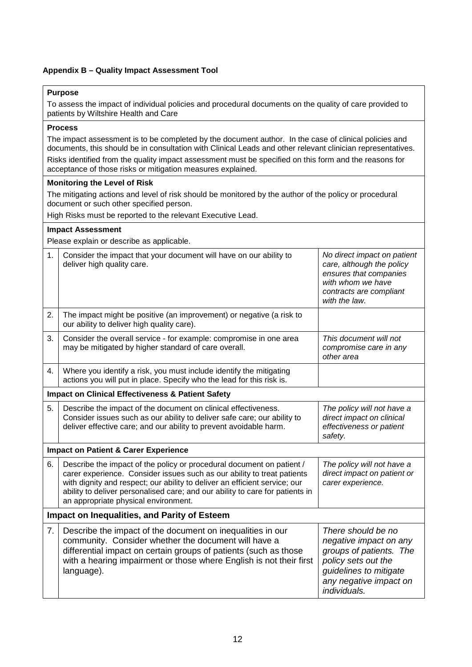#### **Appendix B – Quality Impact Assessment Tool**

#### **Purpose**

To assess the impact of individual policies and procedural documents on the quality of care provided to patients by Wiltshire Health and Care

#### **Process**

The impact assessment is to be completed by the document author. In the case of clinical policies and documents, this should be in consultation with Clinical Leads and other relevant clinician representatives.

Risks identified from the quality impact assessment must be specified on this form and the reasons for acceptance of those risks or mitigation measures explained.

#### **Monitoring the Level of Risk**

The mitigating actions and level of risk should be monitored by the author of the policy or procedural document or such other specified person.

High Risks must be reported to the relevant Executive Lead.

**Impact Assessment** 

Please explain or describe as applicable.

| 1. | Consider the impact that your document will have on our ability to<br>deliver high quality care.                                                                                                                                                                                                                                                        | No direct impact on patient<br>care, although the policy<br>ensures that companies<br>with whom we have<br>contracts are compliant<br>with the law.                |
|----|---------------------------------------------------------------------------------------------------------------------------------------------------------------------------------------------------------------------------------------------------------------------------------------------------------------------------------------------------------|--------------------------------------------------------------------------------------------------------------------------------------------------------------------|
| 2. | The impact might be positive (an improvement) or negative (a risk to<br>our ability to deliver high quality care).                                                                                                                                                                                                                                      |                                                                                                                                                                    |
| 3. | Consider the overall service - for example: compromise in one area<br>may be mitigated by higher standard of care overall.                                                                                                                                                                                                                              | This document will not<br>compromise care in any<br>other area                                                                                                     |
| 4. | Where you identify a risk, you must include identify the mitigating<br>actions you will put in place. Specify who the lead for this risk is.                                                                                                                                                                                                            |                                                                                                                                                                    |
|    | <b>Impact on Clinical Effectiveness &amp; Patient Safety</b>                                                                                                                                                                                                                                                                                            |                                                                                                                                                                    |
| 5. | Describe the impact of the document on clinical effectiveness.<br>Consider issues such as our ability to deliver safe care; our ability to<br>deliver effective care; and our ability to prevent avoidable harm.                                                                                                                                        | The policy will not have a<br>direct impact on clinical<br>effectiveness or patient<br>safety.                                                                     |
|    | <b>Impact on Patient &amp; Carer Experience</b>                                                                                                                                                                                                                                                                                                         |                                                                                                                                                                    |
| 6. | Describe the impact of the policy or procedural document on patient /<br>carer experience. Consider issues such as our ability to treat patients<br>with dignity and respect; our ability to deliver an efficient service; our<br>ability to deliver personalised care; and our ability to care for patients in<br>an appropriate physical environment. | The policy will not have a<br>direct impact on patient or<br>carer experience.                                                                                     |
|    | <b>Impact on Inequalities, and Parity of Esteem</b>                                                                                                                                                                                                                                                                                                     |                                                                                                                                                                    |
| 7. | Describe the impact of the document on inequalities in our<br>community. Consider whether the document will have a<br>differential impact on certain groups of patients (such as those<br>with a hearing impairment or those where English is not their first<br>language).                                                                             | There should be no<br>negative impact on any<br>groups of patients. The<br>policy sets out the<br>guidelines to mitigate<br>any negative impact on<br>individuals. |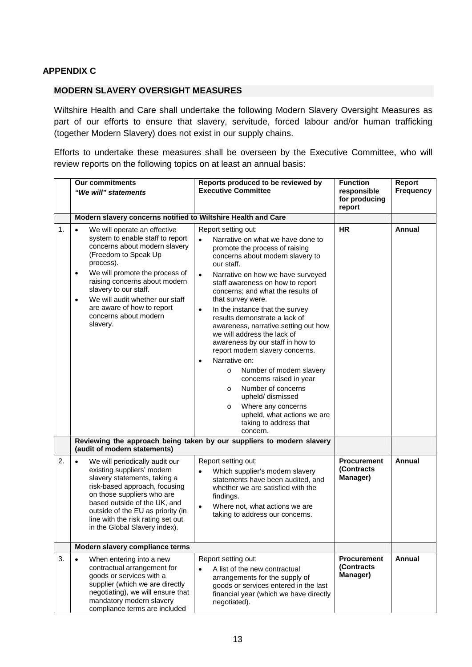#### **APPENDIX C**

#### **MODERN SLAVERY OVERSIGHT MEASURES**

Wiltshire Health and Care shall undertake the following Modern Slavery Oversight Measures as part of our efforts to ensure that slavery, servitude, forced labour and/or human trafficking (together Modern Slavery) does not exist in our supply chains.

Efforts to undertake these measures shall be overseen by the Executive Committee, who will review reports on the following topics on at least an annual basis:

|    | <b>Our commitments</b><br>"We will" statements                                                                                                                                                                                                                                                                                                                                  | Reports produced to be reviewed by<br><b>Executive Committee</b>                                                                                                                                                                                                                                                                                                                                                                                                                                                                                                                                                                                                                                                                                                            | <b>Function</b><br>responsible<br>for producing<br>report | Report<br><b>Frequency</b> |
|----|---------------------------------------------------------------------------------------------------------------------------------------------------------------------------------------------------------------------------------------------------------------------------------------------------------------------------------------------------------------------------------|-----------------------------------------------------------------------------------------------------------------------------------------------------------------------------------------------------------------------------------------------------------------------------------------------------------------------------------------------------------------------------------------------------------------------------------------------------------------------------------------------------------------------------------------------------------------------------------------------------------------------------------------------------------------------------------------------------------------------------------------------------------------------------|-----------------------------------------------------------|----------------------------|
|    | Modern slavery concerns notified to Wiltshire Health and Care                                                                                                                                                                                                                                                                                                                   |                                                                                                                                                                                                                                                                                                                                                                                                                                                                                                                                                                                                                                                                                                                                                                             |                                                           |                            |
| 1. | We will operate an effective<br>$\bullet$<br>system to enable staff to report<br>concerns about modern slavery<br>(Freedom to Speak Up<br>process).<br>We will promote the process of<br>$\bullet$<br>raising concerns about modern<br>slavery to our staff.<br>We will audit whether our staff<br>$\bullet$<br>are aware of how to report<br>concerns about modern<br>slavery. | Report setting out:<br>Narrative on what we have done to<br>promote the process of raising<br>concerns about modern slavery to<br>our staff.<br>Narrative on how we have surveyed<br>$\bullet$<br>staff awareness on how to report<br>concerns; and what the results of<br>that survey were.<br>In the instance that the survey<br>$\bullet$<br>results demonstrate a lack of<br>awareness, narrative setting out how<br>we will address the lack of<br>awareness by our staff in how to<br>report modern slavery concerns.<br>Narrative on:<br>$\bullet$<br>Number of modern slavery<br>$\circ$<br>concerns raised in year<br>Number of concerns<br>$\circ$<br>upheld/ dismissed<br>Where any concerns<br>$\circ$<br>upheld, what actions we are<br>taking to address that | <b>HR</b>                                                 | <b>Annual</b>              |
|    |                                                                                                                                                                                                                                                                                                                                                                                 | concern.                                                                                                                                                                                                                                                                                                                                                                                                                                                                                                                                                                                                                                                                                                                                                                    |                                                           |                            |
|    | (audit of modern statements)                                                                                                                                                                                                                                                                                                                                                    | Reviewing the approach being taken by our suppliers to modern slavery                                                                                                                                                                                                                                                                                                                                                                                                                                                                                                                                                                                                                                                                                                       |                                                           |                            |
| 2. | $\bullet$<br>We will periodically audit our<br>existing suppliers' modern<br>slavery statements, taking a<br>risk-based approach, focusing<br>on those suppliers who are<br>based outside of the UK, and<br>outside of the EU as priority (in<br>line with the risk rating set out<br>in the Global Slavery index).                                                             | Report setting out:<br>Which supplier's modern slavery<br>statements have been audited, and<br>whether we are satisfied with the<br>findings.<br>Where not, what actions we are<br>$\bullet$<br>taking to address our concerns.                                                                                                                                                                                                                                                                                                                                                                                                                                                                                                                                             | <b>Procurement</b><br>(Contracts<br>Manager)              | Annual                     |
|    | Modern slavery compliance terms                                                                                                                                                                                                                                                                                                                                                 |                                                                                                                                                                                                                                                                                                                                                                                                                                                                                                                                                                                                                                                                                                                                                                             |                                                           |                            |
| 3. | When entering into a new<br>$\bullet$<br>contractual arrangement for<br>goods or services with a<br>supplier (which we are directly<br>negotiating), we will ensure that<br>mandatory modern slavery<br>compliance terms are included                                                                                                                                           | Report setting out:<br>A list of the new contractual<br>arrangements for the supply of<br>goods or services entered in the last<br>financial year (which we have directly<br>negotiated).                                                                                                                                                                                                                                                                                                                                                                                                                                                                                                                                                                                   | <b>Procurement</b><br><i><b>Contracts</b></i><br>Manager) | Annual                     |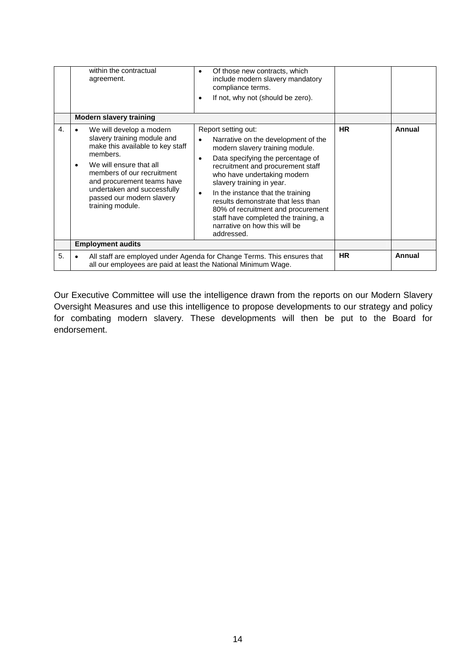|    | within the contractual<br>agreement.                                                                                                                                                                                                                                                        | Of those new contracts, which<br>include modern slavery mandatory<br>compliance terms.<br>If not, why not (should be zero).                                                                                                                                                                                                                                                                                                                 |           |        |
|----|---------------------------------------------------------------------------------------------------------------------------------------------------------------------------------------------------------------------------------------------------------------------------------------------|---------------------------------------------------------------------------------------------------------------------------------------------------------------------------------------------------------------------------------------------------------------------------------------------------------------------------------------------------------------------------------------------------------------------------------------------|-----------|--------|
|    | <b>Modern slavery training</b>                                                                                                                                                                                                                                                              |                                                                                                                                                                                                                                                                                                                                                                                                                                             |           |        |
| 4. | We will develop a modern<br>slavery training module and<br>make this available to key staff<br>members.<br>We will ensure that all<br>$\bullet$<br>members of our recruitment<br>and procurement teams have<br>undertaken and successfully<br>passed our modern slavery<br>training module. | Report setting out:<br>Narrative on the development of the<br>modern slavery training module.<br>Data specifying the percentage of<br>recruitment and procurement staff<br>who have undertaking modern<br>slavery training in year.<br>In the instance that the training<br>results demonstrate that less than<br>80% of recruitment and procurement<br>staff have completed the training, a<br>narrative on how this will be<br>addressed. | <b>HR</b> | Annual |
|    | <b>Employment audits</b>                                                                                                                                                                                                                                                                    |                                                                                                                                                                                                                                                                                                                                                                                                                                             |           |        |
| 5. | all our employees are paid at least the National Minimum Wage.                                                                                                                                                                                                                              | All staff are employed under Agenda for Change Terms. This ensures that                                                                                                                                                                                                                                                                                                                                                                     | <b>HR</b> | Annual |

Our Executive Committee will use the intelligence drawn from the reports on our Modern Slavery Oversight Measures and use this intelligence to propose developments to our strategy and policy for combating modern slavery. These developments will then be put to the Board for endorsement.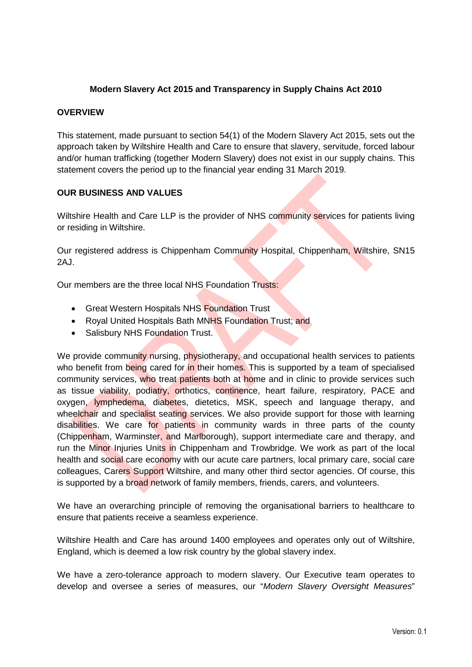#### **Modern Slavery Act 2015 and Transparency in Supply Chains Act 2010**

#### **OVERVIEW**

This statement, made pursuant to section 54(1) of the Modern Slavery Act 2015, sets out the approach taken by Wiltshire Health and Care to ensure that slavery, servitude, forced labour and/or human trafficking (together Modern Slavery) does not exist in our supply chains. This statement covers the period up to the financial year ending 31 March 2019.

#### **OUR BUSINESS AND VALUES**

Wiltshire Health and Care LLP is the provider of NHS community services for patients living or residing in Wiltshire.

Our registered address is Chippenham Community Hospital, Chippenham, Wiltshire, SN15 2AJ.

Our members are the three local NHS Foundation Trusts:

- Great Western Hospitals NHS Foundation Trust
- Royal United Hospitals Bath MNHS Foundation Trust; and
- Salisbury NHS Foundation Trust.

We provide community nursing, physiotherapy, and occupational health services to patients who benefit from being cared for in their homes. This is supported by a team of specialised community services, who treat patients both at home and in clinic to provide services such as tissue viability, podiatry, orthotics, continence, heart failure, respiratory, PACE and oxygen, lymphedema, diabetes, dietetics, MSK, speech and language therapy, and wheelchair and specialist seating services. We also provide support for those with learning disabilities. We care for patients in community wards in three parts of the county (Chippenham, Warminster, and Marlborough), support intermediate care and therapy, and run the Minor Injuries Units in Chippenham and Trowbridge. We work as part of the local health and social care economy with our acute care partners, local primary care, social care colleagues, Carers Support Wiltshire, and many other third sector agencies. Of course, this is supported by a broad network of family members, friends, carers, and volunteers.

We have an overarching principle of removing the organisational barriers to healthcare to ensure that patients receive a seamless experience.

Wiltshire Health and Care has around 1400 employees and operates only out of Wiltshire, England, which is deemed a low risk country by the global slavery index.

We have a zero-tolerance approach to modern slavery. Our Executive team operates to develop and oversee a series of measures, our "*Modern Slavery Oversight Measures*"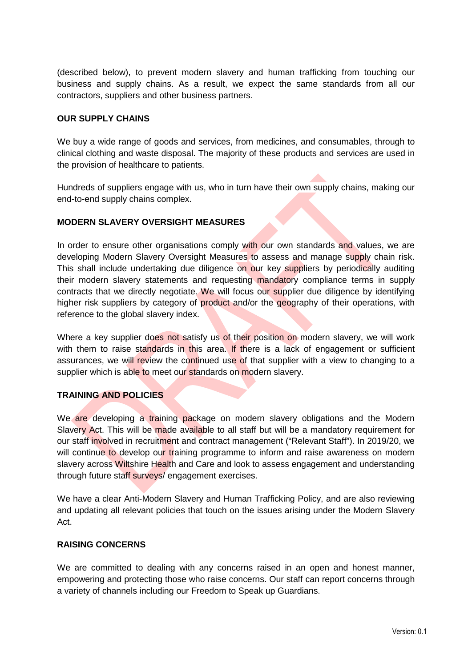(described below), to prevent modern slavery and human trafficking from touching our business and supply chains. As a result, we expect the same standards from all our contractors, suppliers and other business partners.

#### **OUR SUPPLY CHAINS**

We buy a wide range of goods and services, from medicines, and consumables, through to clinical clothing and waste disposal. The majority of these products and services are used in the provision of healthcare to patients.

Hundreds of suppliers engage with us, who in turn have their own supply chains, making our end-to-end supply chains complex.

#### **MODERN SLAVERY OVERSIGHT MEASURES**

In order to ensure other organisations comply with our own standards and values, we are developing Modern Slavery Oversight Measures to assess and manage supply chain risk. This shall include undertaking due diligence on our key suppliers by periodically auditing their modern slavery statements and requesting mandatory compliance terms in supply contracts that we directly negotiate. We will focus our supplier due diligence by identifying higher risk suppliers by category of **product** and/or the geography of their operations, with reference to the global slavery index.

Where a key supplier does not satisfy us of their position on modern slavery, we will work with them to raise standards in this area. If there is a lack of engagement or sufficient assurances, we will review the continued use of that supplier with a view to changing to a supplier which is able to meet our standards on modern slavery.

#### **TRAINING AND POLICIES**

We are developing a training package on modern slavery obligations and the Modern Slavery Act. This will be made available to all staff but will be a mandatory requirement for our staff involved in recruitment and contract management ("Relevant Staff"). In 2019/20, we will continue to develop our training programme to inform and raise awareness on modern slavery across Wiltshire Health and Care and look to assess engagement and understanding through future staff surveys/ engagement exercises.

We have a clear Anti-Modern Slavery and Human Trafficking Policy, and are also reviewing and updating all relevant policies that touch on the issues arising under the Modern Slavery Act.

#### **RAISING CONCERNS**

We are committed to dealing with any concerns raised in an open and honest manner, empowering and protecting those who raise concerns. Our staff can report concerns through a variety of channels including our Freedom to Speak up Guardians.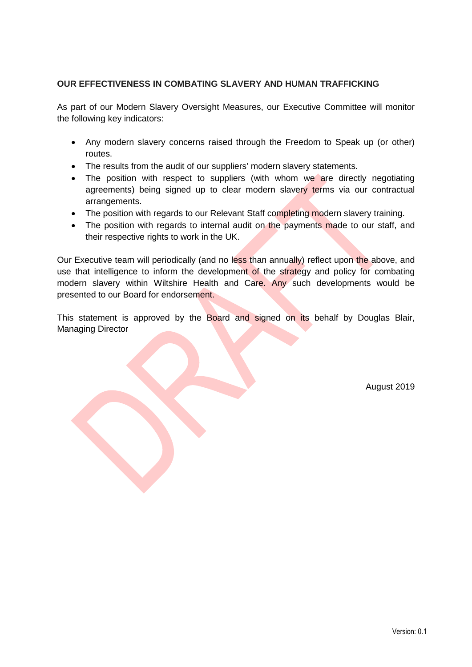#### **OUR EFFECTIVENESS IN COMBATING SLAVERY AND HUMAN TRAFFICKING**

As part of our Modern Slavery Oversight Measures, our Executive Committee will monitor the following key indicators:

- Any modern slavery concerns raised through the Freedom to Speak up (or other) routes.
- The results from the audit of our suppliers' modern slavery statements.
- The position with respect to suppliers (with whom we are directly negotiating agreements) being signed up to clear modern slavery terms via our contractual arrangements.
- The position with regards to our Relevant Staff completing modern slavery training.
- The position with regards to internal audit on the payments made to our staff, and their respective rights to work in the UK.

Our Executive team will periodically (and no less than annually) reflect upon the above, and use that intelligence to inform the development of the strategy and policy for combating modern slavery within Wiltshire Health and Care. Any such developments would be presented to our Board for endorsement.

This statement is approved by the Board and signed on its behalf by Douglas Blair, Managing Director

August 2019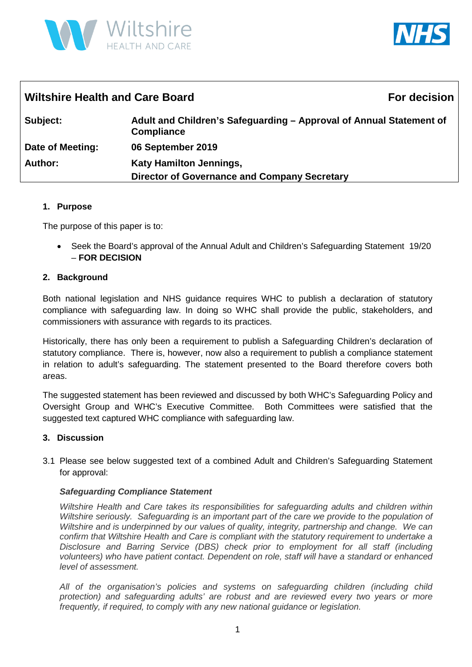



| <b>Wiltshire Health and Care Board</b> | <b>For decision</b>                                                                      |  |
|----------------------------------------|------------------------------------------------------------------------------------------|--|
| Subject:                               | Adult and Children's Safeguarding – Approval of Annual Statement of<br><b>Compliance</b> |  |
| Date of Meeting:                       | 06 September 2019                                                                        |  |
| <b>Author:</b>                         | <b>Katy Hamilton Jennings,</b><br><b>Director of Governance and Company Secretary</b>    |  |

#### **1. Purpose**

The purpose of this paper is to:

• Seek the Board's approval of the Annual Adult and Children's Safeguarding Statement 19/20 – **FOR DECISION**

#### **2. Background**

Both national legislation and NHS guidance requires WHC to publish a declaration of statutory compliance with safeguarding law. In doing so WHC shall provide the public, stakeholders, and commissioners with assurance with regards to its practices.

Historically, there has only been a requirement to publish a Safeguarding Children's declaration of statutory compliance. There is, however, now also a requirement to publish a compliance statement in relation to adult's safeguarding. The statement presented to the Board therefore covers both areas.

The suggested statement has been reviewed and discussed by both WHC's Safeguarding Policy and Oversight Group and WHC's Executive Committee. Both Committees were satisfied that the suggested text captured WHC compliance with safeguarding law.

#### **3. Discussion**

3.1 Please see below suggested text of a combined Adult and Children's Safeguarding Statement for approval:

#### *Safeguarding Compliance Statement*

*Wiltshire Health and Care takes its responsibilities for safeguarding adults and children within Wiltshire seriously. Safeguarding is an important part of the care we provide to the population of Wiltshire and is underpinned by our values of quality, integrity, partnership and change. We can confirm that Wiltshire Health and Care is compliant with the statutory requirement to undertake a Disclosure and Barring Service (DBS) check prior to employment for all staff (including volunteers) who have patient contact. Dependent on role, staff will have a standard or enhanced level of assessment.*

*All of the organisation's policies and systems on safeguarding children (including child protection) and safeguarding adults' are robust and are reviewed every two years or more frequently, if required, to comply with any new national guidance or legislation.*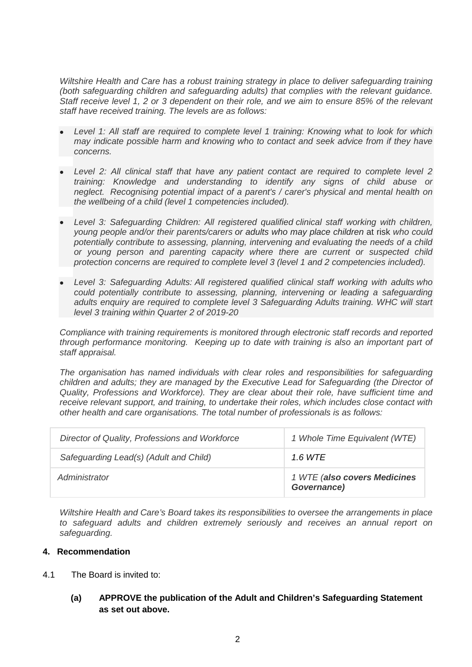*Wiltshire Health and Care has a robust training strategy in place to deliver safeguarding training (both safeguarding children and safeguarding adults) that complies with the relevant guidance. Staff receive level 1, 2 or 3 dependent on their role, and we aim to ensure 85% of the relevant staff have received training. The levels are as follows:* 

- *Level 1: All staff are required to complete level 1 training: Knowing what to look for which may indicate possible harm and knowing who to contact and seek advice from if they have concerns.*
- *Level 2: All clinical staff that have any patient contact are required to complete level 2 training: Knowledge and understanding to identify any signs of child abuse or neglect. Recognising potential impact of a parent's / carer's physical and mental health on the wellbeing of a child (level 1 competencies included).*
- *Level 3: Safeguarding Children: All registered qualified clinical staff working with children, young people and/or their parents/carers or adults who may place children* at risk *who could potentially contribute to assessing, planning, intervening and evaluating the needs of a child or young person and parenting capacity where there are current or suspected child protection concerns are required to complete level 3 (level 1 and 2 competencies included).*
- *Level 3: Safeguarding Adults: All registered qualified clinical staff working with adults who could potentially contribute to assessing, planning, intervening or leading a safeguarding adults enquiry are required to complete level 3 Safeguarding Adults training. WHC will start level 3 training within Quarter 2 of 2019-20*

*Compliance with training requirements is monitored through electronic staff records and reported through performance monitoring. Keeping up to date with training is also an important part of staff appraisal.* 

*The organisation has named individuals with clear roles and responsibilities for safeguarding children and adults; they are managed by the Executive Lead for Safeguarding (the Director of Quality, Professions and Workforce). They are clear about their role, have sufficient time and receive relevant support, and training, to undertake their roles, which includes close contact with other health and care organisations. The total number of professionals is as follows:* 

| Director of Quality, Professions and Workforce | 1 Whole Time Equivalent (WTE)               |
|------------------------------------------------|---------------------------------------------|
| Safeguarding Lead(s) (Adult and Child)         | 1.6 WTE                                     |
| Administrator                                  | 1 WTE (also covers Medicines<br>Governance) |

*Wiltshire Health and Care's Board takes its responsibilities to oversee the arrangements in place to safeguard adults and children extremely seriously and receives an annual report on safeguarding.*

#### **4. Recommendation**

- 4.1 The Board is invited to:
	- **(a) APPROVE the publication of the Adult and Children's Safeguarding Statement as set out above.**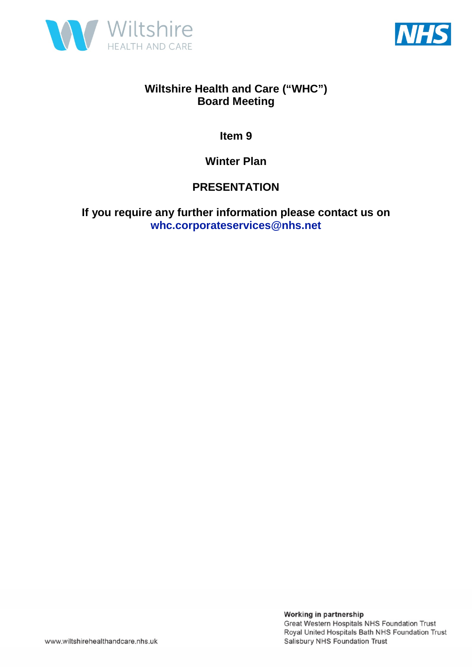



**Item 9** 

**Winter Plan** 

### **PRESENTATION**

**If you require any further information please contact us on whc.corporateservices@nhs.net**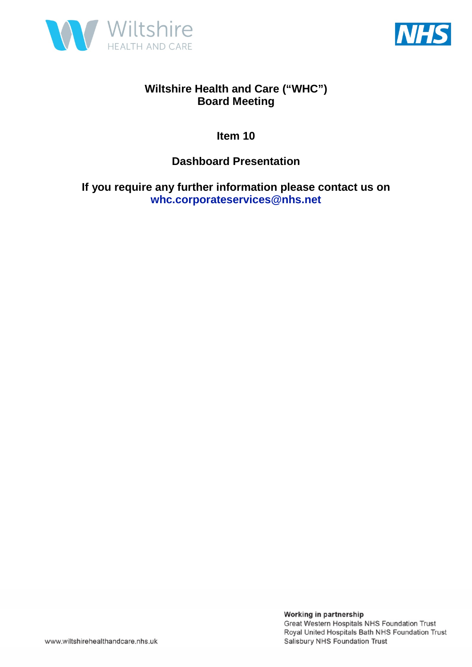



**Item 10** 

### **Dashboard Presentation**

**If you require any further information please contact us on whc.corporateservices@nhs.net**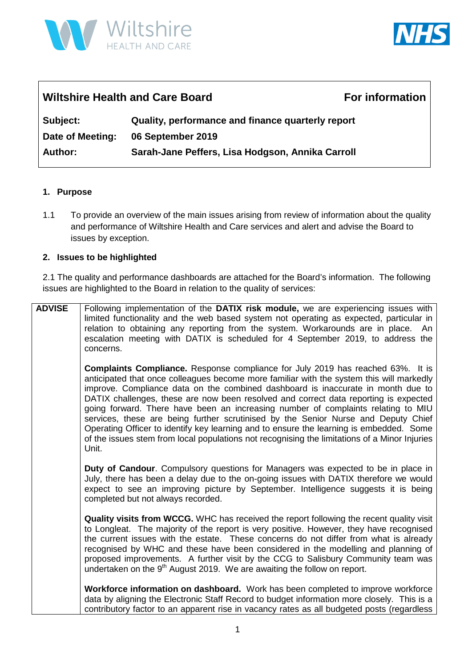



### Wiltshire Health and Care Board **For information**

**Subject: Quality, performance and finance quarterly report Date of Meeting: 06 September 2019 Author: Sarah-Jane Peffers, Lisa Hodgson, Annika Carroll**

#### **1. Purpose**

1.1 To provide an overview of the main issues arising from review of information about the quality and performance of Wiltshire Health and Care services and alert and advise the Board to issues by exception.

#### **2. Issues to be highlighted**

2.1 The quality and performance dashboards are attached for the Board's information. The following issues are highlighted to the Board in relation to the quality of services:

**ADVISE** Following implementation of the **DATIX risk module,** we are experiencing issues with limited functionality and the web based system not operating as expected, particular in relation to obtaining any reporting from the system. Workarounds are in place. An escalation meeting with DATIX is scheduled for 4 September 2019, to address the concerns. **Complaints Compliance.** Response compliance for July 2019 has reached 63%. It is anticipated that once colleagues become more familiar with the system this will markedly improve. Compliance data on the combined dashboard is inaccurate in month due to DATIX challenges, these are now been resolved and correct data reporting is expected going forward. There have been an increasing number of complaints relating to MIU services, these are being further scrutinised by the Senior Nurse and Deputy Chief Operating Officer to identify key learning and to ensure the learning is embedded. Some of the issues stem from local populations not recognising the limitations of a Minor Injuries Unit. **Duty of Candour**. Compulsory questions for Managers was expected to be in place in July, there has been a delay due to the on-going issues with DATIX therefore we would expect to see an improving picture by September. Intelligence suggests it is being completed but not always recorded. **Quality visits from WCCG.** WHC has received the report following the recent quality visit to Longleat. The majority of the report is very positive. However, they have recognised the current issues with the estate. These concerns do not differ from what is already recognised by WHC and these have been considered in the modelling and planning of proposed improvements. A further visit by the CCG to Salisbury Community team was undertaken on the  $9<sup>th</sup>$  August 2019. We are awaiting the follow on report. **Workforce information on dashboard.** Work has been completed to improve workforce data by aligning the Electronic Staff Record to budget information more closely. This is a contributory factor to an apparent rise in vacancy rates as all budgeted posts (regardless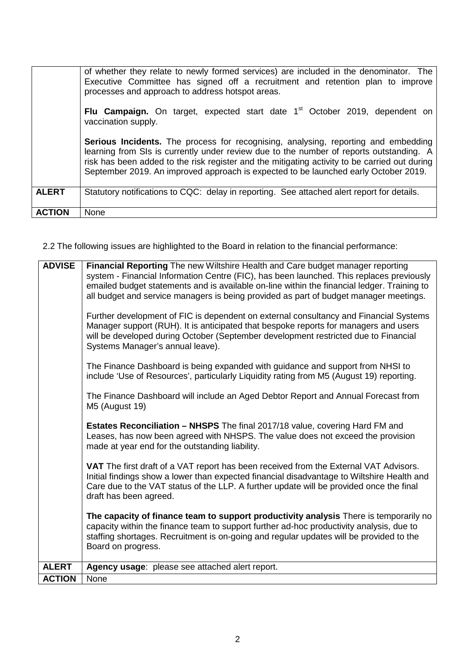|               | of whether they relate to newly formed services) are included in the denominator. The<br>Executive Committee has signed off a recruitment and retention plan to improve<br>processes and approach to address hotspot areas.                                                                                                                                           |
|---------------|-----------------------------------------------------------------------------------------------------------------------------------------------------------------------------------------------------------------------------------------------------------------------------------------------------------------------------------------------------------------------|
|               | Flu Campaign. On target, expected start date 1 <sup>st</sup> October 2019, dependent on<br>vaccination supply.                                                                                                                                                                                                                                                        |
|               | Serious Incidents. The process for recognising, analysing, reporting and embedding<br>learning from SIs is currently under review due to the number of reports outstanding. A<br>risk has been added to the risk register and the mitigating activity to be carried out during<br>September 2019. An improved approach is expected to be launched early October 2019. |
| <b>ALERT</b>  | Statutory notifications to CQC: delay in reporting. See attached alert report for details.                                                                                                                                                                                                                                                                            |
| <b>ACTION</b> | None                                                                                                                                                                                                                                                                                                                                                                  |

2.2 The following issues are highlighted to the Board in relation to the financial performance:

| <b>ADVISE</b> | Financial Reporting The new Wiltshire Health and Care budget manager reporting<br>system - Financial Information Centre (FIC), has been launched. This replaces previously<br>emailed budget statements and is available on-line within the financial ledger. Training to<br>all budget and service managers is being provided as part of budget manager meetings.<br>Further development of FIC is dependent on external consultancy and Financial Systems<br>Manager support (RUH). It is anticipated that bespoke reports for managers and users<br>will be developed during October (September development restricted due to Financial<br>Systems Manager's annual leave).<br>The Finance Dashboard is being expanded with guidance and support from NHSI to<br>include 'Use of Resources', particularly Liquidity rating from M5 (August 19) reporting.<br>The Finance Dashboard will include an Aged Debtor Report and Annual Forecast from<br>M5 (August 19)<br>Estates Reconciliation - NHSPS The final 2017/18 value, covering Hard FM and<br>Leases, has now been agreed with NHSPS. The value does not exceed the provision<br>made at year end for the outstanding liability.<br><b>VAT</b> The first draft of a VAT report has been received from the External VAT Advisors.<br>Initial findings show a lower than expected financial disadvantage to Wiltshire Health and<br>Care due to the VAT status of the LLP. A further update will be provided once the final<br>draft has been agreed.<br>The capacity of finance team to support productivity analysis There is temporarily no<br>capacity within the finance team to support further ad-hoc productivity analysis, due to<br>staffing shortages. Recruitment is on-going and regular updates will be provided to the<br>Board on progress. |
|---------------|--------------------------------------------------------------------------------------------------------------------------------------------------------------------------------------------------------------------------------------------------------------------------------------------------------------------------------------------------------------------------------------------------------------------------------------------------------------------------------------------------------------------------------------------------------------------------------------------------------------------------------------------------------------------------------------------------------------------------------------------------------------------------------------------------------------------------------------------------------------------------------------------------------------------------------------------------------------------------------------------------------------------------------------------------------------------------------------------------------------------------------------------------------------------------------------------------------------------------------------------------------------------------------------------------------------------------------------------------------------------------------------------------------------------------------------------------------------------------------------------------------------------------------------------------------------------------------------------------------------------------------------------------------------------------------------------------------------------------------------------------------------------------------------------------------------------|
| <b>ALERT</b>  | Agency usage: please see attached alert report.                                                                                                                                                                                                                                                                                                                                                                                                                                                                                                                                                                                                                                                                                                                                                                                                                                                                                                                                                                                                                                                                                                                                                                                                                                                                                                                                                                                                                                                                                                                                                                                                                                                                                                                                                                    |
| <b>ACTION</b> | None                                                                                                                                                                                                                                                                                                                                                                                                                                                                                                                                                                                                                                                                                                                                                                                                                                                                                                                                                                                                                                                                                                                                                                                                                                                                                                                                                                                                                                                                                                                                                                                                                                                                                                                                                                                                               |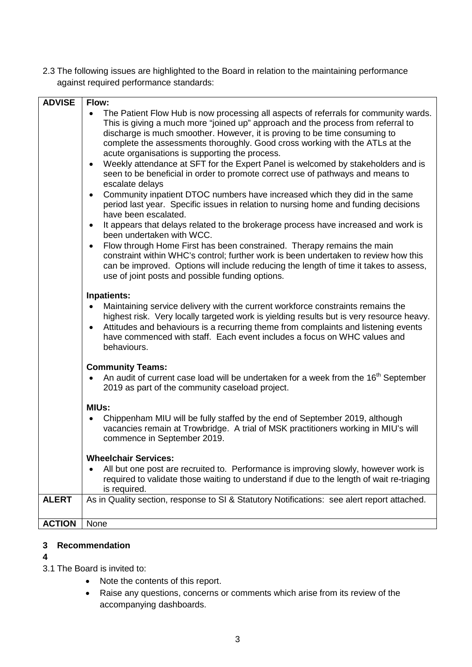2.3 The following issues are highlighted to the Board in relation to the maintaining performance against required performance standards:

| <b>ADVISE</b> | Flow:                                                                                                                        |
|---------------|------------------------------------------------------------------------------------------------------------------------------|
|               | The Patient Flow Hub is now processing all aspects of referrals for community wards.<br>$\bullet$                            |
|               | This is giving a much more "joined up" approach and the process from referral to                                             |
|               | discharge is much smoother. However, it is proving to be time consuming to                                                   |
|               | complete the assessments thoroughly. Good cross working with the ATLs at the                                                 |
|               | acute organisations is supporting the process.                                                                               |
|               | Weekly attendance at SFT for the Expert Panel is welcomed by stakeholders and is<br>$\bullet$                                |
|               | seen to be beneficial in order to promote correct use of pathways and means to                                               |
|               | escalate delays                                                                                                              |
|               | Community inpatient DTOC numbers have increased which they did in the same<br>$\bullet$                                      |
|               | period last year. Specific issues in relation to nursing home and funding decisions<br>have been escalated.                  |
|               |                                                                                                                              |
|               | It appears that delays related to the brokerage process have increased and work is<br>$\bullet$<br>been undertaken with WCC. |
|               | Flow through Home First has been constrained. Therapy remains the main<br>$\bullet$                                          |
|               | constraint within WHC's control; further work is been undertaken to review how this                                          |
|               | can be improved. Options will include reducing the length of time it takes to assess,                                        |
|               | use of joint posts and possible funding options.                                                                             |
|               | <b>Inpatients:</b>                                                                                                           |
|               | Maintaining service delivery with the current workforce constraints remains the                                              |
|               | highest risk. Very locally targeted work is yielding results but is very resource heavy.                                     |
|               | Attitudes and behaviours is a recurring theme from complaints and listening events<br>$\bullet$                              |
|               | have commenced with staff. Each event includes a focus on WHC values and                                                     |
|               | behaviours.                                                                                                                  |
|               |                                                                                                                              |
|               | <b>Community Teams:</b>                                                                                                      |
|               | An audit of current case load will be undertaken for a week from the 16 <sup>th</sup> September                              |
|               | 2019 as part of the community caseload project.                                                                              |
|               | <b>MIUs:</b>                                                                                                                 |
|               | Chippenham MIU will be fully staffed by the end of September 2019, although                                                  |
|               | vacancies remain at Trowbridge. A trial of MSK practitioners working in MIU's will                                           |
|               | commence in September 2019.                                                                                                  |
|               |                                                                                                                              |
|               | <b>Wheelchair Services:</b>                                                                                                  |
|               | All but one post are recruited to. Performance is improving slowly, however work is                                          |
|               | required to validate those waiting to understand if due to the length of wait re-triaging                                    |
|               | is required.                                                                                                                 |
| <b>ALERT</b>  | As in Quality section, response to SI & Statutory Notifications: see alert report attached.                                  |
|               |                                                                                                                              |
| <b>ACTION</b> | None                                                                                                                         |

#### **3 Recommendation**

#### **4**

3.1 The Board is invited to:

- Note the contents of this report.
- Raise any questions, concerns or comments which arise from its review of the accompanying dashboards.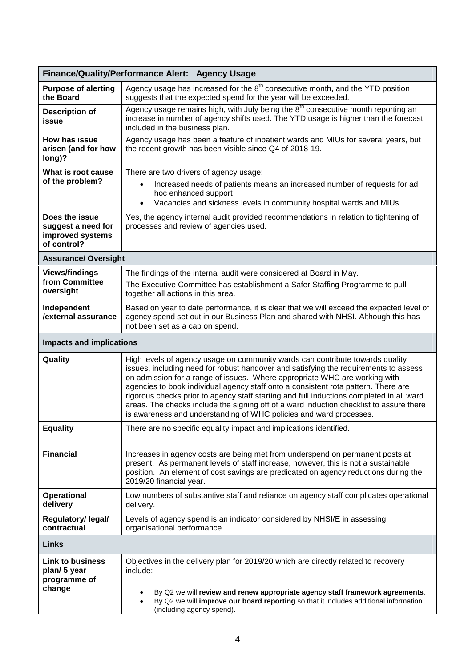|                                                                         | Finance/Quality/Performance Alert: Agency Usage                                                                                                                                                                                                                                                                                                                                                                                                                                                                                                                                                        |
|-------------------------------------------------------------------------|--------------------------------------------------------------------------------------------------------------------------------------------------------------------------------------------------------------------------------------------------------------------------------------------------------------------------------------------------------------------------------------------------------------------------------------------------------------------------------------------------------------------------------------------------------------------------------------------------------|
| <b>Purpose of alerting</b><br>the Board                                 | Agency usage has increased for the $8th$ consecutive month, and the YTD position<br>suggests that the expected spend for the year will be exceeded.                                                                                                                                                                                                                                                                                                                                                                                                                                                    |
| <b>Description of</b><br>issue                                          | Agency usage remains high, with July being the 8 <sup>th</sup> consecutive month reporting an<br>increase in number of agency shifts used. The YTD usage is higher than the forecast<br>included in the business plan.                                                                                                                                                                                                                                                                                                                                                                                 |
| How has issue<br>arisen (and for how<br>long)?                          | Agency usage has been a feature of inpatient wards and MIUs for several years, but<br>the recent growth has been visible since Q4 of 2018-19.                                                                                                                                                                                                                                                                                                                                                                                                                                                          |
| What is root cause<br>of the problem?                                   | There are two drivers of agency usage:<br>Increased needs of patients means an increased number of requests for ad<br>hoc enhanced support<br>Vacancies and sickness levels in community hospital wards and MIUs.                                                                                                                                                                                                                                                                                                                                                                                      |
| Does the issue<br>suggest a need for<br>improved systems<br>of control? | Yes, the agency internal audit provided recommendations in relation to tightening of<br>processes and review of agencies used.                                                                                                                                                                                                                                                                                                                                                                                                                                                                         |
| <b>Assurance/ Oversight</b>                                             |                                                                                                                                                                                                                                                                                                                                                                                                                                                                                                                                                                                                        |
| <b>Views/findings</b><br>from Committee<br>oversight                    | The findings of the internal audit were considered at Board in May.<br>The Executive Committee has establishment a Safer Staffing Programme to pull<br>together all actions in this area.                                                                                                                                                                                                                                                                                                                                                                                                              |
| Independent<br>/external assurance                                      | Based on year to date performance, it is clear that we will exceed the expected level of<br>agency spend set out in our Business Plan and shared with NHSI. Although this has<br>not been set as a cap on spend.                                                                                                                                                                                                                                                                                                                                                                                       |
| <b>Impacts and implications</b>                                         |                                                                                                                                                                                                                                                                                                                                                                                                                                                                                                                                                                                                        |
| Quality                                                                 | High levels of agency usage on community wards can contribute towards quality<br>issues, including need for robust handover and satisfying the requirements to assess<br>on admission for a range of issues. Where appropriate WHC are working with<br>agencies to book individual agency staff onto a consistent rota pattern. There are<br>rigorous checks prior to agency staff starting and full inductions completed in all ward<br>areas. The checks include the signing off of a ward induction checklist to assure there<br>is awareness and understanding of WHC policies and ward processes. |
| <b>Equality</b>                                                         | There are no specific equality impact and implications identified.                                                                                                                                                                                                                                                                                                                                                                                                                                                                                                                                     |
| <b>Financial</b>                                                        | Increases in agency costs are being met from underspend on permanent posts at<br>present. As permanent levels of staff increase, however, this is not a sustainable<br>position. An element of cost savings are predicated on agency reductions during the<br>2019/20 financial year.                                                                                                                                                                                                                                                                                                                  |
| <b>Operational</b><br>delivery                                          | Low numbers of substantive staff and reliance on agency staff complicates operational<br>delivery.                                                                                                                                                                                                                                                                                                                                                                                                                                                                                                     |
| Regulatory/ legal/<br>contractual                                       | Levels of agency spend is an indicator considered by NHSI/E in assessing<br>organisational performance.                                                                                                                                                                                                                                                                                                                                                                                                                                                                                                |
| <b>Links</b>                                                            |                                                                                                                                                                                                                                                                                                                                                                                                                                                                                                                                                                                                        |
| <b>Link to business</b><br>plan/ 5 year<br>programme of<br>change       | Objectives in the delivery plan for 2019/20 which are directly related to recovery<br>include:<br>By Q2 we will review and renew appropriate agency staff framework agreements.<br>By Q2 we will improve our board reporting so that it includes additional information<br>$\bullet$<br>(including agency spend).                                                                                                                                                                                                                                                                                      |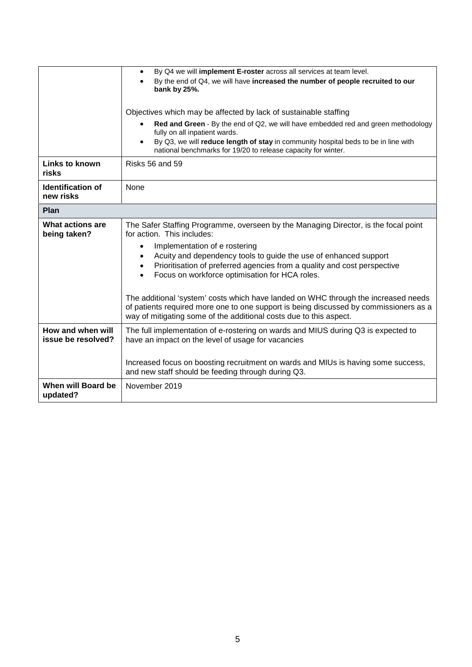|                                         | By Q4 we will implement E-roster across all services at team level.<br>$\bullet$<br>By the end of Q4, we will have increased the number of people recruited to our<br>bank by 25%.                                                                                                                  |
|-----------------------------------------|-----------------------------------------------------------------------------------------------------------------------------------------------------------------------------------------------------------------------------------------------------------------------------------------------------|
|                                         | Objectives which may be affected by lack of sustainable staffing                                                                                                                                                                                                                                    |
|                                         | Red and Green - By the end of Q2, we will have embedded red and green methodology<br>$\bullet$<br>fully on all inpatient wards.<br>By Q3, we will reduce length of stay in community hospital beds to be in line with<br>$\bullet$<br>national benchmarks for 19/20 to release capacity for winter. |
| Links to known<br>risks                 | Risks 56 and 59                                                                                                                                                                                                                                                                                     |
| <b>Identification of</b><br>new risks   | None                                                                                                                                                                                                                                                                                                |
| Plan                                    |                                                                                                                                                                                                                                                                                                     |
| What actions are<br>being taken?        | The Safer Staffing Programme, overseen by the Managing Director, is the focal point<br>for action. This includes:                                                                                                                                                                                   |
|                                         | Implementation of e rostering<br>$\bullet$<br>Acuity and dependency tools to guide the use of enhanced support<br>Prioritisation of preferred agencies from a quality and cost perspective<br>$\bullet$<br>Focus on workforce optimisation for HCA roles.                                           |
|                                         | The additional 'system' costs which have landed on WHC through the increased needs<br>of patients required more one to one support is being discussed by commissioners as a<br>way of mitigating some of the additional costs due to this aspect.                                                   |
| How and when will<br>issue be resolved? | The full implementation of e-rostering on wards and MIUS during Q3 is expected to<br>have an impact on the level of usage for vacancies                                                                                                                                                             |
|                                         | Increased focus on boosting recruitment on wards and MIUs is having some success,<br>and new staff should be feeding through during Q3.                                                                                                                                                             |
| When will Board be<br>updated?          | November 2019                                                                                                                                                                                                                                                                                       |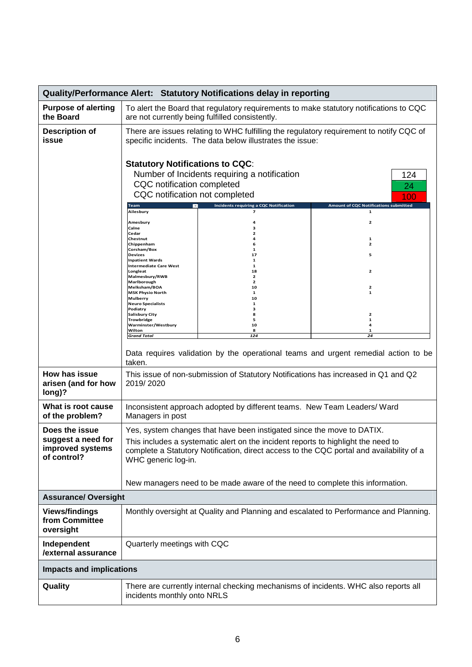|                                                                                     | <b>Quality/Performance Alert: Statutory Notifications delay in reporting</b>                                                                                                                                                                                                                                                                                                                                                                                                                                                                                                                                                                                                                                                     |                                                                                                                                                             |                                                                                          |  |  |  |  |
|-------------------------------------------------------------------------------------|----------------------------------------------------------------------------------------------------------------------------------------------------------------------------------------------------------------------------------------------------------------------------------------------------------------------------------------------------------------------------------------------------------------------------------------------------------------------------------------------------------------------------------------------------------------------------------------------------------------------------------------------------------------------------------------------------------------------------------|-------------------------------------------------------------------------------------------------------------------------------------------------------------|------------------------------------------------------------------------------------------|--|--|--|--|
| <b>Purpose of alerting</b><br>the Board                                             | To alert the Board that regulatory requirements to make statutory notifications to CQC<br>are not currently being fulfilled consistently.                                                                                                                                                                                                                                                                                                                                                                                                                                                                                                                                                                                        |                                                                                                                                                             |                                                                                          |  |  |  |  |
| <b>Description of</b><br>issue                                                      | There are issues relating to WHC fulfilling the regulatory requirement to notify CQC of<br>specific incidents. The data below illustrates the issue:                                                                                                                                                                                                                                                                                                                                                                                                                                                                                                                                                                             |                                                                                                                                                             |                                                                                          |  |  |  |  |
|                                                                                     | <b>Statutory Notifications to CQC:</b><br>Number of Incidents requiring a notification<br>124<br>CQC notification completed<br>24<br>CQC notification not completed<br>100<br><b>Amount of CQC Notifications submitted</b><br>Incidents requiring a CQC Notification<br>Team<br>Ailesbury<br>$\mathbf{1}$<br>7<br>2<br>Amesbury<br>Calne<br>Cedar<br>Chestnut<br>1<br>Chippenham<br>2<br>Corsham/Box<br>1<br><b>Devizes</b><br>17<br>5<br><b>Inpatient Wards</b><br>1<br><b>Intermediate Care West</b><br>1<br>Longleat<br>2<br>18<br>Malmesbury/RWB<br>$\overline{2}$<br>Marlborough<br>2<br>Melksham/BOA<br>10<br>2<br><b>MSK Physio North</b><br>1<br>1<br><b>Mulberry</b><br>10<br><b>Neuro Specialists</b><br>Podiatry<br>з |                                                                                                                                                             |                                                                                          |  |  |  |  |
|                                                                                     | <b>Salisbury City</b><br><b>Trowbridge</b><br>Warminster/Westbury<br>Wilton<br><b>Grand Total</b>                                                                                                                                                                                                                                                                                                                                                                                                                                                                                                                                                                                                                                | 8<br>5<br>10<br>8<br>124                                                                                                                                    | 2<br>1<br>4<br>1<br>24                                                                   |  |  |  |  |
|                                                                                     | taken.                                                                                                                                                                                                                                                                                                                                                                                                                                                                                                                                                                                                                                                                                                                           |                                                                                                                                                             | Data requires validation by the operational teams and urgent remedial action to be       |  |  |  |  |
| How has issue<br>arisen (and for how<br>long)?                                      | 2019/2020                                                                                                                                                                                                                                                                                                                                                                                                                                                                                                                                                                                                                                                                                                                        | This issue of non-submission of Statutory Notifications has increased in Q1 and Q2                                                                          |                                                                                          |  |  |  |  |
| What is root cause<br>of the problem?                                               | Managers in post                                                                                                                                                                                                                                                                                                                                                                                                                                                                                                                                                                                                                                                                                                                 | Inconsistent approach adopted by different teams. New Team Leaders/ Ward                                                                                    |                                                                                          |  |  |  |  |
| Does the issue<br>suggest a need for<br>improved systems<br>of control?             | WHC generic log-in.                                                                                                                                                                                                                                                                                                                                                                                                                                                                                                                                                                                                                                                                                                              | Yes, system changes that have been instigated since the move to DATIX.<br>This includes a systematic alert on the incident reports to highlight the need to | complete a Statutory Notification, direct access to the CQC portal and availability of a |  |  |  |  |
|                                                                                     |                                                                                                                                                                                                                                                                                                                                                                                                                                                                                                                                                                                                                                                                                                                                  | New managers need to be made aware of the need to complete this information.                                                                                |                                                                                          |  |  |  |  |
| <b>Assurance/ Oversight</b><br><b>Views/findings</b><br>from Committee<br>oversight | Monthly oversight at Quality and Planning and escalated to Performance and Planning.                                                                                                                                                                                                                                                                                                                                                                                                                                                                                                                                                                                                                                             |                                                                                                                                                             |                                                                                          |  |  |  |  |
| Independent<br>/external assurance                                                  | Quarterly meetings with CQC                                                                                                                                                                                                                                                                                                                                                                                                                                                                                                                                                                                                                                                                                                      |                                                                                                                                                             |                                                                                          |  |  |  |  |
| <b>Impacts and implications</b>                                                     |                                                                                                                                                                                                                                                                                                                                                                                                                                                                                                                                                                                                                                                                                                                                  |                                                                                                                                                             |                                                                                          |  |  |  |  |
| Quality                                                                             | incidents monthly onto NRLS                                                                                                                                                                                                                                                                                                                                                                                                                                                                                                                                                                                                                                                                                                      | There are currently internal checking mechanisms of incidents. WHC also reports all                                                                         |                                                                                          |  |  |  |  |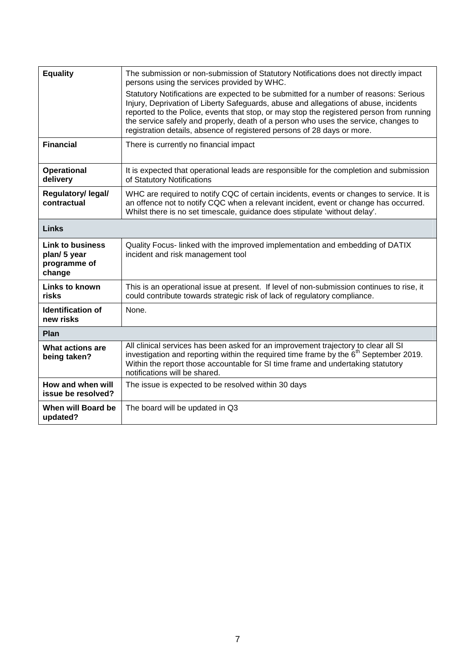| <b>Equality</b>                                                  | The submission or non-submission of Statutory Notifications does not directly impact<br>persons using the services provided by WHC.                                                                                                                                                                                                                                                                                                         |
|------------------------------------------------------------------|---------------------------------------------------------------------------------------------------------------------------------------------------------------------------------------------------------------------------------------------------------------------------------------------------------------------------------------------------------------------------------------------------------------------------------------------|
|                                                                  | Statutory Notifications are expected to be submitted for a number of reasons: Serious<br>Injury, Deprivation of Liberty Safeguards, abuse and allegations of abuse, incidents<br>reported to the Police, events that stop, or may stop the registered person from running<br>the service safely and properly, death of a person who uses the service, changes to<br>registration details, absence of registered persons of 28 days or more. |
| <b>Financial</b>                                                 | There is currently no financial impact                                                                                                                                                                                                                                                                                                                                                                                                      |
| <b>Operational</b><br>delivery                                   | It is expected that operational leads are responsible for the completion and submission<br>of Statutory Notifications                                                                                                                                                                                                                                                                                                                       |
| Regulatory/ legal/<br>contractual                                | WHC are required to notify CQC of certain incidents, events or changes to service. It is<br>an offence not to notify CQC when a relevant incident, event or change has occurred.<br>Whilst there is no set timescale, guidance does stipulate 'without delay'.                                                                                                                                                                              |
| <b>Links</b>                                                     |                                                                                                                                                                                                                                                                                                                                                                                                                                             |
| <b>Link to business</b><br>plan/5 year<br>programme of<br>change | Quality Focus- linked with the improved implementation and embedding of DATIX<br>incident and risk management tool                                                                                                                                                                                                                                                                                                                          |
| <b>Links to known</b><br>risks                                   | This is an operational issue at present. If level of non-submission continues to rise, it<br>could contribute towards strategic risk of lack of regulatory compliance.                                                                                                                                                                                                                                                                      |
| <b>Identification of</b><br>new risks                            | None.                                                                                                                                                                                                                                                                                                                                                                                                                                       |
| Plan                                                             |                                                                                                                                                                                                                                                                                                                                                                                                                                             |
| <b>What actions are</b><br>being taken?                          | All clinical services has been asked for an improvement trajectory to clear all SI<br>investigation and reporting within the required time frame by the 6 <sup>th</sup> September 2019.<br>Within the report those accountable for SI time frame and undertaking statutory<br>notifications will be shared.                                                                                                                                 |
| How and when will<br>issue be resolved?                          | The issue is expected to be resolved within 30 days                                                                                                                                                                                                                                                                                                                                                                                         |
| When will Board be<br>updated?                                   | The board will be updated in Q3                                                                                                                                                                                                                                                                                                                                                                                                             |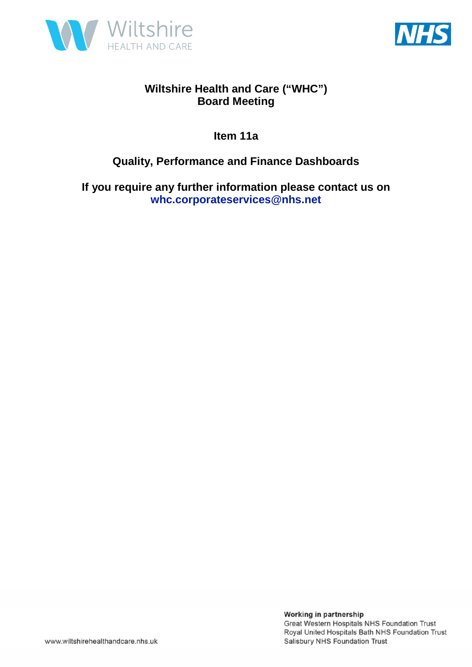



**Item 11a** 

### **Quality, Performance and Finance Dashboards**

**If you require any further information please contact us on whc.corporateservices@nhs.net**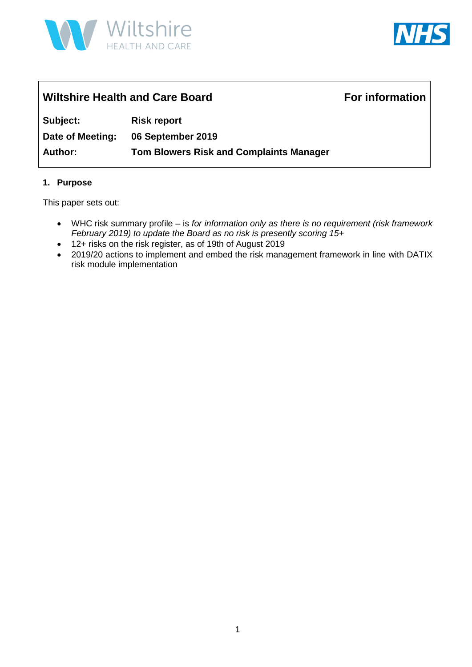



## Wiltshire Health and Care Board **For information Subject: Risk report Date of Meeting: 06 September 2019 Author: Tom Blowers Risk and Complaints Manager**

#### **1. Purpose**

This paper sets out:

- WHC risk summary profile is *for information only as there is no requirement (risk framework February 2019) to update the Board as no risk is presently scoring 15+*
- 12+ risks on the risk register, as of 19th of August 2019
- 2019/20 actions to implement and embed the risk management framework in line with DATIX risk module implementation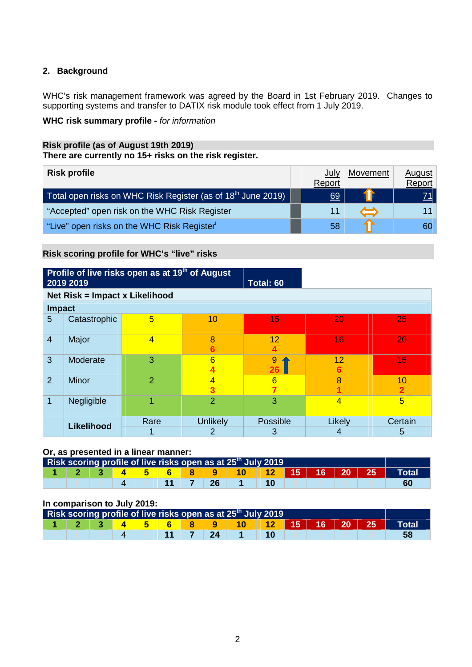#### **2. Background**

WHC's risk management framework was agreed by the Board in 1st February 2019. Changes to supporting systems and transfer to DATIX risk module took effect from 1 July 2019.

#### **WHC risk summary profile -** *for information*

#### **Risk profile (as of August 19th 2019) There are currently no 15+ risks on the risk register.**

| <b>Risk profile</b>                                                                   | July<br>Report | Movement | <u>August</u><br>Report |
|---------------------------------------------------------------------------------------|----------------|----------|-------------------------|
| Total open risks on WHC Risk Register (as of 18 <sup>th</sup> June 2019)  $\parallel$ | 69             |          |                         |
| "Accepted" open risk on the WHC Risk Register                                         | 11             |          |                         |
| "Live" open risks on the WHC Risk Register"                                           | 58             |          | 60                      |

#### **Risk scoring profile for WHC's "live" risks**

|                | Profile of live risks open as at 19 <sup>th</sup> of August<br>2019 2019<br>Total: 60 |                |                     |          |                |         |  |  |  |  |  |  |
|----------------|---------------------------------------------------------------------------------------|----------------|---------------------|----------|----------------|---------|--|--|--|--|--|--|
|                | Net Risk = Impact x Likelihood                                                        |                |                     |          |                |         |  |  |  |  |  |  |
| <b>Impact</b>  |                                                                                       |                |                     |          |                |         |  |  |  |  |  |  |
| 5              | Catastrophic                                                                          | 5              | 10                  | 15       | 20             | 25      |  |  |  |  |  |  |
| $\overline{4}$ | Major                                                                                 | $\overline{4}$ | 8                   | 12       | 16             | 20      |  |  |  |  |  |  |
| 3              | Moderate                                                                              | 3              | 6                   | 9<br>26  | 12             | 15      |  |  |  |  |  |  |
| 2              | <b>Minor</b>                                                                          | $\overline{2}$ | $\overline{4}$<br>3 | 6        | 8              | 10      |  |  |  |  |  |  |
| 1              | Negligible                                                                            | 4              | $\overline{2}$      | 3        | $\overline{4}$ | 5       |  |  |  |  |  |  |
|                | <b>Likelihood</b>                                                                     | Rare           | <b>Unlikely</b>     | Possible | Likely         | Certain |  |  |  |  |  |  |
|                |                                                                                       |                | 2                   | 3        | 4              | 5       |  |  |  |  |  |  |

#### **Or, as presented in a linear manner:**

|  |  |  |         | Risk scoring profile of live risks open as at 25 <sup>th</sup> July 2019 |  |  |                                     |
|--|--|--|---------|--------------------------------------------------------------------------|--|--|-------------------------------------|
|  |  |  |         | <u>  4   5   6   8   9   10   12   15   16   20   25   1</u>             |  |  | $\blacksquare$ Total $\blacksquare$ |
|  |  |  | 11 7 26 |                                                                          |  |  |                                     |

#### **In comparison to July 2019:**

|  |  |  |         | Risk scoring profile of live risks open as at 25 <sup>th</sup> July 2019 |  |  |       |
|--|--|--|---------|--------------------------------------------------------------------------|--|--|-------|
|  |  |  |         | <b>4</b> 5 6 8 9 10 12 15 16 20 25 1                                     |  |  | Total |
|  |  |  | 11 7 24 |                                                                          |  |  |       |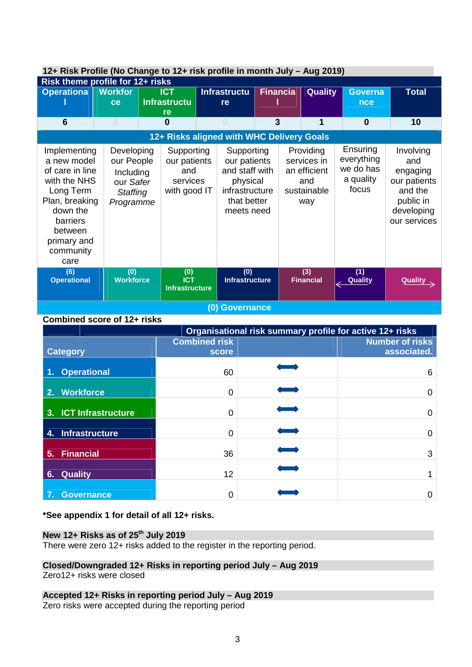|                                                                                                                                                                      | 12+ RISK Profile (No Change to 12+ risk profile in month July – Aug 2019)          |  |                                                               |  |                                                                                                         |                 |  |                                                                       |                                                           |                                                                                                    |
|----------------------------------------------------------------------------------------------------------------------------------------------------------------------|------------------------------------------------------------------------------------|--|---------------------------------------------------------------|--|---------------------------------------------------------------------------------------------------------|-----------------|--|-----------------------------------------------------------------------|-----------------------------------------------------------|----------------------------------------------------------------------------------------------------|
|                                                                                                                                                                      | Risk theme profile for 12+ risks                                                   |  |                                                               |  |                                                                                                         |                 |  |                                                                       |                                                           |                                                                                                    |
| <b>Operationa</b>                                                                                                                                                    | <b>Workfor</b><br>ce                                                               |  | <b>ICT</b><br><b>Infrastructu</b>                             |  | <b>Infrastructu</b><br>re                                                                               | <b>Financia</b> |  | Quality                                                               | <b>Governa</b><br>nce                                     | <b>Total</b>                                                                                       |
| $6\phantom{1}6$                                                                                                                                                      | $\bf{0}$                                                                           |  | re<br>$\bf{0}$                                                |  | $\Omega$                                                                                                | 3               |  | 1                                                                     | $\bf{0}$                                                  | 10                                                                                                 |
|                                                                                                                                                                      |                                                                                    |  |                                                               |  | 12+ Risks aligned with WHC Delivery Goals                                                               |                 |  |                                                                       |                                                           |                                                                                                    |
| Implementing<br>a new model<br>of care in line<br>with the NHS<br>Long Term<br>Plan, breaking<br>down the<br>barriers<br>between<br>primary and<br>community<br>care | Developing<br>our People<br>Including<br>our Safer<br><b>Staffing</b><br>Programme |  | Supporting<br>our patients<br>and<br>services<br>with good IT |  | Supporting<br>our patients<br>and staff with<br>physical<br>infrastructure<br>that better<br>meets need |                 |  | Providing<br>services in<br>an efficient<br>and<br>sustainable<br>way | Ensuring<br>everything<br>we do has<br>a quality<br>focus | Involving<br>and<br>engaging<br>our patients<br>and the<br>public in<br>developing<br>our services |
| (6)<br><b>Operational</b>                                                                                                                                            | (0)<br><b>Workforce</b>                                                            |  | (0)<br><b>ICT</b><br><b>Infrastructure</b>                    |  | $\overline{(0)}$<br><b>Infrastructure</b>                                                               |                 |  | (3)<br><b>Financial</b>                                               | (1)<br><b>Quality</b>                                     | Quality                                                                                            |
|                                                                                                                                                                      | (0) Governance                                                                     |  |                                                               |  |                                                                                                         |                 |  |                                                                       |                                                           |                                                                                                    |

### **12+ Risk Profile (No Change to 12+ risk profile in month July – Aug 2019)**

**Combined score of 12+ risks** 

|                       |                      | Organisational risk summary profile for active 12+ risks |                        |
|-----------------------|----------------------|----------------------------------------------------------|------------------------|
|                       | <b>Combined risk</b> |                                                          | <b>Number of risks</b> |
| <b>Category</b>       | score                |                                                          | associated.            |
| 1. Operational        | 60                   |                                                          | 6                      |
| 2. Workforce          | $\Omega$             |                                                          | 0                      |
| 3. ICT Infrastructure | 0                    |                                                          | 0                      |
| 4. Infrastructure     | 0                    |                                                          | 0                      |
| 5. Financial          | 36                   |                                                          | 3                      |
| 6. Quality            | 12                   |                                                          |                        |
| <b>Governance</b>     | 0                    |                                                          | O                      |

#### **\*See appendix 1 for detail of all 12+ risks.**

#### **New 12+ Risks as of 25th July 2019**

There were zero 12+ risks added to the register in the reporting period.

### **Closed/Downgraded 12+ Risks in reporting period July – Aug 2019**

Zero12+ risks were closed

#### **Accepted 12+ Risks in reporting period July – Aug 2019**

Zero risks were accepted during the reporting period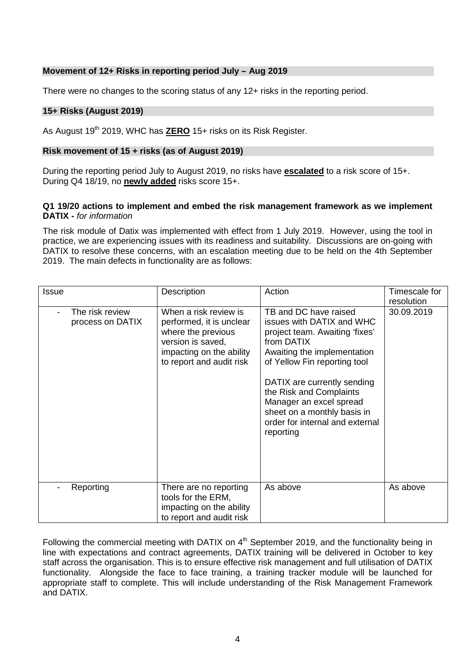#### **Movement of 12+ Risks in reporting period July – Aug 2019**

There were no changes to the scoring status of any 12+ risks in the reporting period.

#### **15+ Risks (August 2019)**

As August 19th 2019, WHC has **ZERO** 15+ risks on its Risk Register.

#### **Risk movement of 15 + risks (as of August 2019)**

During the reporting period July to August 2019, no risks have **escalated** to a risk score of 15+. During Q4 18/19, no **newly added** risks score 15+.

#### **Q1 19/20 actions to implement and embed the risk management framework as we implement DATIX -** *for information*

The risk module of Datix was implemented with effect from 1 July 2019. However, using the tool in practice, we are experiencing issues with its readiness and suitability. Discussions are on-going with DATIX to resolve these concerns, with an escalation meeting due to be held on the 4th September 2019. The main defects in functionality are as follows:

| <b>Issue</b> |                                     | <b>Description</b>                                                                                                                                   | Action                                                                                                                                                                                                                                                                                                                                | Timescale for<br>resolution |
|--------------|-------------------------------------|------------------------------------------------------------------------------------------------------------------------------------------------------|---------------------------------------------------------------------------------------------------------------------------------------------------------------------------------------------------------------------------------------------------------------------------------------------------------------------------------------|-----------------------------|
|              | The risk review<br>process on DATIX | When a risk review is<br>performed, it is unclear<br>where the previous<br>version is saved,<br>impacting on the ability<br>to report and audit risk | TB and DC have raised<br>issues with DATIX and WHC<br>project team. Awaiting 'fixes'<br>from DATIX<br>Awaiting the implementation<br>of Yellow Fin reporting tool<br>DATIX are currently sending<br>the Risk and Complaints<br>Manager an excel spread<br>sheet on a monthly basis in<br>order for internal and external<br>reporting | 30.09.2019                  |
|              | Reporting                           | There are no reporting<br>tools for the ERM,<br>impacting on the ability<br>to report and audit risk                                                 | As above                                                                                                                                                                                                                                                                                                                              | As above                    |

Following the commercial meeting with DATIX on 4<sup>th</sup> September 2019, and the functionality being in line with expectations and contract agreements, DATIX training will be delivered in October to key staff across the organisation. This is to ensure effective risk management and full utilisation of DATIX functionality. Alongside the face to face training, a training tracker module will be launched for appropriate staff to complete. This will include understanding of the Risk Management Framework and DATIX.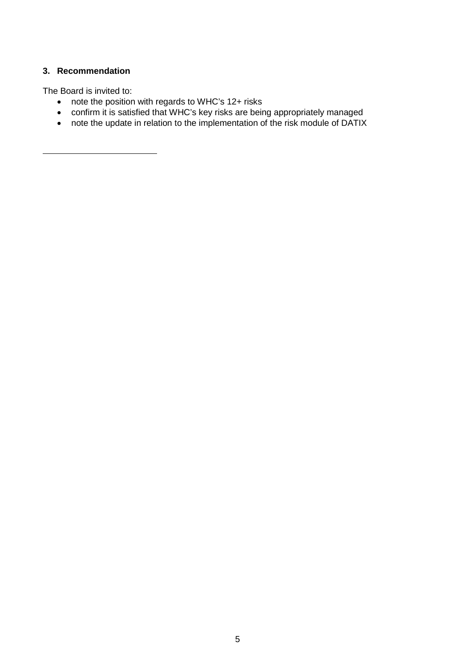#### **3. Recommendation**

The Board is invited to:

- note the position with regards to WHC's 12+ risks
- confirm it is satisfied that WHC's key risks are being appropriately managed
- note the update in relation to the implementation of the risk module of DATIX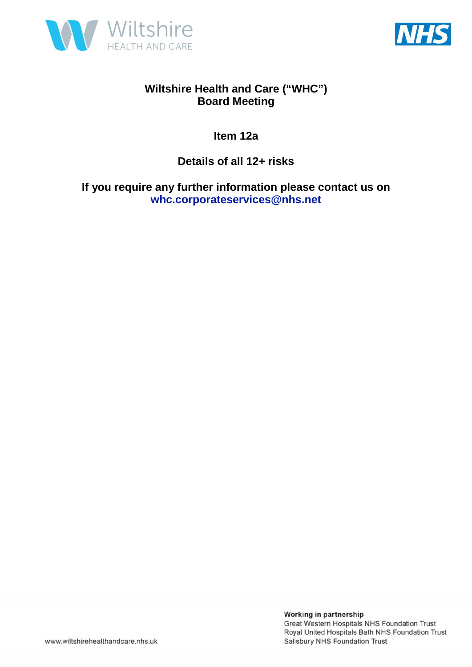



**Item 12a** 

**Details of all 12+ risks** 

**If you require any further information please contact us on whc.corporateservices@nhs.net**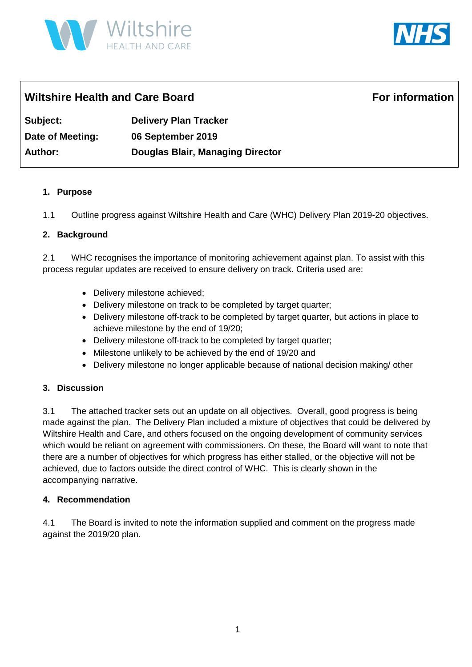



### Wiltshire Health and Care Board **For information**

**Subject: Delivery Plan Tracker Date of Meeting: 06 September 2019 Author: Douglas Blair, Managing Director** 

#### **1. Purpose**

1.1 Outline progress against Wiltshire Health and Care (WHC) Delivery Plan 2019-20 objectives.

#### **2. Background**

2.1 WHC recognises the importance of monitoring achievement against plan. To assist with this process regular updates are received to ensure delivery on track. Criteria used are:

- Delivery milestone achieved;
- Delivery milestone on track to be completed by target quarter;
- Delivery milestone off-track to be completed by target quarter, but actions in place to achieve milestone by the end of 19/20;
- Delivery milestone off-track to be completed by target quarter;
- Milestone unlikely to be achieved by the end of 19/20 and
- Delivery milestone no longer applicable because of national decision making/ other

#### **3. Discussion**

3.1 The attached tracker sets out an update on all objectives. Overall, good progress is being made against the plan. The Delivery Plan included a mixture of objectives that could be delivered by Wiltshire Health and Care, and others focused on the ongoing development of community services which would be reliant on agreement with commissioners. On these, the Board will want to note that there are a number of objectives for which progress has either stalled, or the objective will not be achieved, due to factors outside the direct control of WHC. This is clearly shown in the accompanying narrative.

#### **4. Recommendation**

4.1 The Board is invited to note the information supplied and comment on the progress made against the 2019/20 plan.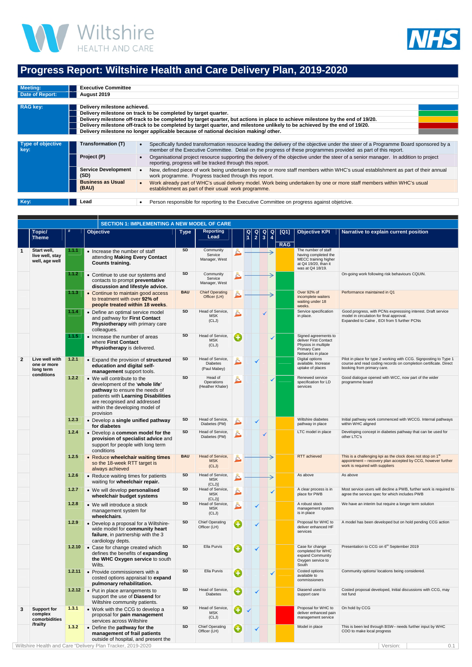



### **Progress Report: Wiltshire Health and Care Delivery Plan, 2019-2020**

| Meeting:                         | <b>Executive Committee</b>         |                                                                                                                                                                                                                                                         |  |  |  |  |  |  |  |  |
|----------------------------------|------------------------------------|---------------------------------------------------------------------------------------------------------------------------------------------------------------------------------------------------------------------------------------------------------|--|--|--|--|--|--|--|--|
| Date of Report:                  | August 2019                        |                                                                                                                                                                                                                                                         |  |  |  |  |  |  |  |  |
|                                  |                                    |                                                                                                                                                                                                                                                         |  |  |  |  |  |  |  |  |
| <b>RAG key:</b>                  | Delivery milestone achieved.       |                                                                                                                                                                                                                                                         |  |  |  |  |  |  |  |  |
|                                  |                                    | Delivery milestone on track to be completed by target quarter.                                                                                                                                                                                          |  |  |  |  |  |  |  |  |
|                                  |                                    | Delivery milestone off-track to be completed by target quarter, but actions in place to achieve milestone by the end of 19/20.                                                                                                                          |  |  |  |  |  |  |  |  |
|                                  |                                    | Delivery milestone off-track to be completed by target quarter, and milestone unlikely to be achieved by the end of 19/20.                                                                                                                              |  |  |  |  |  |  |  |  |
|                                  |                                    | Delivery milestone no longer applicable because of national decision making/other.                                                                                                                                                                      |  |  |  |  |  |  |  |  |
|                                  |                                    |                                                                                                                                                                                                                                                         |  |  |  |  |  |  |  |  |
| <b>Type of objective</b><br>key: | Transformation (T)                 | Specifically funded transformation resource leading the delivery of the objective under the steer of a Programme Board sponsored by a<br>member of the Executive Committee. Detail on the progress of these programmes provided as part of this report. |  |  |  |  |  |  |  |  |
|                                  | Project (P)                        | Organisational project resource supporting the delivery of the objective under the steer of a senior manager. In addition to project<br>reporting, progress will be tracked through this report.                                                        |  |  |  |  |  |  |  |  |
|                                  | <b>Service Development</b><br>(SD) | New, defined piece of work being undertaken by one or more staff members within WHC's usual establishment as part of their annual<br>work programme. Progress tracked through this report.                                                              |  |  |  |  |  |  |  |  |
|                                  | <b>Business as Usual</b><br>(BAU)  | Work already part of WHC's usual delivery model. Work being undertaken by one or more staff members within WHC's usual<br>establishment as part of their usual work programme.                                                                          |  |  |  |  |  |  |  |  |
|                                  |                                    |                                                                                                                                                                                                                                                         |  |  |  |  |  |  |  |  |
| Key:                             | Lead                               | Person responsible for reporting to the Executive Committee on progress against objetcive.                                                                                                                                                              |  |  |  |  |  |  |  |  |

|              |                                                          |        | <b>SECTION 1: IMPLEMENTING A NEW MODEL OF CARE</b>                                                                                                                                                                     |             |                                                     |    |                                                               |               |                                                                             |                     |                    |                                                                                                                  |                                                                                                                                                                            |
|--------------|----------------------------------------------------------|--------|------------------------------------------------------------------------------------------------------------------------------------------------------------------------------------------------------------------------|-------------|-----------------------------------------------------|----|---------------------------------------------------------------|---------------|-----------------------------------------------------------------------------|---------------------|--------------------|------------------------------------------------------------------------------------------------------------------|----------------------------------------------------------------------------------------------------------------------------------------------------------------------------|
|              | <b>Topic/</b><br><b>Theme</b>                            |        | Objective                                                                                                                                                                                                              | <b>Type</b> | <b>Reporting</b><br>Lead                            |    | $\begin{array}{c} \n\mathsf{Q} \\ \n\mathsf{1} \n\end{array}$ | $\frac{Q}{2}$ | $\begin{array}{ c }\n\hline\n\mathbf{Q} \\ \hline\n\mathbf{3}\n\end{array}$ | $\overline{a}$<br>4 | [Q1]<br><b>RAG</b> | <b>Objective KPI</b>                                                                                             | Narrative to explain current position                                                                                                                                      |
| $\mathbf 1$  | Start well,<br>live well, stay<br>well, age well         | 1.1.1  | • Increase the number of staff<br>attending Making Every Contact<br><b>Counts training.</b>                                                                                                                            | <b>SD</b>   | Community<br>Service<br>Manager, West               | Ĕ. |                                                               |               |                                                                             |                     |                    | The number of staff<br>having completed the<br>MECC training higher<br>at Q4 19/20, than it<br>was at Q4 18/19.  |                                                                                                                                                                            |
|              |                                                          | 1.1.2  | • Continue to use our systems and<br>contacts to prompt preventative<br>discussion and lifestyle advice.                                                                                                               | <b>SD</b>   | Community<br>Service<br>Manager, West               | è. |                                                               |               |                                                                             |                     |                    |                                                                                                                  | On-going work following risk behaviours CQUIN.                                                                                                                             |
|              |                                                          | 1.1.3  | • Continue to maintain good access<br>to treatment with over 92% of<br>people treated within 18 weeks.                                                                                                                 | <b>BAU</b>  | <b>Chief Operating</b><br>Officer (LH)              |    |                                                               |               |                                                                             |                     |                    | Over 92% of<br>incomplete waiters<br>waiting under 18<br>weeks.                                                  | Performance maintained in Q1                                                                                                                                               |
|              |                                                          | 1.1.4  | • Define an optimal service model<br>and pathway for First Contact<br>Physiotherapy with primary care<br>colleagues.                                                                                                   | SD          | Head of Service,<br><b>MSK</b><br>(CLJ)             |    |                                                               |               |                                                                             |                     |                    | Service specification<br>in place.                                                                               | Good progress, with PCNs expresssing interest. Draft service<br>model in circulation for final approval.<br>Expanded to Calne, EOI from 5 further PCNs                     |
|              |                                                          | 1.1.5  | • Increase the number of areas<br>where First Contact<br>Physiotherapy is delivered.                                                                                                                                   | SD          | Head of Service,<br><b>MSK</b><br>(CLJ)             | O  |                                                               |               |                                                                             |                     |                    | Signed agreements to<br>deliver First Contact<br>Physios in multiple<br><b>Primary Care</b><br>Networks in place |                                                                                                                                                                            |
| $\mathbf{2}$ | Live well with<br>one or more<br>long term<br>conditions | 1.2.1  | • Expand the provision of structured<br>education and digital self-<br>management support tools.                                                                                                                       | SD          | Head of Service,<br><b>Diabetes</b><br>(Paul Mabey) |    |                                                               |               |                                                                             |                     |                    | Digital options<br>available. Increase<br>uptake of places                                                       | Pilot in place for type 2 working with CCG. Signposting to Type 1<br>course and read coding records on completion certificate. Direct<br>booking from primary care.        |
|              |                                                          | 1.2.2  | • We will contribute to the<br>development of the 'whole life'<br>pathway to ensure the needs of<br>patients with Learning Disabilities<br>are recognised and addressed<br>within the developing model of<br>provision | SD          | Head of<br>Operations<br>(Heather Khaler)           |    |                                                               |               |                                                                             | ✓                   |                    | Renewed service<br>specification for LD<br>services                                                              | Good dialogue opened with WCC, now part of the wider<br>programme board                                                                                                    |
|              |                                                          | 1.2.3  | • Develop a single unified pathway<br>for diabetes                                                                                                                                                                     | <b>SD</b>   | Head of Service,<br>Diabetes (PM)                   |    |                                                               |               |                                                                             |                     |                    | Wiltshire diabetes<br>pathway in place                                                                           | Initial pathway work commenced with WCCG. Internal pathways<br>within WHC aligned                                                                                          |
|              |                                                          | 1.2.4  | • Develop a common model for the<br>provision of specialist advice and<br>support for people with long term<br>conditions                                                                                              | <b>SD</b>   | Head of Service,<br>Diabetes (PM)                   |    |                                                               |               |                                                                             |                     |                    | LTC model in place                                                                                               | Developing concept in diabetes pathway that can be used for<br>other LTC's                                                                                                 |
|              |                                                          | 1.2.5  | • Reduce wheelchair waiting times<br>so the 18-week RTT target is<br>always achieved                                                                                                                                   | <b>BAU</b>  | Head of Service,<br><b>MSK</b><br>(CLJ)             |    |                                                               |               |                                                                             |                     |                    | RTT achieved                                                                                                     | This is a challenging kpi as the clock does not stop on 1 <sup>st</sup><br>appointment - recovery plan accepted by CCG, however further<br>work is required with suppliers |
|              |                                                          | 1.2.6  | • Reduce waiting times for patients<br>waiting for wheelchair repair.                                                                                                                                                  | SD          | Head of Service,<br><b>MSK</b><br>(CLJ)             | Ĕ  |                                                               |               |                                                                             |                     |                    | As above                                                                                                         | As above                                                                                                                                                                   |
|              |                                                          | 1.2.7  | • We will develop personalised<br>wheelchair budget systems                                                                                                                                                            | SD          | Head of Service,<br><b>MSK</b><br>(CLJ)             |    |                                                               |               |                                                                             |                     |                    | A clear process is in<br>place for PWB                                                                           | Most service users will decline a PWB, further work is required to<br>agree the service spec for which includes PWB                                                        |
|              |                                                          | 1.2.8  | • We will introduce a stock<br>management system for<br>wheelchairs.                                                                                                                                                   | SD          | Head of Service,<br><b>MSK</b><br>(CLJ)             |    |                                                               | ✓             |                                                                             |                     |                    | A robust stock<br>management system<br>is in place                                                               | We have an interim but require a longer term solution                                                                                                                      |
|              |                                                          | 1.2.9  | • Develop a proposal for a Wiltshire-<br>wide model for community heart<br>failure, in partnership with the 3<br>cardiology depts.                                                                                     | <b>SD</b>   | <b>Chief Operating</b><br>Officer (LH)              | O  |                                                               |               |                                                                             |                     |                    | Proposal for WHC to<br>deliver enhanced HF<br>services                                                           | A model has been developed but on hold pending CCG action                                                                                                                  |
|              |                                                          | 1.2.10 | • Case for change created which<br>defines the benefits of expanding<br>the WHC Oxygen service to south<br>Wilts.                                                                                                      | <b>SD</b>   | Ella Purvis                                         | O  |                                                               |               |                                                                             |                     |                    | Case for change<br>completed for WHC<br>expand Community<br>Oxygen service to<br>South                           | Presentation to CCG on 6 <sup>th</sup> September 2019                                                                                                                      |
|              |                                                          | 1.2.11 | • Provide commissioners with a<br>costed options appraisal to expand<br>pulmonary rehabilitation.                                                                                                                      | <b>SD</b>   | Ella Purvis                                         | O  |                                                               |               |                                                                             |                     |                    | Costed options<br>available to<br>commissioners                                                                  | Community options/locations being considered.                                                                                                                              |
|              |                                                          | 1.2.12 | • Put in place arrangements to<br>support the use of Diasend for<br>Wiltshire community patients.                                                                                                                      | SD          | Head of Service,<br><b>Diabetes</b>                 | O  |                                                               |               |                                                                             |                     |                    | Diasend used to<br>support care                                                                                  | Costed proposal developed, Initial discussions with CCG, may<br>not fund                                                                                                   |
| 3            | <b>Support for</b><br>complex<br>comorbidities           | 1.3.1  | • Work with the CCG to develop a<br>proposal for pain management<br>services across Wiltshire                                                                                                                          | <b>SD</b>   | Head of Service,<br><b>MSK</b><br>(CLJ)             | O  | ✓                                                             |               |                                                                             |                     |                    | Proposal for WHC to<br>deliver enhanced pain<br>management service                                               | On hold by CCG                                                                                                                                                             |
|              | /frailty                                                 | 1.3.2  | • Define the pathway for the<br>management of frail patients<br>outside of hospital, and present the                                                                                                                   | <b>SD</b>   | <b>Chief Operating</b><br>Officer (LH)              | O  |                                                               |               |                                                                             |                     |                    | Model in place                                                                                                   | This is been led through BSW- needs further input by WHC<br>COO to make local progress                                                                                     |
|              |                                                          |        | Wiltshire Health and Care "Delivery Plan Tracker, 2019-2020                                                                                                                                                            |             |                                                     |    |                                                               |               |                                                                             |                     |                    |                                                                                                                  | Version:<br>0.1                                                                                                                                                            |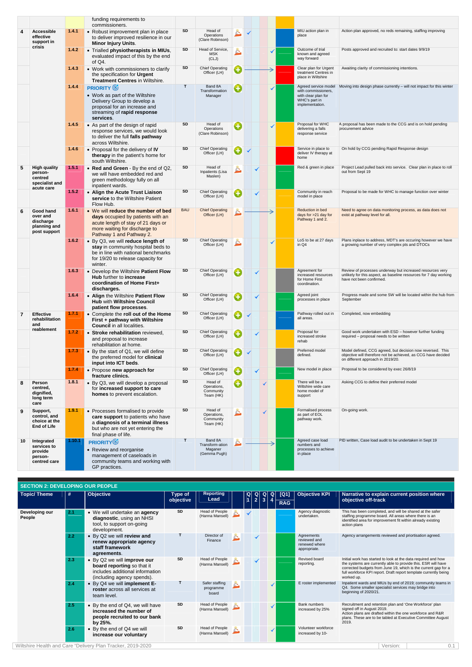|    |                                                                           |        | funding requirements to<br>commissioners.                                                                                                                                  |            |                                                       |    |  |   |   |                                                                                                        |                                                                                                                                                                  |
|----|---------------------------------------------------------------------------|--------|----------------------------------------------------------------------------------------------------------------------------------------------------------------------------|------------|-------------------------------------------------------|----|--|---|---|--------------------------------------------------------------------------------------------------------|------------------------------------------------------------------------------------------------------------------------------------------------------------------|
|    | <b>Accessible</b><br>effective<br>support in                              | 1.4.1  | • Robust improvement plan in place<br>to deliver improved resilience in our<br><b>Minor Injury Units.</b>                                                                  | <b>SD</b>  | Head of<br>Operations<br>(Clare Robinson)             |    |  |   |   | MIU action plan in<br>place                                                                            | Action plan approved, no reds remaining, staffing improving                                                                                                      |
|    | crisis                                                                    | 1.4.2  | • Trialled physiotherapists in MIUs,<br>evaluated impact of this by the end<br>of $Q4$ .                                                                                   | SD         | Head of Service,<br><b>MSK</b><br>(CLJ)               |    |  |   | ✔ | Outcome of trial<br>known and agreed<br>way forward                                                    | Posts approved and recruited to: start dates 9/9/19                                                                                                              |
|    |                                                                           | 1.4.3  | • Work with commissioners to clarify<br>the specification for Urgent<br><b>Treatment Centres in Wiltshire.</b>                                                             | SD         | <b>Chief Operating</b><br>Officer (LH)                | O  |  |   |   | Clear plan for Urgent<br>treatment Centres in<br>place in Wiltshire                                    | Awaiting clarity of commissioning intentions.                                                                                                                    |
|    |                                                                           | 1.4.4  | <b>PRIORITY</b><br>• Work as part of the Wiltshire<br>Delivery Group to develop a<br>proposal for an increase and<br>streaming of rapid response<br>services.              | T          | Band 8A<br>Transformation<br>Manager                  | O  |  |   |   | Agreed service model<br>with commissioners.<br>with clear plan for<br>WHC's part in<br>implementation. | Moving into design phase currently – will not impact for this winter                                                                                             |
|    |                                                                           | 1.4.5  | • As part of the design of rapid<br>response services, we would look<br>to deliver the full falls pathway<br>across Wiltshire.                                             | SD         | Head of<br>Operations<br>(Clare Robinson)             | O  |  |   |   | Proposal for WHC<br>delivering a falls<br>response service                                             | A proposal has been made to the CCG and is on hold pending<br>procurement advice                                                                                 |
|    |                                                                           | 1.4.6  | • Proposal for the delivery of IV<br>therapy in the patient's home for<br>south Wiltshire.                                                                                 | SD         | <b>Chief Operating</b><br>Officer (LH)                | O  |  |   |   | Service in place to<br>deliver IV therapy at<br>home                                                   | On hold by CCG pending Rapid Response design                                                                                                                     |
| 5  | <b>High quality</b><br>person-<br>centred<br>specialist and<br>acute care | 1.5.1  | • Red and Green - By the end of Q2,<br>we will have embedded red and<br>green methodology fully on all<br>inpatient wards.                                                 | SD         | Head of<br>Inpatients (Lisa<br>Maslen)                | č. |  |   |   | Red & green in place                                                                                   | Project Lead pulled back into service. Clear plan in place to roll<br>out from Sept 19                                                                           |
|    |                                                                           | 1.5.2  | • Align the Acute Trust Liaison<br>service to the Wiltshire Patient<br>Flow Hub.                                                                                           | SD         | <b>Chief Operating</b><br>Officer (LH)                | O  |  |   |   | Community in reach<br>model in place                                                                   | Proposal to be made for WHC to manage function over winter                                                                                                       |
| 6  | Good hand<br>over and<br>discharge<br>planning and<br>post support        | 1.6.1  | • We will reduce the number of bed<br>days occupied by patients with an<br>acute length of stay of 21 days or<br>more waiting for discharge to<br>Pathway 1 and Pathway 2. | <b>BAU</b> | <b>Chief Operating</b><br>Officer (LH)                |    |  |   |   | <b>Reduction in bed</b><br>days for >21 day for<br>Pathway 1 and 2.                                    | Need to agree on data monitoring process, as data does not<br>exist at pathway level for all.                                                                    |
|    |                                                                           | 1.6.2  | • By Q3, we will reduce length of<br>stay in community hospital beds to<br>be in line with national benchmarks<br>for 19/20 to release capacity for<br>winter.             | SD         | <b>Chief Operating</b><br>Officer (LH)                | è. |  |   |   | LoS to be at 27 days<br>in Q4                                                                          | Plans inplace to address, MDT's are occuring however we have<br>a growing number of very complex pts and DTOCs                                                   |
|    |                                                                           | 1.6.3  | • Develop the Wiltshire Patient Flow<br>Hub further to increase<br>coordination of Home First+<br>discharges.                                                              | SD         | <b>Chief Operating</b><br>Officer (LH)                |    |  |   |   | Agreement for<br>increased resources<br>for Home First<br>coordination.                                | Review of processes underway but increased resources very<br>unlikely for this aspect, as baseline resources for 7 day working<br>have not been confirmed.       |
|    |                                                                           | 1.6.4  | • Align the Wiltshire Patient Flow<br><b>Hub with Wiltshire Council</b><br>patient flow processes.                                                                         | SD         | <b>Chief Operating</b><br>Officer (LH)                | O  |  |   |   | Agreed joint<br>processes in place                                                                     | Progress made and some SW will be located within the hub from<br>September                                                                                       |
| 7  | <b>Effective</b><br>rehabilitation<br>and                                 | 1.7.1  | • Complete the roll out of the Home<br>First + pathway with Wiltshire<br><b>Council</b> in all localities.                                                                 | SD         | <b>Chief Operating</b><br>Officer (LH)                | O  |  |   |   | Pathway rolled out in<br>all areas.                                                                    | Completed, now embedding                                                                                                                                         |
|    | reablement                                                                | 1.7.2  | • Stroke rehabilitation reviewed,<br>and proposal to increase<br>rehabilitation at home.                                                                                   | SD         | <b>Chief Operating</b><br>Officer (LH)                | G  |  |   |   | Proposal for<br>increased stroke<br>rehab                                                              | Good work undertaken with ESD - however further funding<br>required - proposal needs to be written                                                               |
|    |                                                                           | 1.7.3  | • By the start of Q1, we will define<br>the preferred model for clinical<br>input into ICT beds.                                                                           | <b>SD</b>  | <b>Chief Operating</b><br>Officer (LH)                | O  |  |   |   | Preferred model<br>defined.                                                                            | Model defined, CCG agreed, but decision now reversed. This<br>objective will therefore not be achieved, as CCG have decided<br>on different approach in 2019/20. |
|    |                                                                           | 1.7.4  | • Propose new approach for<br>fracture clinics.                                                                                                                            | SD         | <b>Chief Operating</b><br>Officer (LH)                | O  |  |   |   | New model in place                                                                                     | Proposal to be considered by exec 26/8/19                                                                                                                        |
| 8  | Person<br>centred,<br>dignified,<br>long term<br>care                     | 1.8.1  | • By Q3, we will develop a proposal<br>for increased support to care<br>homes to prevent escalation.                                                                       | SD         | Head of<br>Operations,<br>Community<br>Team (HK)      | O  |  | ✓ |   | There will be a<br>Wiltshire wide care<br>home model of<br>support                                     | Asking CCG to define their preferred model                                                                                                                       |
| 9  | Support,<br>control, and<br>choice at the<br><b>End of Life</b>           | 1.9.1  | • Processes formalised to provide<br>care support to patients who have<br>a diagnosis of a terminal illness<br>but who are not yet entering the<br>final phase of life.    | <b>SD</b>  | Head of<br>Operations,<br>Community<br>Team (HK)      | È. |  |   |   | Formalised process<br>as part of EOL<br>pathway work.                                                  | On-going work.                                                                                                                                                   |
| 10 | Integrated<br>services to<br>provide<br>person-<br>centred care           | 1.10.1 | <b>PRIORITY</b><br>• Review and reorganise<br>management of caseloads in<br>community teams and working with<br>GP practices.                                              | T          | Band 8A<br>Transform-ation<br>Maganer<br>(Gemma Pugh) | Δ  |  |   |   | Agreed case load<br>numbers and<br>processes to achieve<br>in place                                    | PID written, Case load audit to be undertaken in Sept 19                                                                                                         |

| <b>SECTION 2: DEVELOPING OUR PEOPLE</b> |               |                  |
|-----------------------------------------|---------------|------------------|
| Topic/Theme                             | $\parallel$ # | <b>Objective</b> |

**Type of<br>
objective** 

|                          |     |                                                                                                                            | objective | Lead                                 |   | ľ1 | $\left  \right $ | $3 \mid 4$ | <b>RAG</b> |                                                             | objective off-track                                                                                                                                                                                                                                                                |          |     |
|--------------------------|-----|----------------------------------------------------------------------------------------------------------------------------|-----------|--------------------------------------|---|----|------------------|------------|------------|-------------------------------------------------------------|------------------------------------------------------------------------------------------------------------------------------------------------------------------------------------------------------------------------------------------------------------------------------------|----------|-----|
| Developing our<br>People | 2.1 | • We will undertake an <b>agency</b><br>diagnostic, using an NHSI<br>tool, to support on-going<br>development.             | SD        | Head of People<br>(Hanna Mansell)    |   |    |                  |            |            | Agency diagnostic<br>undertaken.                            | This has been completed, and will be shared at the safer<br>staffing programme board. All areas where there is an<br>identified area for improvement fit within already existing<br>action plans                                                                                   |          |     |
|                          | 2.2 | • By Q2 we will review and<br>renew appropriate agency<br>staff framework<br>agreements.                                   |           | Director of<br>Finance               | Ĕ |    |                  |            |            | Agreements<br>reviewed and<br>renewed where<br>appropriate. | Agency arrangements reviewed and priortisation agreed.                                                                                                                                                                                                                             |          |     |
|                          | 2.3 | • By Q2 we will improve our<br>board reporting so that it<br>includes additional information<br>(including agency spends). | SD        | Head of People<br>(Hanna Mansell)    |   |    |                  |            |            | Revised board<br>reporting.                                 | Initial work has started to look at the data required and how<br>the systems are currently able to provide this. ESR will have<br>corrected budgets from June 19, which is the current gap for a<br>full workforce KPI report. Draft report template currently being<br>worked up. |          |     |
|                          | 2.4 | • By Q4 we will implement E-<br>roster across all services at<br>team level.                                               |           | Safer staffing<br>programme<br>board | ک |    |                  |            |            | E roster implemented                                        | Inpatient wards and MIUs by end of 2019; community teams in<br>Q4. Some smaller specialist services may bridge into<br>beginning of 2020/21.                                                                                                                                       |          |     |
|                          | 2.5 | • By the end of Q4, we will have<br>increased the number of<br>people recruited to our bank<br>by 25%.                     | SD        | Head of People<br>(Hanna Mansell)    |   |    |                  |            |            | <b>Bank numbers</b><br>increased by 25%                     | Recruitment and retention plan and 'One Workforce' plan<br>signed off in August 2019.<br>Action plans are drafted within the one workforce and R&R<br>plans. These are to be tabled at Executive Committee August<br>2019.                                                         |          |     |
|                          | 2.6 | • By the end of Q4 we will<br>increase our voluntary                                                                       | SD        | Head of People<br>(Hanna Mansell)    |   |    |                  |            |            | Volunteer workforce<br>increased by 10-                     |                                                                                                                                                                                                                                                                                    |          |     |
|                          |     | Wiltshire Health and Care "Delivery Plan Tracker, 2019-2020                                                                |           |                                      |   |    |                  |            |            |                                                             |                                                                                                                                                                                                                                                                                    | Version: | 0.1 |

**Reporting Lead** 

**Q 1**

**Narrative to explain current position where objective off-track** 

**Q 2 Q 3 Q**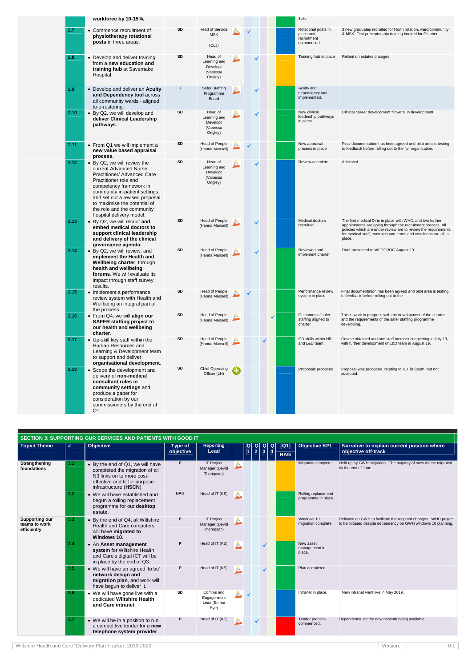|      | workforce by 10-15%.                                                                                                                                                                                                                                                                                          |    |                                                            |    |  |   | 15%.                                                          |                                                                                                                                                                                                                                                                           |
|------|---------------------------------------------------------------------------------------------------------------------------------------------------------------------------------------------------------------------------------------------------------------------------------------------------------------|----|------------------------------------------------------------|----|--|---|---------------------------------------------------------------|---------------------------------------------------------------------------------------------------------------------------------------------------------------------------------------------------------------------------------------------------------------------------|
| 2.7  | • Commence recruitment of<br>physiotherapy rotational<br>posts in three areas.                                                                                                                                                                                                                                | SD | Head of Service,<br><b>MSK</b><br>(CLJ)                    |    |  |   | Rotational posts in<br>place and<br>recruitment<br>commenced. | 3 new graduates recruited for North rotation, ward/community<br>& MSK. First preceptorship training booked for October.                                                                                                                                                   |
| 2.8  | • Develop and deliver training<br>from a new education and<br>training hub at Savernake<br>Hospital.                                                                                                                                                                                                          | SD | Head of<br>Learning and<br>Developt<br>(Vanessa<br>Ongley) | Ĕ. |  |   | Training hub in place                                         | Reliant on estates changes                                                                                                                                                                                                                                                |
| 2.9  | • Develop and deliver an Acuity<br>and Dependency tool across<br>all community wards - aligned<br>to e-rostering.                                                                                                                                                                                             | Т  | Safer Staffing<br>Programme<br>Board                       |    |  |   | Acuity and<br>dependency tool<br>implemented.                 |                                                                                                                                                                                                                                                                           |
| 2.10 | • By Q2, we will develop and<br>deliver Clinical Leadership<br>pathways.                                                                                                                                                                                                                                      | SD | Head of<br>Learning and<br>Developt<br>(Vanessa<br>Ongley) |    |  |   | New clinical<br>leadership pathways<br>in place               | Clinical career development 'flowers' in development                                                                                                                                                                                                                      |
| 2.11 | • From Q1 we will implement a<br>new value based appraisal<br>process.                                                                                                                                                                                                                                        | SD | Head of People<br>(Hanna Mansell)                          |    |  |   | New appraisal<br>process in place                             | Final documentation has been agreed and pilot area is testing<br>to feedback before rolling out to the full organisation.                                                                                                                                                 |
| 2.12 | • By Q2, we will review the<br>current Advanced Nurse<br><b>Practitioner/ Advanced Care</b><br>Practitioner role and<br>competency framework in<br>community in-patient settings,<br>and set out a revised proposal<br>to maximise the potential of<br>the role and the community<br>hospital delivery model. | SD | Head of<br>Learning and<br>Developt<br>(Vanessa<br>Ongley) |    |  |   | Review complete                                               | Achieved                                                                                                                                                                                                                                                                  |
| 2.13 | • By Q2, we will recruit and<br>embed medical doctors to<br>support clinical leadership<br>and delivery of the clinical<br>governance agenda.                                                                                                                                                                 | SD | Head of People<br>(Hanna Mansell)                          |    |  |   | Medical doctors<br>recruited.                                 | The first medical Dr is in place with WHC, and two further<br>appointments are going through the recruitment process. All<br>policies which are under review are to review the requirements<br>for medical staff, contracts and terms and conditions are all in<br>place. |
| 2.14 | • By Q2, we will review, and<br>implement the Health and<br>Wellbeing charter, through<br>health and wellbeing<br>forums. We will evaluate its<br>impact through staff survey<br>results.                                                                                                                     | SD | Head of People<br>(Hanna Mansell)                          |    |  |   | Reviewed and<br>implement charter                             | Draft presented to WFDGPOG August 19                                                                                                                                                                                                                                      |
| 2.15 | • Implement a performance<br>review system with Health and<br>Wellbeing an integral part of<br>the process.                                                                                                                                                                                                   | SD | Head of People<br>(Hanna Mansell)                          |    |  |   | Performance review<br>system in place                         | Final documentation has been agreed and pilot area is testing<br>to feedback before rolling out to the                                                                                                                                                                    |
| 2.16 | • From Q4, we will align our<br><b>SAFER staffing project to</b><br>our health and wellbeing<br>charter.                                                                                                                                                                                                      | SD | Head of People<br>(Hanna Mansell)                          |    |  | ✔ | Outcomes of safer<br>staffing aligned to<br>charter.          | This is work in progress with the development of the charter<br>and the requirements of the safer staffing programme<br>developing.                                                                                                                                       |
| 2.17 | • Up-skill key staff within the<br>Human Resources and<br>Learning & Development team<br>to support and deliver<br>organisational development.                                                                                                                                                                | SD | Head of People<br>(Hanna Mansell)                          |    |  |   | OD skills within HR<br>and L&D team.                          | Course obtained and one staff member completing in July 19,<br>with further development of L&D team in August 19.                                                                                                                                                         |
| 2.18 | • Scope the development and<br>delivery of non-medical<br>consultant roles in<br>community settings and<br>produce a paper for<br>consideration by our<br>commissioners by the end of<br>Q1.                                                                                                                  | SD | <b>Chief Operating</b><br>Officer (LH)                     |    |  |   | Proposals produced.                                           | Proposal was produced, relating to ICT in South, but not<br>accepted.                                                                                                                                                                                                     |
|      |                                                                                                                                                                                                                                                                                                               |    |                                                            |    |  |   |                                                               |                                                                                                                                                                                                                                                                           |

|                                                       |                  | <b>SECTION 3: SUPPORTING OUR SERVICES AND PATIENTS WITH GOOD IT</b>                                                                                                    |            |                                                  |          |                                                         |               |                                                |                                                                         |            |                                            |                                                                                                                                   |
|-------------------------------------------------------|------------------|------------------------------------------------------------------------------------------------------------------------------------------------------------------------|------------|--------------------------------------------------|----------|---------------------------------------------------------|---------------|------------------------------------------------|-------------------------------------------------------------------------|------------|--------------------------------------------|-----------------------------------------------------------------------------------------------------------------------------------|
| <b>Topic/Theme</b>                                    | #                | <b>Objective</b>                                                                                                                                                       | Type of    | <b>Reporting</b>                                 |          | $\begin{bmatrix} \mathsf{Q} \ \mathsf{1} \end{bmatrix}$ | $\frac{Q}{2}$ | $\begin{array}{c} \n 0 \\ \n 3 \n \end{array}$ | $\begin{array}{ c } \hline \mathsf{Q} \\ \hline \mathsf{4} \end{array}$ | $[Q1]$     | <b>Objective KPI</b>                       | Narrative to explain current position where                                                                                       |
|                                                       |                  |                                                                                                                                                                        | objective  | Lead                                             |          |                                                         |               |                                                |                                                                         | <b>RAG</b> |                                            | objective off-track                                                                                                               |
| Strengthening<br>foundations                          | 3.1              | • By the end of Q1, we will have<br>completed the migration of all<br>N <sub>3</sub> links on to more cost-<br>effective and fit for purpose<br>infrastructure (HSCN). | P          | <b>IT Project</b><br>Manager (Devid<br>Thompson) | Ċ.       |                                                         |               |                                                |                                                                         |            | Migration complete.                        | Held up by GWH migration. The majority of sites will be migrated<br>by the end of June.                                           |
|                                                       | 3.2              | • We will have established and<br>begun a rolling replacement<br>programme for our desktop<br>estate.                                                                  | <b>BAU</b> | Head of IT (KS)                                  | A.       |                                                         |               |                                                |                                                                         |            | Rolling replacement<br>programme in place. |                                                                                                                                   |
| <b>Supporting our</b><br>teams to work<br>efficiently | 3.3 <sub>1</sub> | • By the end of Q4, all Wiltshire<br>Health and Care computers<br>will have migrated to<br>Windows 10.                                                                 | P          | <b>IT Project</b><br>Manager (Devid<br>Thompson) |          |                                                         |               |                                                |                                                                         |            | Windows 10<br>migration complete           | Reliance on GWH to facilitate the required changes. WHC project<br>to be initiated despite dependency on GWH windows 10 planning. |
|                                                       | 3.4              | • An Asset management<br>system for Wiltshire Health<br>and Care's digital ICT will be<br>in place by the end of Q3.                                                   | P          | Head of IT (KS)                                  | A.       |                                                         |               |                                                |                                                                         |            | New asset<br>management in<br>place.       |                                                                                                                                   |
|                                                       | 3.5              | • We will have an agreed 'to be'<br>network design and<br>migration plan, and work will<br>have begun to deliver it.                                                   | P          | Head of IT (KS)                                  | $\Delta$ |                                                         |               |                                                |                                                                         |            | Plan completed.                            |                                                                                                                                   |
|                                                       | 3.6              | • We will have gone live with a<br>dedicated Wiltshire Health<br>and Care intranet.                                                                                    | SD         | Comms and<br>Engage-ment<br>Lead (Emma<br>Bye)   |          |                                                         |               |                                                |                                                                         |            | Intranet in place.                         | New intranet went live in May 2019.                                                                                               |
|                                                       | 3.7              | • We will be in a position to run<br>a competitive tender for a new<br>telephone system provider.                                                                      | P          | Head of IT (KS)                                  |          |                                                         |               |                                                |                                                                         |            | Tender process<br>commenced.               | Dependency on the new network being available.                                                                                    |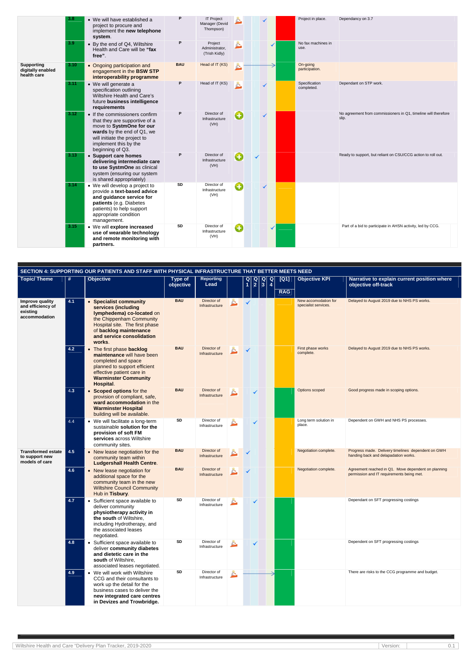|                                                       | 3.8  | • We will have established a<br>project to procure and<br>implement the new telephone<br>system.                                                                                                       | P          | <b>IT Project</b><br>Manager (Devid<br>Thompson) |    |   | Project in place.           | Dependancy on 3.7                                                       |
|-------------------------------------------------------|------|--------------------------------------------------------------------------------------------------------------------------------------------------------------------------------------------------------|------------|--------------------------------------------------|----|---|-----------------------------|-------------------------------------------------------------------------|
|                                                       | 3.9  | • By the end of Q4, Wiltshire<br>Health and Care will be "fax<br>free".                                                                                                                                | P          | Project<br>Administrator,<br>(Trish Kidly)       |    |   | No fax machines in<br>use.  |                                                                         |
| <b>Supporting</b><br>digitally enabled<br>health care | 3.10 | • Ongoing participation and<br>engagement in the BSW STP<br>interoperability programme                                                                                                                 | <b>BAU</b> | Head of IT (KS)                                  | è. |   | On-going<br>participation.  |                                                                         |
|                                                       | 3.11 | • We will generate a<br>specification outlining<br>Wiltshire Health and Care's<br>future business intelligence<br>requirements                                                                         | P          | Head of IT (KS)                                  | Ā. |   | Specification<br>completed. | Dependant on STP work.                                                  |
|                                                       | 3.12 | • If the commissioners confirm<br>that they are supportive of a<br>move to SystmOne for our<br>wards by the end of Q1, we<br>will initiate the project to<br>implement this by the<br>beginning of Q3. | P          | Director of<br>Infrastructure<br>(VH)            | O  | ✓ |                             | No agreement from commissioners in Q1, timeline will therefore<br>slip. |
|                                                       | 3.13 | • Support care homes<br>delivering intermediate care<br>to use SystmOne as clinical<br>system (ensuring our system<br>is shared appropriately)                                                         | P          | Director of<br>Infrastructure<br>(VH)            | G  |   |                             | Ready to support, but reliant on CSU/CCG action to roll out.            |
|                                                       | 3.14 | • We will develop a project to<br>provide a text-based advice<br>and guidance service for<br>patients (e.g. Diabetes<br>patients) to help support<br>appropriate condition<br>management.              | SD         | Director of<br>Infrastructure<br>(VH)            | O  | ✓ |                             |                                                                         |
|                                                       | 3.15 | • We will explore increased<br>use of wearable technology<br>and remote monitoring with<br>partners.                                                                                                   | SD         | Director of<br>Infrastructure<br>(VH)            | O  |   |                             | Part of a bid to participate in AHSN activity, led by CCG.              |

|                                                                   |     | SECTION 4: SUPPORTING OUR PATIENTS AND STAFF WITH PHYSICAL INFRASTRUCTURE THAT BETTER MEETS NEED                                                                                                               |                             |                               |    |                      |                      |                                                                                                |                    |                                              |                                                                                                  |
|-------------------------------------------------------------------|-----|----------------------------------------------------------------------------------------------------------------------------------------------------------------------------------------------------------------|-----------------------------|-------------------------------|----|----------------------|----------------------|------------------------------------------------------------------------------------------------|--------------------|----------------------------------------------|--------------------------------------------------------------------------------------------------|
| <b>Topic/Theme</b>                                                | #   | <b>Objective</b>                                                                                                                                                                                               | <b>Type of</b><br>objective | <b>Reporting</b><br>Lead      |    | Q <br>$\overline{1}$ | Q <br>$\overline{2}$ | $\begin{array}{ c }\n\hline\n9\n\end{array}$<br>$\begin{array}{c} \n 0 \\ \n 4 \n \end{array}$ | [Q1]<br><b>RAG</b> | <b>Objective KPI</b>                         | Narrative to explain current position where<br>objective off-track                               |
| Improve quality<br>and efficiency of<br>existing<br>accommodation | 4.1 | <b>Specialist community</b><br>services (including<br>Iymphedema) co-located on<br>the Chippenham Community<br>Hospital site. The first phase<br>of backlog maintenance<br>and service consolidation<br>works. | <b>BAU</b>                  | Director of<br>Infrastructure | C. | $\checkmark$         |                      |                                                                                                |                    | New accomodation for<br>specialist services. | Delayed to August 2019 due to NHS PS works.                                                      |
|                                                                   | 4.2 | • The first phase backlog<br>maintenance will have been<br>completed and space<br>planned to support efficient<br>effective patient care in<br><b>Warminster Community</b><br>Hospital.                        | <b>BAU</b>                  | Director of<br>Infrastructure |    |                      |                      |                                                                                                |                    | First phase works<br>complete.               | Delayed to August 2019 due to NHS PS works.                                                      |
|                                                                   | 4.3 | • Scoped options for the<br>provision of compliant, safe,<br>ward accommodation in the<br><b>Warminster Hospital</b><br>building will be available.                                                            | <b>BAU</b>                  | Director of<br>Infrastructure |    |                      |                      |                                                                                                |                    | Options scoped                               | Good progress made in scoping options.                                                           |
|                                                                   | 4.4 | • We will facilitate a long-term<br>sustainable solution for the<br>provision of soft FM<br>services across Wiltshire<br>community sites.                                                                      | SD                          | Director of<br>Infrastructure |    |                      |                      |                                                                                                |                    | Long term solution in<br>place.              | Dependent on GWH and NHS PS processes.                                                           |
| <b>Transformed estate</b><br>to support new<br>models of care     | 4.5 | • New lease negotiation for the<br>community team within<br><b>Ludgershall Health Centre.</b>                                                                                                                  | <b>BAU</b>                  | Director of<br>Infrastructure |    |                      |                      |                                                                                                |                    | Negotiation complete.                        | Progress made. Delivery timelines dependent on GWH<br>handing back and delapadation works.       |
|                                                                   | 4.6 | • New lease negotiation for<br>additional space for the<br>community team in the new<br><b>Wiltshire Council Community</b><br>Hub in Tisbury.                                                                  | <b>BAU</b>                  | Director of<br>Infrastructure |    |                      |                      |                                                                                                |                    | Negotiation complete.                        | Agreement reached in Q1. Move dependent on planning<br>permission and IT requirements being met. |
|                                                                   | 4.7 | Sufficient space available to<br>$\bullet$<br>deliver community<br>physiotherapy activity in<br>the south of Wiltshire,<br>including Hydrotherapy, and<br>the associated leases<br>negotiated.                 | SD                          | Director of<br>Infrastructure |    |                      |                      |                                                                                                |                    |                                              | Dependant on SFT progressing costings                                                            |
|                                                                   | 4.8 | • Sufficient space available to<br>deliver community diabetes<br>and dietetic care in the<br>south of Wiltshire,<br>associated leases negotiated.                                                              | SD                          | Director of<br>Infrastructure |    |                      |                      |                                                                                                |                    |                                              | Dependent on SFT progressing costings                                                            |
|                                                                   | 4.9 | • We will work with Wiltshire<br>CCG and their consultants to<br>work up the detail for the<br>business cases to deliver the<br>new integrated care centres<br>in Devizes and Trowbridge.                      | SD                          | Director of<br>Infrastructure |    |                      |                      |                                                                                                |                    |                                              | There are risks to the CCG programme and budget.                                                 |

Wiltshire Health and Care "Delivery Plan Tracker, 2019-2020 0 0.1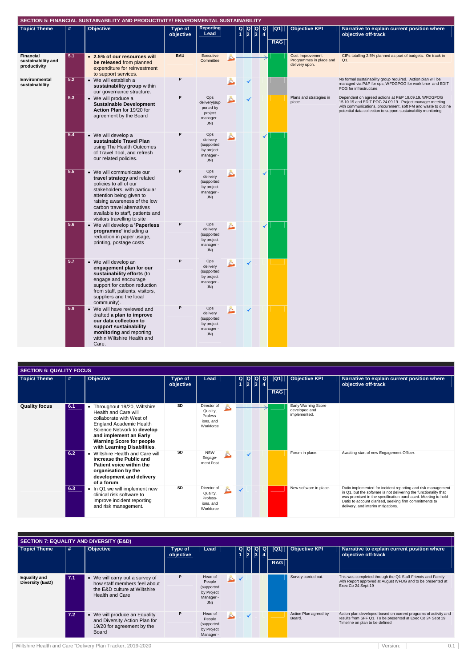Wiltshire Health and Care "Delivery Plan Tracker, 2019-2020 Version: 0.1

|                                                 |     | SECTION 5: FINANCIAL SUSTAINABILITY AND PRODUCTIVITY/ ENVIRONMENTAL SUSTAINABILITY                                                                                                                                                                                               |                      |                                                                 |                                                                                                                                                               |   |                    |                                                                      |                                                                                                                                                                                                                                                      |
|-------------------------------------------------|-----|----------------------------------------------------------------------------------------------------------------------------------------------------------------------------------------------------------------------------------------------------------------------------------|----------------------|-----------------------------------------------------------------|---------------------------------------------------------------------------------------------------------------------------------------------------------------|---|--------------------|----------------------------------------------------------------------|------------------------------------------------------------------------------------------------------------------------------------------------------------------------------------------------------------------------------------------------------|
| <b>Topic/Theme</b>                              | #   | <b>Objective</b>                                                                                                                                                                                                                                                                 | Type of<br>objective | <b>Reporting</b><br>Lead                                        | $\begin{array}{c c c c c c} \hline \textbf{Q} & \textbf{Q} & \textbf{Q} & \textbf{Q} \\ \hline \textbf{1} & \textbf{2} & \textbf{3} & \textbf{4} \end{array}$ |   | [Q1]<br><b>RAG</b> | <b>Objective KPI</b>                                                 | Narrative to explain current position where<br>objective off-track                                                                                                                                                                                   |
|                                                 |     |                                                                                                                                                                                                                                                                                  |                      |                                                                 |                                                                                                                                                               |   |                    |                                                                      |                                                                                                                                                                                                                                                      |
| Financial<br>sustainability and<br>productivity | 5.1 | • 2.5% of our resources will<br>be released from planned<br>expenditure for reinvestment<br>to support services.                                                                                                                                                                 | <b>BAU</b>           | Executive<br>Committee                                          |                                                                                                                                                               |   |                    | <b>Cost Improvement</b><br>Programmes in place and<br>delivery upon. | CIPs totalling 2.5% planned as part of budgets. On track in<br>Q1.                                                                                                                                                                                   |
| Environmental<br>sustainability                 | 5.2 | • We will establish a<br>sustainability group within<br>our governance structure.                                                                                                                                                                                                | P                    |                                                                 |                                                                                                                                                               |   |                    |                                                                      | No formal sustainability group required. Action plan will be<br>managed via P&P for ops, WFDGPOG for workforce and EDIT<br>POG for infrastructure.                                                                                                   |
|                                                 | 5.3 | • We will produce a<br><b>Sustainable Development</b><br>Action Plan for 19/20 for<br>agreement by the Board                                                                                                                                                                     | P                    | Ops<br>delivery(sup<br>ported by<br>project<br>manager -<br>JN) |                                                                                                                                                               |   |                    | Plans and strategies in<br>place.                                    | Dependent on agreed actions at P&P 19.09.19. WFDGPOG<br>15.10.19 and EDIT POG 24.09.19. Project manager meeting<br>with communications, procurement, soft FM and waste to outline<br>potential data collection to support sustainability monitoring. |
|                                                 | 5.4 | • We will develop a<br>sustainable Travel Plan<br>using The Health Outcomes<br>of Travel Tool, and refresh<br>our related policies.                                                                                                                                              | P                    | Ops<br>delivery<br>(supported<br>by project<br>manager -<br>JN) |                                                                                                                                                               | ✓ |                    |                                                                      |                                                                                                                                                                                                                                                      |
|                                                 | 5.5 | • We will communicate our<br>travel strategy and related<br>policies to all of our<br>stakeholders, with particular<br>attention being given to<br>raising awareness of the low<br>carbon travel alternatives<br>available to staff, patients and<br>visitors travelling to site | P                    | Ops<br>delivery<br>(supported<br>by project<br>manager -<br>JN) |                                                                                                                                                               | ✓ |                    |                                                                      |                                                                                                                                                                                                                                                      |
|                                                 | 5.6 | • We will develop a 'Paperless<br>programme' including a<br>reduction in paper usage,<br>printing, postage costs                                                                                                                                                                 | P                    | Ops<br>delivery<br>(supported<br>by project<br>manager -<br>JN) |                                                                                                                                                               | ✓ |                    |                                                                      |                                                                                                                                                                                                                                                      |
|                                                 | 5.7 | • We will develop an<br>engagement plan for our<br>sustainability efforts (to<br>engage and encourage<br>support for carbon reduction<br>from staff, patients, visitors,<br>suppliers and the local<br>community).                                                               | P                    | Ops<br>delivery<br>(supported<br>by project<br>manager -<br>JN) |                                                                                                                                                               |   |                    |                                                                      |                                                                                                                                                                                                                                                      |
|                                                 | 5.9 | • We will have reviewed and<br>drafted a plan to improve<br>our data collection to<br>support sustainability<br>monitoring and reporting<br>within Wiltshire Health and<br>Care.                                                                                                 | P                    | Ops<br>delivery<br>(supported<br>by project<br>manager -<br>JN) |                                                                                                                                                               |   |                    |                                                                      |                                                                                                                                                                                                                                                      |

| <b>SECTION 6: QUALITY FOCUS</b> |     |                                                                                                                                                                                                                                               |                             |                                                               |               |                                                             |                      |                    |                                                      |                                                                                                                                                                                                                                                                                                  |
|---------------------------------|-----|-----------------------------------------------------------------------------------------------------------------------------------------------------------------------------------------------------------------------------------------------|-----------------------------|---------------------------------------------------------------|---------------|-------------------------------------------------------------|----------------------|--------------------|------------------------------------------------------|--------------------------------------------------------------------------------------------------------------------------------------------------------------------------------------------------------------------------------------------------------------------------------------------------|
| <b>Topic/Theme</b>              | #   | <b>Objective</b>                                                                                                                                                                                                                              | <b>Type of</b><br>objective | Lead                                                          | $\frac{Q}{1}$ | $\begin{array}{ c c }\n\hline\nQ & Q \\ 2 & 3\n\end{array}$ | Q <br>$\overline{4}$ | [Q1]<br><b>RAG</b> | <b>Objective KPI</b>                                 | Narrative to explain current position where<br>objective off-track                                                                                                                                                                                                                               |
| <b>Quality focus</b>            | 6.1 | • Throughout 19/20, Wiltshire<br>Health and Care will<br>collaborate with West of<br><b>England Academic Health</b><br>Science Network to develop<br>and implement an Early<br><b>Warning Score for people</b><br>with Learning Disabilities. | <b>SD</b>                   | Director of<br>Quality,<br>Profess-<br>ions, and<br>Workforce |               |                                                             |                      |                    | Early Warning Score<br>developed and<br>implemented. |                                                                                                                                                                                                                                                                                                  |
|                                 | 6.2 | Wiltshire Health and Care will<br>$\bullet$<br>increase the Public and<br>Patient voice within the<br>organisation by the<br>development and delivery<br>of a forum.                                                                          | <b>SD</b>                   | <b>NEW</b><br>Engage-<br>ment Post                            |               |                                                             |                      |                    | Forum in place.                                      | Awaiting start of new Engagement Officer.                                                                                                                                                                                                                                                        |
|                                 | 6.3 | • In Q1 we will implement new<br>clinical risk software to<br>improve incident reporting<br>and risk management.                                                                                                                              | <b>SD</b>                   | Director of<br>Quality,<br>Profess-<br>ions, and<br>Workforce |               |                                                             |                      |                    | New software in place.                               | Datix implemented for incident reporting and risk management<br>in Q1, but the software is not delivering the functionality that<br>was promised in the specification purchased. Meeting to hold<br>Datix to account diarised, seeking firm commitments to<br>delivery, and interim mitigations. |

|                                        |     | <b>SECTION 7: EQUALITY AND DIVERSITY (E&amp;D)</b>                                                                        |                      |                                                                   |          |   |                               |   |                    |                                 |                                                                                                                                                                  |
|----------------------------------------|-----|---------------------------------------------------------------------------------------------------------------------------|----------------------|-------------------------------------------------------------------|----------|---|-------------------------------|---|--------------------|---------------------------------|------------------------------------------------------------------------------------------------------------------------------------------------------------------|
| Topic/Theme                            | #   | <b>Objective</b>                                                                                                          | Type of<br>objective | Lead                                                              | $Q \mid$ | 2 | $ {\bf Q} $<br>$\overline{3}$ | Q | [Q1]<br><b>RAG</b> | <b>Objective KPI</b>            | Narrative to explain current position where<br>objective off-track                                                                                               |
| <b>Equality and</b><br>Diversity (E&D) | 7.1 | • We will carry out a survey of<br>how staff members feel about<br>the E&D culture at Wiltshire<br><b>Health and Care</b> | Р                    | Head of<br>People<br>(supported<br>by Project<br>Manager -<br>JN) | ఆ≺       |   |                               |   |                    | Survey carried out.             | This was completed through the Q1 Staff Friends and Family<br>with Report approved at August WFDG and to be presented at<br>Exec Co 24 Sept 19                   |
|                                        | 7.2 | • We will produce an Equality<br>and Diversity Action Plan for<br>19/20 for agreement by the<br><b>Board</b>              | Р                    | Head of<br>People<br>(supported<br>by Project<br>Manager -        |          |   |                               |   |                    | Action Plan agreed by<br>Board. | Action plan developed based on current programs of activity and<br>results from SFF Q1. To be presented at Exec Co 24 Sept 19.<br>Timeline on plan to be defined |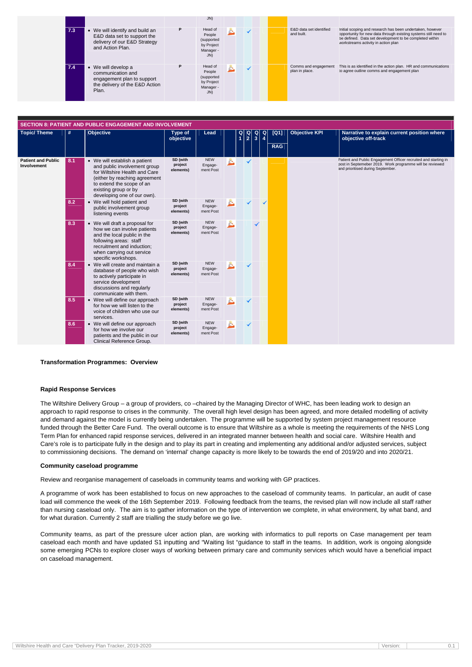|     |                                                                                                                           |   | J(N)                                                              |  |  |                                        |                                                                                                                                                                                                                                |
|-----|---------------------------------------------------------------------------------------------------------------------------|---|-------------------------------------------------------------------|--|--|----------------------------------------|--------------------------------------------------------------------------------------------------------------------------------------------------------------------------------------------------------------------------------|
| 7.3 | • We will identify and build an<br>E&D data set to support the<br>delivery of our E&D Strategy<br>and Action Plan.        | P | Head of<br>People<br>(supported<br>by Project<br>Manager -<br>JN) |  |  | E&D data set identified<br>and built.  | Initial scoping and research has been undertaken, however<br>opportunity for new data through existing systems still need to<br>be defined. Data set development to be completed within<br>workstreams activity in action plan |
| 7.4 | $\bullet$ We will develop a<br>communication and<br>engagement plan to support<br>the delivery of the E&D Action<br>Plan. |   | Head of<br>People<br>(supported<br>by Project<br>Manager -<br>JN) |  |  | Comms and engagement<br>plan in place. | This is as identified in the action plan. HR and communications<br>to agree outline comms and engagement plan                                                                                                                  |

| <b>SECTION 8: PATIENT AND PUBLIC ENGAGEMENT AND INVOLVEMENT</b> |      |                                                                                                                                                                                                                     |                                  |                                    |    |                                        |                                        |                                                   |  |                    |                      |                                                                                                                                                                  |
|-----------------------------------------------------------------|------|---------------------------------------------------------------------------------------------------------------------------------------------------------------------------------------------------------------------|----------------------------------|------------------------------------|----|----------------------------------------|----------------------------------------|---------------------------------------------------|--|--------------------|----------------------|------------------------------------------------------------------------------------------------------------------------------------------------------------------|
| <b>Topic/ Theme</b>                                             | $\#$ | <b>Objective</b>                                                                                                                                                                                                    | Type of<br>objective             | Lead                               |    | $\begin{bmatrix} 2 \\ 1 \end{bmatrix}$ | $\begin{bmatrix} Q \\ 2 \end{bmatrix}$ | $\begin{array}{c c}\n0 & 0 \\ 3 & 4\n\end{array}$ |  | [Q1]<br><b>RAG</b> | <b>Objective KPI</b> | Narrative to explain current position where<br>objective off-track                                                                                               |
| <b>Patient and Public</b><br><b>Involvement</b>                 | 8.1  | • We will establish a patient<br>and public involvement group<br>for Wiltshire Health and Care<br>(either by reaching agreement<br>to extend the scope of an<br>existing group or by<br>developing one of our own). | SD (with<br>project<br>elements) | <b>NEW</b><br>Engage-<br>ment Post | è. |                                        | ✓                                      |                                                   |  |                    |                      | Patient and Public Engagement Officer recruited and starting in<br>post in Septemeber 2019. Work programme will be reviewed<br>and prioritised during September. |
|                                                                 | 8.2  | • We will hold patient and<br>public involvement group<br>listening events                                                                                                                                          | SD (with<br>project<br>elements) | <b>NEW</b><br>Engage-<br>ment Post |    |                                        |                                        |                                                   |  |                    |                      |                                                                                                                                                                  |
|                                                                 | 8.3  | • We will draft a proposal for<br>how we can involve patients<br>and the local public in the<br>following areas: staff<br>recruitment and induction;<br>when carrying out service<br>specific workshops.            | SD (with<br>project<br>elements) | <b>NEW</b><br>Engage-<br>ment Post |    |                                        |                                        |                                                   |  |                    |                      |                                                                                                                                                                  |
|                                                                 | 8.4  | • We will create and maintain a<br>database of people who wish<br>to actively participate in<br>service development<br>discussions and regularly<br>communicate with them.                                          | SD (with<br>project<br>elements) | <b>NEW</b><br>Engage-<br>ment Post |    |                                        |                                        |                                                   |  |                    |                      |                                                                                                                                                                  |
|                                                                 | 8.5  | • Wee will define our approach<br>for how we will listen to the<br>voice of children who use our<br>services.                                                                                                       | SD (with<br>project<br>elements) | <b>NEW</b><br>Engage-<br>ment Post |    |                                        |                                        |                                                   |  |                    |                      |                                                                                                                                                                  |
|                                                                 | 8.6  | • We will define our approach<br>for how we involve our<br>patients and the public in our<br>Clinical Reference Group.                                                                                              | SD (with<br>project<br>elements) | <b>NEW</b><br>Engage-<br>ment Post |    |                                        |                                        |                                                   |  |                    |                      |                                                                                                                                                                  |

#### **Transformation Programmes: Overview**

#### **Rapid Response Services**

The Wiltshire Delivery Group – a group of providers, co –chaired by the Managing Director of WHC, has been leading work to design an approach to rapid response to crises in the community. The overall high level design has been agreed, and more detailed modelling of activity and demand against the model is currently being undertaken. The programme will be supported by system project management resource funded through the Better Care Fund. The overall outcome is to ensure that Wiltshire as a whole is meeting the requirements of the NHS Long Term Plan for enhanced rapid response services, delivered in an integrated manner between health and social care. Wiltshire Health and Care's role is to participate fully in the design and to play its part in creating and implementing any additional and/or adjusted services, subject to commissioning decisions. The demand on 'internal' change capacity is more likely to be towards the end of 2019/20 and into 2020/21.

#### **Community caseload programme**

Review and reorganise management of caseloads in community teams and working with GP practices.

A programme of work has been established to focus on new approaches to the caseload of community teams. In particular, an audit of case load will commence the week of the 16th September 2019. Following feedback from the teams, the revised plan will now include all staff rather than nursing caseload only. The aim is to gather information on the type of intervention we complete, in what environment, by what band, and for what duration. Currently 2 staff are trialling the study before we go live.

Community teams, as part of the pressure ulcer action plan, are working with informatics to pull reports on Case management per team caseload each month and have updated S1 inputting and "Waiting list "guidance to staff in the teams. In addition, work is ongoing alongside some emerging PCNs to explore closer ways of working between primary care and community services which would have a beneficial impact on caseload management.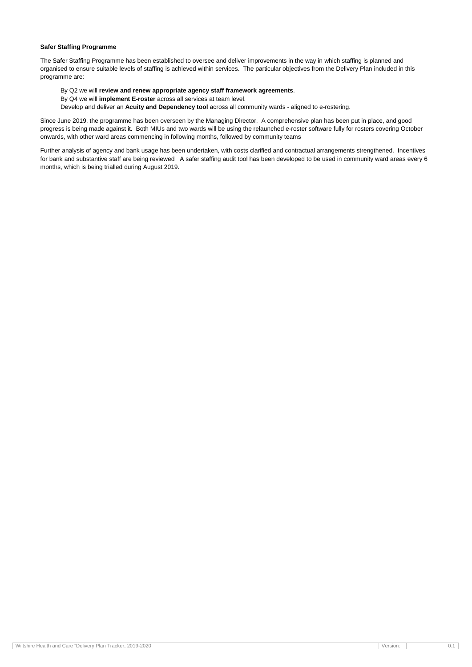| Tracker, 2019-2020<br>Wiltshire.<br><b>Sire Health and Care "Delivery Plan Tic</b> | Version. |  |
|------------------------------------------------------------------------------------|----------|--|

#### **Safer Staffing Programme**

The Safer Staffing Programme has been established to oversee and deliver improvements in the way in which staffing is planned and organised to ensure suitable levels of staffing is achieved within services. The particular objectives from the Delivery Plan included in this programme are:

#### By Q2 we will **review and renew appropriate agency staff framework agreements**.

- By Q4 we will **implement E-roster** across all services at team level.
- Develop and deliver an **Acuity and Dependency tool** across all community wards aligned to e-rostering.

Since June 2019, the programme has been overseen by the Managing Director. A comprehensive plan has been put in place, and good progress is being made against it. Both MIUs and two wards will be using the relaunched e-roster software fully for rosters covering October onwards, with other ward areas commencing in following months, followed by community teams

Further analysis of agency and bank usage has been undertaken, with costs clarified and contractual arrangements strengthened. Incentives for bank and substantive staff are being reviewed A safer staffing audit tool has been developed to be used in community ward areas every 6 months, which is being trialled during August 2019.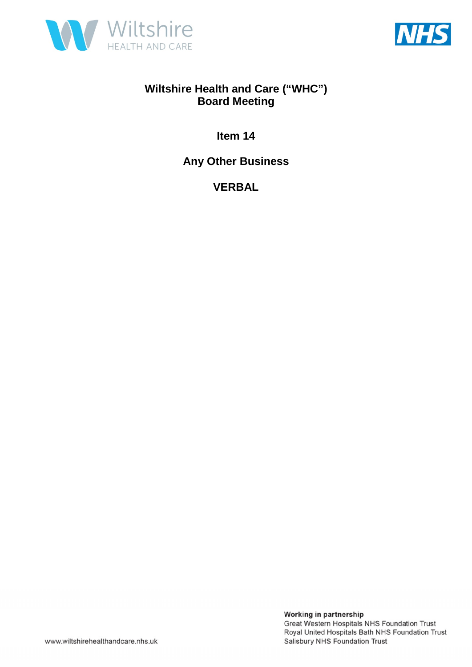



**Item 14** 

**Any Other Business** 

**VERBAL**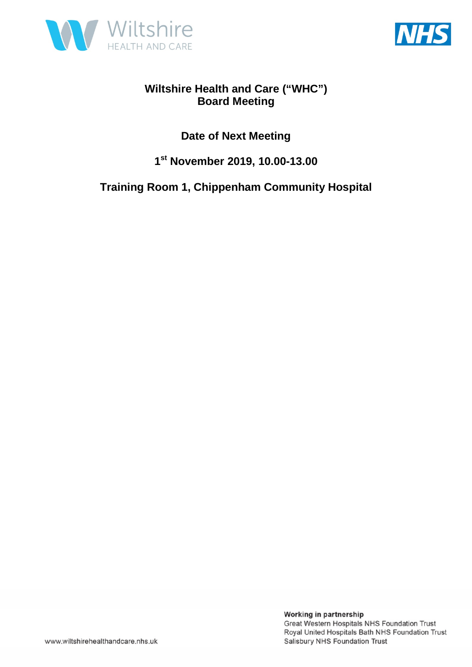



### **Date of Next Meeting**

### **1 st November 2019, 10.00-13.00**

### **Training Room 1, Chippenham Community Hospital**